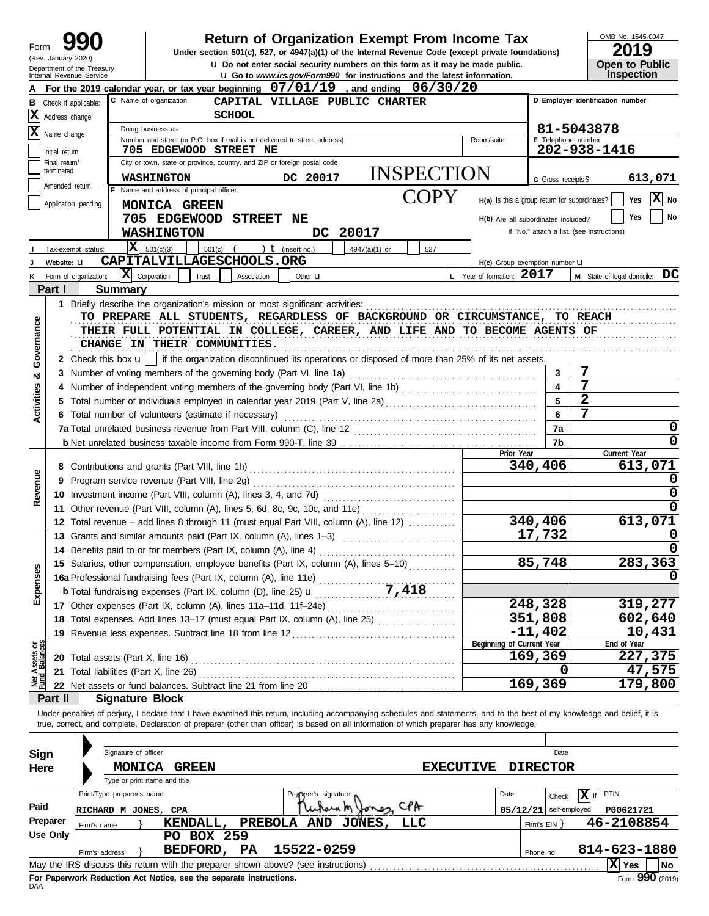| Form                           |                     |                                                        | Under section 501(c), 527, or 4947(a)(1) of the Internal Revenue Code (except private foundations)                                                                                                                                                                                                                       |                                | Return of Organization Exempt From Income Tax                                        |                                               |                          | OMB No. 1545-0047<br>2019                  |
|--------------------------------|---------------------|--------------------------------------------------------|--------------------------------------------------------------------------------------------------------------------------------------------------------------------------------------------------------------------------------------------------------------------------------------------------------------------------|--------------------------------|--------------------------------------------------------------------------------------|-----------------------------------------------|--------------------------|--------------------------------------------|
|                                | (Rev. January 2020) |                                                        |                                                                                                                                                                                                                                                                                                                          |                                | <b>u</b> Do not enter social security numbers on this form as it may be made public. |                                               |                          | <b>Open to Public</b>                      |
|                                |                     | Department of the Treasury<br>Internal Revenue Service |                                                                                                                                                                                                                                                                                                                          |                                | <b>u</b> Go to www.irs.gov/Form990 for instructions and the latest information.      |                                               |                          | Inspection                                 |
|                                |                     |                                                        | For the 2019 calendar year, or tax year beginning $07/01/19$ , and ending $06/30/20$                                                                                                                                                                                                                                     |                                |                                                                                      |                                               |                          |                                            |
| В                              |                     | Check if applicable:                                   | C Name of organization                                                                                                                                                                                                                                                                                                   | CAPITAL VILLAGE PUBLIC CHARTER |                                                                                      |                                               |                          | D Employer identification number           |
| x                              | Address change      |                                                        | <b>SCHOOL</b>                                                                                                                                                                                                                                                                                                            |                                |                                                                                      |                                               |                          |                                            |
| x                              | Name change         |                                                        | Doing business as                                                                                                                                                                                                                                                                                                        |                                |                                                                                      |                                               |                          | 81-5043878                                 |
|                                | Initial return      |                                                        | Number and street (or P.O. box if mail is not delivered to street address)<br>705 EDGEWOOD STREET NE                                                                                                                                                                                                                     |                                |                                                                                      | Room/suite                                    | E Telephone number       | 202-938-1416                               |
|                                | Final return/       |                                                        | City or town, state or province, country, and ZIP or foreign postal code                                                                                                                                                                                                                                                 |                                |                                                                                      |                                               |                          |                                            |
|                                | terminated          |                                                        | <b>WASHINGTON</b>                                                                                                                                                                                                                                                                                                        | DC 20017                       | <b>INSPECTION</b>                                                                    |                                               | G Gross receipts \$      | 613,071                                    |
|                                | Amended return      |                                                        | F Name and address of principal officer:                                                                                                                                                                                                                                                                                 |                                |                                                                                      |                                               |                          |                                            |
|                                |                     | Application pending                                    | MONICA GREEN                                                                                                                                                                                                                                                                                                             |                                | COPY                                                                                 | H(a) Is this a group return for subordinates? |                          | X)<br>Yes<br>No                            |
|                                |                     |                                                        | 705 EDGEWOOD<br><b>STREET</b>                                                                                                                                                                                                                                                                                            | NE                             |                                                                                      | H(b) Are all subordinates included?           |                          | No<br>Yes                                  |
|                                |                     |                                                        | <b>WASHINGTON</b>                                                                                                                                                                                                                                                                                                        | 20017<br>DC.                   |                                                                                      |                                               |                          | If "No," attach a list. (see instructions) |
|                                |                     | Tax-exempt status:                                     | $\overline{\mathbf{X}}$ 501(c)(3)<br>501(c)                                                                                                                                                                                                                                                                              | ) $t$ (insert no.)             | 4947(a)(1) or<br>527                                                                 |                                               |                          |                                            |
|                                | Website: U          |                                                        | CAPITALVILLAGESCHOOLS.ORG                                                                                                                                                                                                                                                                                                |                                |                                                                                      | H(c) Group exemption number U                 |                          |                                            |
|                                |                     | $ \mathbf{X} $ Corporation<br>Form of organization:    | Trust<br>Association                                                                                                                                                                                                                                                                                                     | Other $\mathbf u$              |                                                                                      | L Year of formation: 2017                     |                          | M State of legal domicile: DC              |
|                                | Part I              | <b>Summary</b>                                         |                                                                                                                                                                                                                                                                                                                          |                                |                                                                                      |                                               |                          |                                            |
|                                |                     |                                                        |                                                                                                                                                                                                                                                                                                                          |                                |                                                                                      |                                               |                          |                                            |
|                                |                     |                                                        | TO PREPARE ALL STUDENTS, REGARDLESS OF BACKGROUND OR CIRCUMSTANCE, TO REACH                                                                                                                                                                                                                                              |                                |                                                                                      |                                               |                          |                                            |
| Governance                     |                     |                                                        | THEIR FULL POTENTIAL IN COLLEGE, CAREER, AND LIFE AND TO BECOME AGENTS OF                                                                                                                                                                                                                                                |                                |                                                                                      |                                               |                          |                                            |
|                                |                     |                                                        | CHANGE IN THEIR COMMUNITIES.                                                                                                                                                                                                                                                                                             |                                |                                                                                      |                                               |                          |                                            |
|                                |                     |                                                        | 2 Check this box $\mathbf{u}$   if the organization discontinued its operations or disposed of more than 25% of its net assets.                                                                                                                                                                                          |                                |                                                                                      |                                               |                          |                                            |
| ಯ                              |                     |                                                        | 3 Number of voting members of the governing body (Part VI, line 1a)                                                                                                                                                                                                                                                      |                                |                                                                                      |                                               | 3                        |                                            |
|                                |                     |                                                        |                                                                                                                                                                                                                                                                                                                          |                                |                                                                                      |                                               | 4                        | $\overline{7}$                             |
|                                |                     |                                                        | 5 Total number of individuals employed in calendar year 2019 (Part V, line 2a) [[[[[[[[[[[[[[[[[[[[[[[[[[[[[[[                                                                                                                                                                                                           |                                |                                                                                      |                                               | 5                        | $\overline{2}$                             |
| Activities                     |                     |                                                        | 6 Total number of volunteers (estimate if necessary)                                                                                                                                                                                                                                                                     |                                |                                                                                      |                                               | 6                        | 7                                          |
|                                |                     |                                                        | 7a Total unrelated business revenue from Part VIII, column (C), line 12                                                                                                                                                                                                                                                  |                                |                                                                                      |                                               | 7a                       | 0                                          |
|                                |                     |                                                        |                                                                                                                                                                                                                                                                                                                          |                                |                                                                                      |                                               | 7b                       | 0                                          |
|                                |                     |                                                        |                                                                                                                                                                                                                                                                                                                          |                                |                                                                                      | Prior Year                                    |                          | Current Year                               |
|                                |                     |                                                        |                                                                                                                                                                                                                                                                                                                          |                                |                                                                                      |                                               | 340,406                  | 613,071                                    |
| Revenue                        |                     |                                                        | 9 Program service revenue (Part VIII, line 2g)                                                                                                                                                                                                                                                                           |                                |                                                                                      |                                               |                          | O                                          |
|                                |                     |                                                        |                                                                                                                                                                                                                                                                                                                          |                                |                                                                                      |                                               |                          | 0                                          |
|                                |                     |                                                        | 11 Other revenue (Part VIII, column (A), lines 5, 6d, 8c, 9c, 10c, and 11e)                                                                                                                                                                                                                                              |                                |                                                                                      |                                               |                          | 0                                          |
|                                |                     |                                                        | 12 Total revenue - add lines 8 through 11 (must equal Part VIII, column (A), line 12)                                                                                                                                                                                                                                    |                                |                                                                                      |                                               | 340,406                  | 613,071                                    |
|                                |                     |                                                        | 13 Grants and similar amounts paid (Part IX, column (A), lines 1-3)                                                                                                                                                                                                                                                      |                                |                                                                                      |                                               | 17,732                   | 0                                          |
|                                |                     |                                                        | 14 Benefits paid to or for members (Part IX, column (A), line 4)                                                                                                                                                                                                                                                         |                                |                                                                                      |                                               |                          |                                            |
|                                |                     |                                                        | 15 Salaries, other compensation, employee benefits (Part IX, column (A), lines 5-10)                                                                                                                                                                                                                                     |                                |                                                                                      |                                               | 85,748                   | 283,363                                    |
| Expenses                       |                     |                                                        |                                                                                                                                                                                                                                                                                                                          |                                |                                                                                      |                                               |                          | $\Omega$                                   |
|                                |                     |                                                        |                                                                                                                                                                                                                                                                                                                          |                                |                                                                                      |                                               |                          |                                            |
|                                |                     |                                                        |                                                                                                                                                                                                                                                                                                                          |                                |                                                                                      |                                               | 248,328                  | 319,277                                    |
|                                |                     |                                                        | 18 Total expenses. Add lines 13-17 (must equal Part IX, column (A), line 25)                                                                                                                                                                                                                                             |                                |                                                                                      |                                               | 351,808                  | 602,640                                    |
|                                |                     |                                                        | 19 Revenue less expenses. Subtract line 18 from line 12                                                                                                                                                                                                                                                                  |                                |                                                                                      |                                               | $-11,402$                | 10,431                                     |
| Net Assets or<br>Fund Balances |                     |                                                        |                                                                                                                                                                                                                                                                                                                          |                                |                                                                                      | Beginning of Current Year                     | 169,369                  | End of Year<br>227,375                     |
|                                |                     | 20 Total assets (Part X, line 16)                      |                                                                                                                                                                                                                                                                                                                          |                                |                                                                                      |                                               |                          | 47,575                                     |
|                                |                     | 21 Total liabilities (Part X, line 26)                 |                                                                                                                                                                                                                                                                                                                          |                                |                                                                                      |                                               | 169,369                  | 179,800                                    |
|                                |                     |                                                        |                                                                                                                                                                                                                                                                                                                          |                                |                                                                                      |                                               |                          |                                            |
|                                | Part II             | <b>Signature Block</b>                                 |                                                                                                                                                                                                                                                                                                                          |                                |                                                                                      |                                               |                          |                                            |
|                                |                     |                                                        | Under penalties of perjury, I declare that I have examined this return, including accompanying schedules and statements, and to the best of my knowledge and belief, it is<br>true, correct, and complete. Declaration of preparer (other than officer) is based on all information of which preparer has any knowledge. |                                |                                                                                      |                                               |                          |                                            |
|                                |                     |                                                        |                                                                                                                                                                                                                                                                                                                          |                                |                                                                                      |                                               |                          |                                            |
| Sign                           |                     | Signature of officer                                   |                                                                                                                                                                                                                                                                                                                          |                                |                                                                                      |                                               | Date                     |                                            |
|                                |                     |                                                        | <b>GREEN</b>                                                                                                                                                                                                                                                                                                             |                                |                                                                                      |                                               |                          |                                            |
| Here                           |                     | <b>MONICA</b>                                          | Type or print name and title                                                                                                                                                                                                                                                                                             |                                | <b>EXECUTIVE</b>                                                                     |                                               | <b>DIRECTOR</b>          |                                            |
|                                |                     | Print/Type preparer's name                             |                                                                                                                                                                                                                                                                                                                          | Propyrer's signature           |                                                                                      | Date                                          |                          | $\overline{\mathbf{X}}$ if<br>PTIN         |
| Paid                           |                     |                                                        |                                                                                                                                                                                                                                                                                                                          |                                | Unhard M Jones, CPA                                                                  |                                               | Check                    |                                            |
|                                | Preparer            | RICHARD M JONES, CPA                                   |                                                                                                                                                                                                                                                                                                                          |                                |                                                                                      |                                               | $05/12/21$ self-employed | P00621721                                  |
|                                | <b>Use Only</b>     | Firm's name                                            | KENDALL,                                                                                                                                                                                                                                                                                                                 | PREBOLA AND JONES,             | <b>LLC</b>                                                                           |                                               | Firm's $EIN$ }           | 46-2108854                                 |
|                                |                     |                                                        | PO BOX 259                                                                                                                                                                                                                                                                                                               |                                |                                                                                      |                                               |                          |                                            |
|                                |                     | Firm's address                                         | BEDFORD, PA                                                                                                                                                                                                                                                                                                              | 15522-0259                     |                                                                                      |                                               | Phone no.                | 814-623-1880                               |
|                                |                     |                                                        | May the IRS discuss this return with the preparer shown above? (see instructions)                                                                                                                                                                                                                                        |                                |                                                                                      |                                               |                          | $ \mathbf{X} $ Yes<br>No                   |

| Sign     |             | Signature of officer         |        |                                                                                   |     |                      |            |                  |      |              | Date            |              |      |
|----------|-------------|------------------------------|--------|-----------------------------------------------------------------------------------|-----|----------------------|------------|------------------|------|--------------|-----------------|--------------|------|
| Here     |             |                              | MONICA | <b>GREEN</b>                                                                      |     |                      |            | <b>EXECUTIVE</b> |      |              | <b>DIRECTOR</b> |              |      |
|          |             | Type or print name and title |        |                                                                                   |     |                      |            |                  |      |              |                 |              |      |
|          |             | Print/Type preparer's name   |        |                                                                                   |     | Proparer's signature |            |                  | Date |              | x<br>Check      | PTIN         |      |
| Paid     |             | RICHARD M JONES, CPA         |        |                                                                                   |     | Unpara m             | Jones, CPA |                  |      | 05/12/21     | self-employed   | P00621721    |      |
| Preparer | Firm's name |                              |        | KENDALL,                                                                          |     | PREBOLA AND          | JONES,     | LLC              |      | Firm's $EIN$ |                 | 46-2108854   |      |
| Use Only |             |                              |        | <b>BOX 259</b><br>PO.                                                             |     |                      |            |                  |      |              |                 |              |      |
|          |             | Firm's address               |        | BEDFORD,                                                                          | PA. | 15522-0259           |            |                  |      | Phone no.    |                 | 814-623-1880 |      |
|          |             |                              |        | May the IRS discuss this return with the preparer shown above? (see instructions) |     |                      |            |                  |      |              |                 | IXI<br>'Yes  | l No |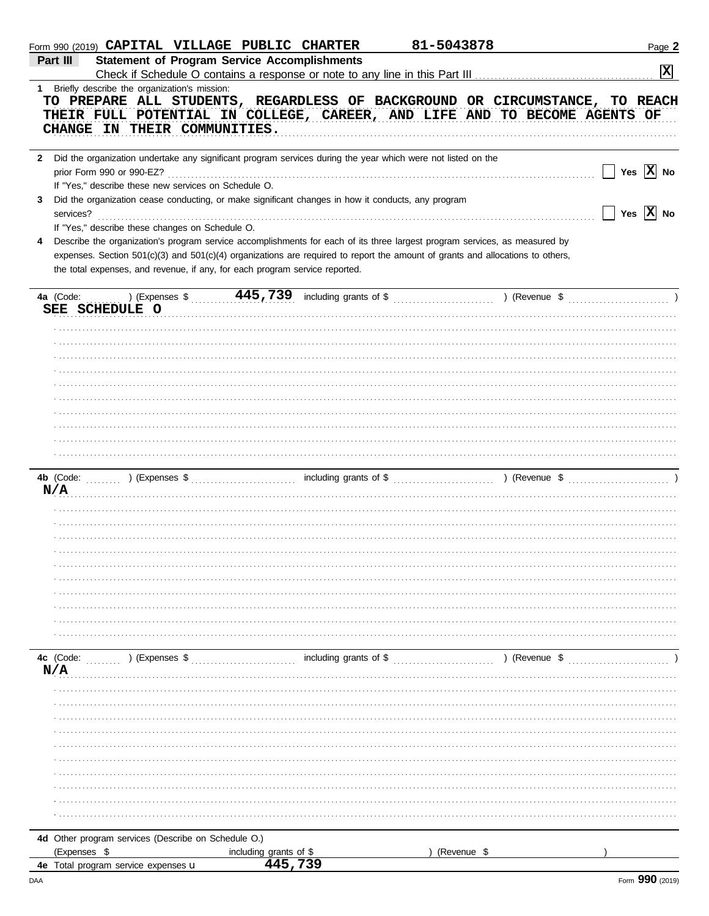|   | Form 990 (2019) CAPITAL VILLAGE PUBLIC CHARTER                                                                                                                                                                                                                                                                                              |                                                                                                                                    | 81-5043878    | Page 2                           |
|---|---------------------------------------------------------------------------------------------------------------------------------------------------------------------------------------------------------------------------------------------------------------------------------------------------------------------------------------------|------------------------------------------------------------------------------------------------------------------------------------|---------------|----------------------------------|
|   | Part III                                                                                                                                                                                                                                                                                                                                    | <b>Statement of Program Service Accomplishments</b>                                                                                |               |                                  |
|   |                                                                                                                                                                                                                                                                                                                                             |                                                                                                                                    |               | $\boxed{\mathbf{X}}$             |
|   | 1 Briefly describe the organization's mission:<br>TO PREPARE ALL STUDENTS, REGARDLESS OF BACKGROUND OR CIRCUMSTANCE, TO REACH<br>THEIR FULL POTENTIAL IN COLLEGE, CAREER, AND LIFE AND TO BECOME AGENTS OF<br>CHANGE IN THEIR COMMUNITIES.                                                                                                  |                                                                                                                                    |               |                                  |
|   | 2 Did the organization undertake any significant program services during the year which were not listed on the<br>If "Yes," describe these new services on Schedule O.                                                                                                                                                                      |                                                                                                                                    |               | Yes $\overline{X}$ No            |
| 3 | Did the organization cease conducting, or make significant changes in how it conducts, any program<br>services?<br>If "Yes," describe these changes on Schedule O.                                                                                                                                                                          |                                                                                                                                    |               | $\Box$ Yes $\boxed{\text{X}}$ No |
| 4 | Describe the organization's program service accomplishments for each of its three largest program services, as measured by<br>expenses. Section 501(c)(3) and 501(c)(4) organizations are required to report the amount of grants and allocations to others,<br>the total expenses, and revenue, if any, for each program service reported. |                                                                                                                                    |               |                                  |
|   | 4a (Code:                                                                                                                                                                                                                                                                                                                                   | ) (Expenses $\frac{445,739}{1000}$ including grants of $\frac{25}{1000}$ (Revenue $\frac{25}{1000}$ ) (Revenue $\frac{25}{1000}$ ) |               |                                  |
|   | SEE SCHEDULE O                                                                                                                                                                                                                                                                                                                              |                                                                                                                                    |               |                                  |
|   |                                                                                                                                                                                                                                                                                                                                             |                                                                                                                                    |               |                                  |
|   |                                                                                                                                                                                                                                                                                                                                             |                                                                                                                                    |               |                                  |
|   |                                                                                                                                                                                                                                                                                                                                             |                                                                                                                                    |               |                                  |
|   |                                                                                                                                                                                                                                                                                                                                             |                                                                                                                                    |               |                                  |
|   |                                                                                                                                                                                                                                                                                                                                             |                                                                                                                                    |               |                                  |
|   |                                                                                                                                                                                                                                                                                                                                             |                                                                                                                                    |               |                                  |
|   |                                                                                                                                                                                                                                                                                                                                             |                                                                                                                                    |               |                                  |
|   |                                                                                                                                                                                                                                                                                                                                             |                                                                                                                                    |               |                                  |
|   |                                                                                                                                                                                                                                                                                                                                             |                                                                                                                                    |               |                                  |
|   |                                                                                                                                                                                                                                                                                                                                             |                                                                                                                                    |               |                                  |
|   |                                                                                                                                                                                                                                                                                                                                             |                                                                                                                                    |               |                                  |
|   | 4b (Code: (1, 2, 2) (Expenses \$ (2, 2) (Expenses \$ (2, 2) (Expenses \$ (2, 2) (Revenue \$ (2, 2) (Revenue \$ (2, 2) (Revenue \$ (2, 2) (Revenue \$ (2, 2) (Revenue \$ (2, 2) (Revenue \$ (2, 2) (Revenue \$ (2, 2) (Revenue \$ (2, 2) (                                                                                                   |                                                                                                                                    |               |                                  |
|   | N/A                                                                                                                                                                                                                                                                                                                                         |                                                                                                                                    |               |                                  |
|   |                                                                                                                                                                                                                                                                                                                                             |                                                                                                                                    |               |                                  |
|   |                                                                                                                                                                                                                                                                                                                                             |                                                                                                                                    |               |                                  |
|   |                                                                                                                                                                                                                                                                                                                                             |                                                                                                                                    |               |                                  |
|   |                                                                                                                                                                                                                                                                                                                                             |                                                                                                                                    |               |                                  |
|   |                                                                                                                                                                                                                                                                                                                                             |                                                                                                                                    |               |                                  |
|   |                                                                                                                                                                                                                                                                                                                                             |                                                                                                                                    |               |                                  |
|   |                                                                                                                                                                                                                                                                                                                                             |                                                                                                                                    |               |                                  |
|   |                                                                                                                                                                                                                                                                                                                                             |                                                                                                                                    |               |                                  |
|   |                                                                                                                                                                                                                                                                                                                                             |                                                                                                                                    |               |                                  |
|   |                                                                                                                                                                                                                                                                                                                                             |                                                                                                                                    |               |                                  |
|   | 4c (Code:<br>$\ldots$ ) (Expenses \$<br>N/A                                                                                                                                                                                                                                                                                                 | $\ldots$ , $\ldots$ , $\ldots$ , $\ldots$ including grants of \$ $\ldots$ , $\ldots$ , $\ldots$ , $\ldots$ , $\ldots$              | ) (Revenue \$ |                                  |
|   |                                                                                                                                                                                                                                                                                                                                             |                                                                                                                                    |               |                                  |
|   |                                                                                                                                                                                                                                                                                                                                             |                                                                                                                                    |               |                                  |
|   |                                                                                                                                                                                                                                                                                                                                             |                                                                                                                                    |               |                                  |
|   |                                                                                                                                                                                                                                                                                                                                             |                                                                                                                                    |               |                                  |
|   |                                                                                                                                                                                                                                                                                                                                             |                                                                                                                                    |               |                                  |
|   |                                                                                                                                                                                                                                                                                                                                             |                                                                                                                                    |               |                                  |
|   |                                                                                                                                                                                                                                                                                                                                             |                                                                                                                                    |               |                                  |
|   |                                                                                                                                                                                                                                                                                                                                             |                                                                                                                                    |               |                                  |
|   |                                                                                                                                                                                                                                                                                                                                             |                                                                                                                                    |               |                                  |
|   |                                                                                                                                                                                                                                                                                                                                             |                                                                                                                                    |               |                                  |
|   | 4d Other program services (Describe on Schedule O.)                                                                                                                                                                                                                                                                                         |                                                                                                                                    |               |                                  |
|   | (Expenses \$                                                                                                                                                                                                                                                                                                                                | including grants of \$                                                                                                             | (Revenue \$   |                                  |
|   | 4e Total program service expenses u                                                                                                                                                                                                                                                                                                         | 445,739                                                                                                                            |               |                                  |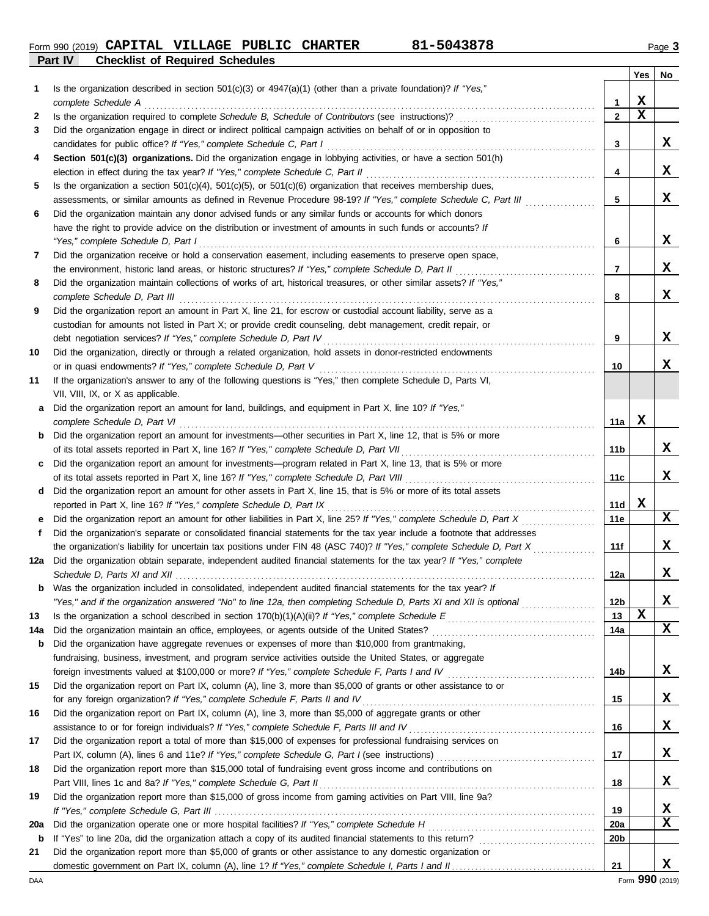**Part IV Checklist of Required Schedules** Form 990 (2019) Page **3 CAPITAL VILLAGE PUBLIC CHARTER 81-5043878**

|         |                                                                                                                                                                               |                 | Yes         | No               |
|---------|-------------------------------------------------------------------------------------------------------------------------------------------------------------------------------|-----------------|-------------|------------------|
| 1       | Is the organization described in section 501(c)(3) or $4947(a)(1)$ (other than a private foundation)? If "Yes,"                                                               |                 |             |                  |
|         | complete Schedule A                                                                                                                                                           | 1               | X           |                  |
| 2       |                                                                                                                                                                               | $\mathbf{2}$    | $\mathbf x$ |                  |
| 3       | Did the organization engage in direct or indirect political campaign activities on behalf of or in opposition to                                                              |                 |             |                  |
|         | candidates for public office? If "Yes," complete Schedule C, Part I                                                                                                           | 3               |             | x                |
| 4       | Section 501(c)(3) organizations. Did the organization engage in lobbying activities, or have a section 501(h)                                                                 |                 |             |                  |
|         |                                                                                                                                                                               | 4               |             | X                |
| 5       | Is the organization a section $501(c)(4)$ , $501(c)(5)$ , or $501(c)(6)$ organization that receives membership dues,                                                          |                 |             |                  |
|         | assessments, or similar amounts as defined in Revenue Procedure 98-19? If "Yes," complete Schedule C, Part III                                                                | 5               |             | x                |
| 6       | Did the organization maintain any donor advised funds or any similar funds or accounts for which donors                                                                       |                 |             |                  |
|         | have the right to provide advice on the distribution or investment of amounts in such funds or accounts? If                                                                   |                 |             |                  |
|         | "Yes," complete Schedule D, Part I                                                                                                                                            | 6               |             | X                |
| 7       | Did the organization receive or hold a conservation easement, including easements to preserve open space,                                                                     |                 |             |                  |
|         | the environment, historic land areas, or historic structures? If "Yes," complete Schedule D, Part II                                                                          | 7               |             | X                |
| 8       | Did the organization maintain collections of works of art, historical treasures, or other similar assets? If "Yes,"                                                           |                 |             |                  |
|         | complete Schedule D, Part III                                                                                                                                                 | 8               |             | X                |
| 9       | Did the organization report an amount in Part X, line 21, for escrow or custodial account liability, serve as a                                                               |                 |             |                  |
|         | custodian for amounts not listed in Part X; or provide credit counseling, debt management, credit repair, or                                                                  |                 |             | x                |
|         | debt negotiation services? If "Yes," complete Schedule D, Part IV                                                                                                             | 9               |             |                  |
| 10      | Did the organization, directly or through a related organization, hold assets in donor-restricted endowments                                                                  |                 |             | x                |
|         | or in quasi endowments? If "Yes," complete Schedule D, Part V<br>If the organization's answer to any of the following questions is "Yes," then complete Schedule D, Parts VI, | 10              |             |                  |
| 11      | VII, VIII, IX, or X as applicable.                                                                                                                                            |                 |             |                  |
| a       | Did the organization report an amount for land, buildings, and equipment in Part X, line 10? If "Yes,"                                                                        |                 |             |                  |
|         |                                                                                                                                                                               | 11a             | x           |                  |
|         | <b>b</b> Did the organization report an amount for investments—other securities in Part X, line 12, that is 5% or more                                                        |                 |             |                  |
|         |                                                                                                                                                                               | 11b             |             | x                |
| c       | Did the organization report an amount for investments—program related in Part X, line 13, that is 5% or more                                                                  |                 |             |                  |
|         |                                                                                                                                                                               | 11c             |             | x                |
| d       | Did the organization report an amount for other assets in Part X, line 15, that is 5% or more of its total assets                                                             |                 |             |                  |
|         | reported in Part X, line 16? If "Yes," complete Schedule D, Part IX                                                                                                           | 11d             | X           |                  |
| е       | Did the organization report an amount for other liabilities in Part X, line 25? If "Yes," complete Schedule D, Part X                                                         | 11e             |             | X                |
| f       | Did the organization's separate or consolidated financial statements for the tax year include a footnote that addresses                                                       |                 |             |                  |
|         | the organization's liability for uncertain tax positions under FIN 48 (ASC 740)? If "Yes," complete Schedule D, Part X                                                        | 11f             |             | x                |
| 12a     | Did the organization obtain separate, independent audited financial statements for the tax year? If "Yes," complete                                                           |                 |             |                  |
|         |                                                                                                                                                                               | 12a             |             | X                |
| b       | Was the organization included in consolidated, independent audited financial statements for the tax year? If                                                                  |                 |             |                  |
|         | "Yes," and if the organization answered "No" to line 12a, then completing Schedule D, Parts XI and XII is optional                                                            | 12 <sub>b</sub> |             | X                |
| 13      |                                                                                                                                                                               | 13              | X           |                  |
| 14a     |                                                                                                                                                                               | 14a             |             | X                |
| b       | Did the organization have aggregate revenues or expenses of more than \$10,000 from grantmaking,                                                                              |                 |             |                  |
|         | fundraising, business, investment, and program service activities outside the United States, or aggregate                                                                     |                 |             |                  |
|         |                                                                                                                                                                               | 14b             |             | X                |
| 15      | Did the organization report on Part IX, column (A), line 3, more than \$5,000 of grants or other assistance to or                                                             |                 |             |                  |
|         | for any foreign organization? If "Yes," complete Schedule F, Parts II and IV                                                                                                  | 15              |             | X                |
| 16      | Did the organization report on Part IX, column (A), line 3, more than \$5,000 of aggregate grants or other                                                                    |                 |             |                  |
|         | assistance to or for foreign individuals? If "Yes," complete Schedule F, Parts III and IV [[[[[[[[[[[[[[[[[[[                                                                 | 16              |             | X                |
| 17      | Did the organization report a total of more than \$15,000 of expenses for professional fundraising services on                                                                |                 |             |                  |
|         |                                                                                                                                                                               | 17              |             | X                |
| 18      | Did the organization report more than \$15,000 total of fundraising event gross income and contributions on                                                                   |                 |             |                  |
|         |                                                                                                                                                                               | 18              |             | X                |
| 19      | Did the organization report more than \$15,000 of gross income from gaming activities on Part VIII, line 9a?                                                                  |                 |             |                  |
|         |                                                                                                                                                                               | 19              |             | х<br>$\mathbf x$ |
| 20a     |                                                                                                                                                                               | 20a<br>20b      |             |                  |
| b<br>21 | Did the organization report more than \$5,000 of grants or other assistance to any domestic organization or                                                                   |                 |             |                  |
|         |                                                                                                                                                                               | 21              |             | х                |
|         |                                                                                                                                                                               |                 |             |                  |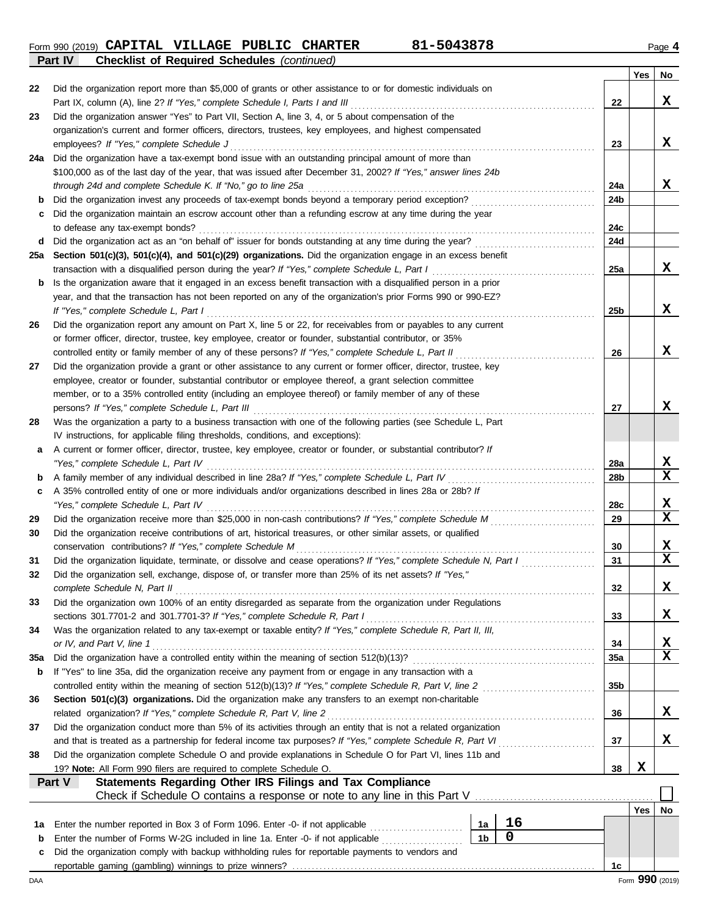**Form 990 (2019) CAPITAL VILLAGE PUBLIC CHARTER** 81-5043878 **Page 4** Page 4 **Part IV Checklist of Required Schedules** *(continued)*

|          |                                                                                                                                                                                             |                |             |                 | Yes | No              |
|----------|---------------------------------------------------------------------------------------------------------------------------------------------------------------------------------------------|----------------|-------------|-----------------|-----|-----------------|
| 22       | Did the organization report more than \$5,000 of grants or other assistance to or for domestic individuals on                                                                               |                |             |                 |     |                 |
|          | Part IX, column (A), line 2? If "Yes," complete Schedule I, Parts I and III                                                                                                                 |                |             | 22              |     | X               |
| 23       | Did the organization answer "Yes" to Part VII, Section A, line 3, 4, or 5 about compensation of the                                                                                         |                |             |                 |     |                 |
|          | organization's current and former officers, directors, trustees, key employees, and highest compensated                                                                                     |                |             |                 |     |                 |
|          | employees? If "Yes," complete Schedule J                                                                                                                                                    |                |             | 23              |     | X               |
| 24a      | Did the organization have a tax-exempt bond issue with an outstanding principal amount of more than                                                                                         |                |             |                 |     |                 |
|          | \$100,000 as of the last day of the year, that was issued after December 31, 2002? If "Yes," answer lines 24b                                                                               |                |             |                 |     |                 |
|          | through 24d and complete Schedule K. If "No," go to line 25a                                                                                                                                |                |             | 24a             |     | X               |
| b        |                                                                                                                                                                                             |                |             | 24b             |     |                 |
| с        | Did the organization maintain an escrow account other than a refunding escrow at any time during the year                                                                                   |                |             | 24c             |     |                 |
|          | to defease any tax-exempt bonds?                                                                                                                                                            |                |             | 24d             |     |                 |
| d<br>25a | Section 501(c)(3), 501(c)(4), and 501(c)(29) organizations. Did the organization engage in an excess benefit                                                                                |                |             |                 |     |                 |
|          | transaction with a disqualified person during the year? If "Yes," complete Schedule L, Part I                                                                                               |                |             | 25a             |     | x               |
| b        | Is the organization aware that it engaged in an excess benefit transaction with a disqualified person in a prior                                                                            |                |             |                 |     |                 |
|          | year, and that the transaction has not been reported on any of the organization's prior Forms 990 or 990-EZ?                                                                                |                |             |                 |     |                 |
|          | If "Yes," complete Schedule L, Part I                                                                                                                                                       |                |             | 25b             |     | X               |
| 26       | Did the organization report any amount on Part X, line 5 or 22, for receivables from or payables to any current                                                                             |                |             |                 |     |                 |
|          | or former officer, director, trustee, key employee, creator or founder, substantial contributor, or 35%                                                                                     |                |             |                 |     |                 |
|          | controlled entity or family member of any of these persons? If "Yes," complete Schedule L, Part II                                                                                          |                |             | 26              |     | X               |
| 27       | Did the organization provide a grant or other assistance to any current or former officer, director, trustee, key                                                                           |                |             |                 |     |                 |
|          | employee, creator or founder, substantial contributor or employee thereof, a grant selection committee                                                                                      |                |             |                 |     |                 |
|          | member, or to a 35% controlled entity (including an employee thereof) or family member of any of these                                                                                      |                |             |                 |     |                 |
|          | persons? If "Yes," complete Schedule L, Part III                                                                                                                                            |                |             | 27              |     | x               |
| 28       | Was the organization a party to a business transaction with one of the following parties (see Schedule L, Part                                                                              |                |             |                 |     |                 |
|          | IV instructions, for applicable filing thresholds, conditions, and exceptions):                                                                                                             |                |             |                 |     |                 |
| а        | A current or former officer, director, trustee, key employee, creator or founder, or substantial contributor? If                                                                            |                |             |                 |     |                 |
|          | "Yes," complete Schedule L, Part IV                                                                                                                                                         |                |             | 28a             |     | х               |
| b        |                                                                                                                                                                                             |                |             | 28b             |     | $\mathbf x$     |
| c        | A 35% controlled entity of one or more individuals and/or organizations described in lines 28a or 28b? If                                                                                   |                |             |                 |     |                 |
|          | "Yes," complete Schedule L, Part IV                                                                                                                                                         |                |             | 28c             |     | х               |
| 29       |                                                                                                                                                                                             |                |             | 29              |     | $\mathbf x$     |
| 30       | Did the organization receive contributions of art, historical treasures, or other similar assets, or qualified                                                                              |                |             |                 |     |                 |
|          | conservation contributions? If "Yes," complete Schedule M                                                                                                                                   |                |             | 30              |     | X               |
| 31       | Did the organization liquidate, terminate, or dissolve and cease operations? If "Yes," complete Schedule N, Part I                                                                          |                |             | 31              |     | $\mathbf x$     |
| 32       | Did the organization sell, exchange, dispose of, or transfer more than 25% of its net assets? If "Yes,"                                                                                     |                |             |                 |     |                 |
|          | complete Schedule N, Part II                                                                                                                                                                |                |             | 32              |     | х               |
| 33       | Did the organization own 100% of an entity disregarded as separate from the organization under Regulations                                                                                  |                |             |                 |     | X               |
|          | sections 301.7701-2 and 301.7701-3? If "Yes," complete Schedule R, Part I<br>Was the organization related to any tax-exempt or taxable entity? If "Yes," complete Schedule R, Part II, III, |                |             | 33              |     |                 |
| 34       | or IV, and Part V, line 1                                                                                                                                                                   |                |             | 34              |     | х               |
| 35a      |                                                                                                                                                                                             |                |             | 35a             |     | $\mathbf x$     |
| b        | If "Yes" to line 35a, did the organization receive any payment from or engage in any transaction with a                                                                                     |                |             |                 |     |                 |
|          | controlled entity within the meaning of section 512(b)(13)? If "Yes," complete Schedule R, Part V, line 2                                                                                   |                |             | 35 <sub>b</sub> |     |                 |
| 36       | Section 501(c)(3) organizations. Did the organization make any transfers to an exempt non-charitable                                                                                        |                |             |                 |     |                 |
|          | related organization? If "Yes," complete Schedule R, Part V, line 2                                                                                                                         |                |             | 36              |     | X               |
| 37       | Did the organization conduct more than 5% of its activities through an entity that is not a related organization                                                                            |                |             |                 |     |                 |
|          | and that is treated as a partnership for federal income tax purposes? If "Yes," complete Schedule R, Part VI                                                                                |                |             | 37              |     | X               |
| 38       | Did the organization complete Schedule O and provide explanations in Schedule O for Part VI, lines 11b and                                                                                  |                |             |                 |     |                 |
|          | 19? Note: All Form 990 filers are required to complete Schedule O.                                                                                                                          |                |             | 38              | X   |                 |
|          | Statements Regarding Other IRS Filings and Tax Compliance<br>Part V                                                                                                                         |                |             |                 |     |                 |
|          |                                                                                                                                                                                             |                |             |                 |     |                 |
|          |                                                                                                                                                                                             |                |             |                 | Yes | No.             |
| 1a       | Enter the number reported in Box 3 of Form 1096. Enter -0- if not applicable                                                                                                                | 1a             | 16          |                 |     |                 |
| b        | Enter the number of Forms W-2G included in line 1a. Enter -0- if not applicable <i>minimizorous</i>                                                                                         | 1 <sub>b</sub> | $\mathbf 0$ |                 |     |                 |
| c        | Did the organization comply with backup withholding rules for reportable payments to vendors and                                                                                            |                |             |                 |     |                 |
|          |                                                                                                                                                                                             |                |             | 1c              |     |                 |
| DAA      |                                                                                                                                                                                             |                |             |                 |     | Form 990 (2019) |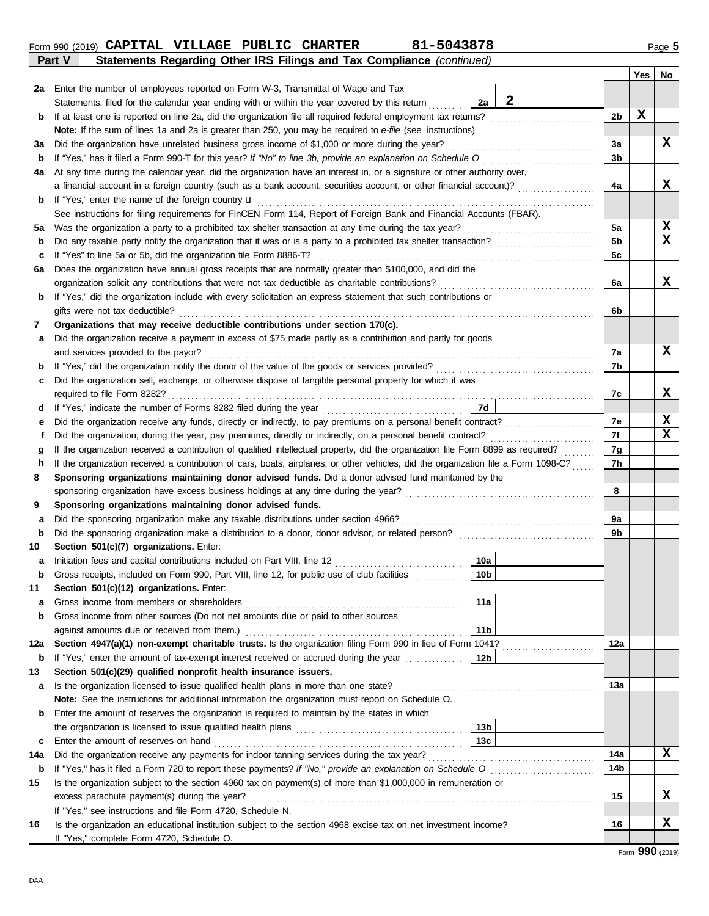|             | Form 990 (2019) CAPITAL VILLAGE PUBLIC CHARTER<br>81-5043878<br>Statements Regarding Other IRS Filings and Tax Compliance (continued)<br>Part V |                |     | Page 5 |
|-------------|-------------------------------------------------------------------------------------------------------------------------------------------------|----------------|-----|--------|
|             |                                                                                                                                                 |                | Yes | No     |
| 2a          | Enter the number of employees reported on Form W-3, Transmittal of Wage and Tax                                                                 |                |     |        |
|             | $\mathbf{2}$<br>2a<br>Statements, filed for the calendar year ending with or within the year covered by this return                             |                |     |        |
| b           |                                                                                                                                                 | 2b             | X   |        |
|             | Note: If the sum of lines 1a and 2a is greater than 250, you may be required to e-file (see instructions)                                       |                |     |        |
| За          | Did the organization have unrelated business gross income of \$1,000 or more during the year?                                                   | За             |     | x      |
| $\mathbf b$ |                                                                                                                                                 | 3 <sub>b</sub> |     |        |
| 4a          | At any time during the calendar year, did the organization have an interest in, or a signature or other authority over,                         |                |     |        |
|             | a financial account in a foreign country (such as a bank account, securities account, or other financial account)?                              | 4a             |     | x      |
| b           | If "Yes," enter the name of the foreign country <b>u</b>                                                                                        |                |     |        |
|             | See instructions for filing requirements for FinCEN Form 114, Report of Foreign Bank and Financial Accounts (FBAR).                             |                |     |        |
| 5a          |                                                                                                                                                 | 5a             |     | X      |
| $\mathbf b$ |                                                                                                                                                 | 5 <sub>b</sub> |     | x      |
| c           |                                                                                                                                                 | 5c             |     |        |
| 6a          | Does the organization have annual gross receipts that are normally greater than \$100,000, and did the                                          |                |     |        |
|             |                                                                                                                                                 | 6a             |     | x      |
| b           | If "Yes," did the organization include with every solicitation an express statement that such contributions or                                  |                |     |        |
|             | gifts were not tax deductible?                                                                                                                  | 6b             |     |        |
| 7           | Organizations that may receive deductible contributions under section 170(c).                                                                   |                |     |        |
| а           | Did the organization receive a payment in excess of \$75 made partly as a contribution and partly for goods                                     |                |     |        |
|             | and services provided to the payor?                                                                                                             | 7a             |     | x.     |
| b           |                                                                                                                                                 | 7b             |     |        |
| c           | Did the organization sell, exchange, or otherwise dispose of tangible personal property for which it was                                        |                |     |        |
|             |                                                                                                                                                 | 7c             |     | x      |
| d           | 7d                                                                                                                                              |                |     |        |
| е           |                                                                                                                                                 | 7e             |     | X<br>x |
| f           | Did the organization, during the year, pay premiums, directly or indirectly, on a personal benefit contract?                                    | 7f             |     |        |
| g           |                                                                                                                                                 | 7g             |     |        |
| h           | If the organization received a contribution of cars, boats, airplanes, or other vehicles, did the organization file a Form 1098-C?              | 7h             |     |        |
| 8           | Sponsoring organizations maintaining donor advised funds. Did a donor advised fund maintained by the                                            |                |     |        |
|             |                                                                                                                                                 | 8              |     |        |
| 9<br>a      | Sponsoring organizations maintaining donor advised funds.<br>Did the sponsoring organization make any taxable distributions under section 4966? | 9a             |     |        |
| b           |                                                                                                                                                 | 9b             |     |        |
| 10          | Section 501(c)(7) organizations. Enter:                                                                                                         |                |     |        |
| а           | 10a                                                                                                                                             |                |     |        |
| $\mathbf b$ | 10 <sub>b</sub><br>Gross receipts, included on Form 990, Part VIII, line 12, for public use of club facilities                                  |                |     |        |
| 11          | Section 501(c)(12) organizations. Enter:                                                                                                        |                |     |        |
| а           | 11a<br>Gross income from members or shareholders                                                                                                |                |     |        |
| b           | Gross income from other sources (Do not net amounts due or paid to other sources                                                                |                |     |        |
|             | 11 <sub>b</sub><br>against amounts due or received from them.)                                                                                  |                |     |        |
| 12a         | Section 4947(a)(1) non-exempt charitable trusts. Is the organization filing Form 990 in lieu of Form 1041?                                      | 12a            |     |        |
| b           | If "Yes," enter the amount of tax-exempt interest received or accrued during the year<br>12 <sub>b</sub>                                        |                |     |        |
| 13          | Section 501(c)(29) qualified nonprofit health insurance issuers.                                                                                |                |     |        |
| а           | Is the organization licensed to issue qualified health plans in more than one state?                                                            | 13a            |     |        |
|             | Note: See the instructions for additional information the organization must report on Schedule O.                                               |                |     |        |
| b           | Enter the amount of reserves the organization is required to maintain by the states in which                                                    |                |     |        |
|             | 13 <sub>b</sub><br>the organization is licensed to issue qualified health plans                                                                 |                |     |        |
| с           | 13 <sub>c</sub>                                                                                                                                 |                |     |        |
|             |                                                                                                                                                 |                |     |        |

## Form **990** (2019)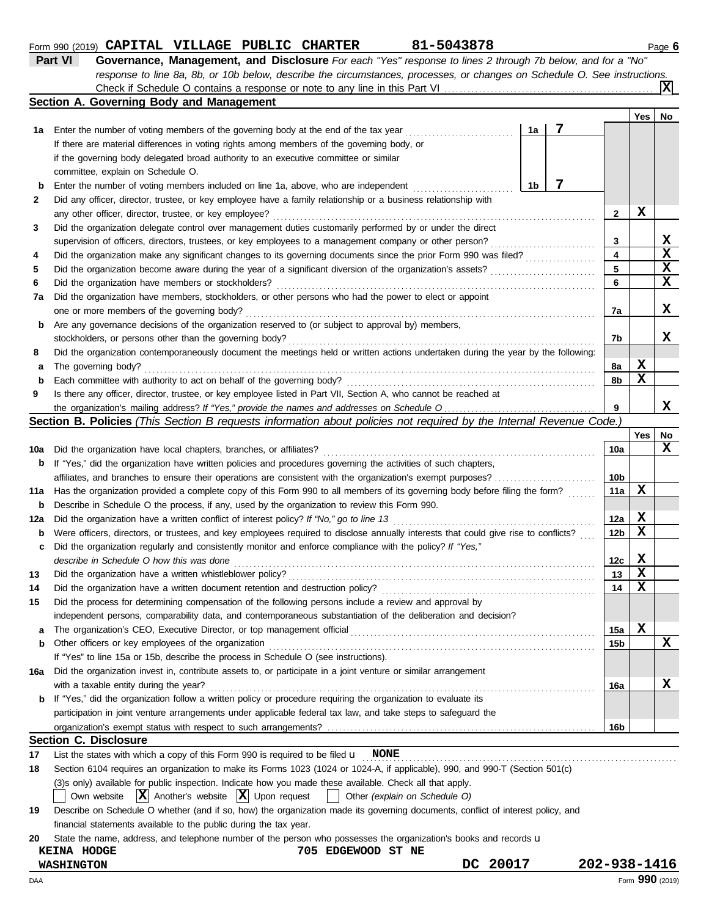## **Form 990 (2019) CAPITAL VILLAGE PUBLIC CHARTER** 81-5043878 **Page 6** Page 6

| Part VI | Governance, Management, and Disclosure For each "Yes" response to lines 2 through 7b below, and for a "No"                |
|---------|---------------------------------------------------------------------------------------------------------------------------|
|         | response to line 8a, 8b, or 10b below, describe the circumstances, processes, or changes on Schedule O. See instructions. |
|         | $\mathbf{X}$                                                                                                              |
|         | Section A. Governing Body and Management                                                                                  |

|     |                                                                                                                                     |                         | Yes         | No          |
|-----|-------------------------------------------------------------------------------------------------------------------------------------|-------------------------|-------------|-------------|
| 1а  | 7<br>1a<br>Enter the number of voting members of the governing body at the end of the tax year                                      |                         |             |             |
|     | If there are material differences in voting rights among members of the governing body, or                                          |                         |             |             |
|     | if the governing body delegated broad authority to an executive committee or similar                                                |                         |             |             |
|     | committee, explain on Schedule O.                                                                                                   |                         |             |             |
| b   | 7<br>1b<br>Enter the number of voting members included on line 1a, above, who are independent                                       |                         |             |             |
| 2   | Did any officer, director, trustee, or key employee have a family relationship or a business relationship with                      |                         |             |             |
|     | any other officer, director, trustee, or key employee?                                                                              | $\mathbf{2}$            | X           |             |
| 3   | Did the organization delegate control over management duties customarily performed by or under the direct                           |                         |             |             |
|     | supervision of officers, directors, trustees, or key employees to a management company or other person?                             | 3                       |             | X           |
| 4   | Did the organization make any significant changes to its governing documents since the prior Form 990 was filed?                    | $\overline{\mathbf{4}}$ |             | $\mathbf x$ |
| 5   |                                                                                                                                     | 5                       |             | $\mathbf x$ |
| 6   | Did the organization have members or stockholders?                                                                                  | 6                       |             | $\mathbf x$ |
| 7a  | Did the organization have members, stockholders, or other persons who had the power to elect or appoint                             |                         |             |             |
|     | one or more members of the governing body?                                                                                          | 7a                      |             | х           |
| b   | Are any governance decisions of the organization reserved to (or subject to approval by) members,                                   |                         |             |             |
|     | stockholders, or persons other than the governing body?                                                                             | 7b                      |             | x           |
| 8   | Did the organization contemporaneously document the meetings held or written actions undertaken during the year by the following:   |                         |             |             |
| а   | The governing body?                                                                                                                 | 8a                      | X           |             |
| b   | Each committee with authority to act on behalf of the governing body?                                                               | 8b                      | $\mathbf x$ |             |
| 9   | Is there any officer, director, trustee, or key employee listed in Part VII, Section A, who cannot be reached at                    |                         |             |             |
|     |                                                                                                                                     | 9                       |             | X           |
|     | Section B. Policies (This Section B requests information about policies not required by the Internal Revenue Code.)                 |                         |             |             |
|     |                                                                                                                                     |                         | Yes         | No          |
| 10a | Did the organization have local chapters, branches, or affiliates?                                                                  | 10a                     |             | X           |
| b   | If "Yes," did the organization have written policies and procedures governing the activities of such chapters,                      |                         |             |             |
|     |                                                                                                                                     | 10 <sub>b</sub>         |             |             |
| 11a | Has the organization provided a complete copy of this Form 990 to all members of its governing body before filing the form?         | 11a                     | X           |             |
| b   | Describe in Schedule O the process, if any, used by the organization to review this Form 990.                                       |                         |             |             |
| 12a | Did the organization have a written conflict of interest policy? If "No," go to line 13                                             | 12a                     | X           |             |
| b   | Were officers, directors, or trustees, and key employees required to disclose annually interests that could give rise to conflicts? | 12 <sub>b</sub>         | $\mathbf x$ |             |
| c   | Did the organization regularly and consistently monitor and enforce compliance with the policy? If "Yes,"                           |                         |             |             |
|     | describe in Schedule O how this was done                                                                                            | 12c                     | X           |             |
| 13  | Did the organization have a written whistleblower policy?                                                                           | 13                      | $\mathbf x$ |             |
| 14  |                                                                                                                                     | 14                      | X           |             |
| 15  | Did the process for determining compensation of the following persons include a review and approval by                              |                         |             |             |
|     | independent persons, comparability data, and contemporaneous substantiation of the deliberation and decision?                       |                         |             |             |
| a   |                                                                                                                                     | 15a                     | x           |             |
| b   | Other officers or key employees of the organization                                                                                 | 15b                     |             | X           |
|     | If "Yes" to line 15a or 15b, describe the process in Schedule O (see instructions).                                                 |                         |             |             |
| 16a | Did the organization invest in, contribute assets to, or participate in a joint venture or similar arrangement                      |                         |             |             |
|     | with a taxable entity during the year?                                                                                              | 16a                     |             | X           |
|     | <b>b</b> If "Yes," did the organization follow a written policy or procedure requiring the organization to evaluate its             |                         |             |             |
|     | participation in joint venture arrangements under applicable federal tax law, and take steps to safeguard the                       |                         |             |             |
|     |                                                                                                                                     | 16b                     |             |             |
|     | <b>Section C. Disclosure</b>                                                                                                        |                         |             |             |
| 17  | List the states with which a copy of this Form 990 is required to be filed $\mathbf{u}$ NONE                                        |                         |             |             |
| 18  | Section 6104 requires an organization to make its Forms 1023 (1024 or 1024-A, if applicable), 990, and 990-T (Section 501(c)        |                         |             |             |
|     | (3)s only) available for public inspection. Indicate how you made these available. Check all that apply.                            |                         |             |             |
|     | $ \mathbf{X} $ Another's website $ \mathbf{X} $ Upon request<br>Other (explain on Schedule O)<br>Own website                        |                         |             |             |
| 19  | Describe on Schedule O whether (and if so, how) the organization made its governing documents, conflict of interest policy, and     |                         |             |             |
|     | financial statements available to the public during the tax year.                                                                   |                         |             |             |
| 20  | State the name, address, and telephone number of the person who possesses the organization's books and records u                    |                         |             |             |

# **KEINA HODGE 705 EDGEWOOD ST NE**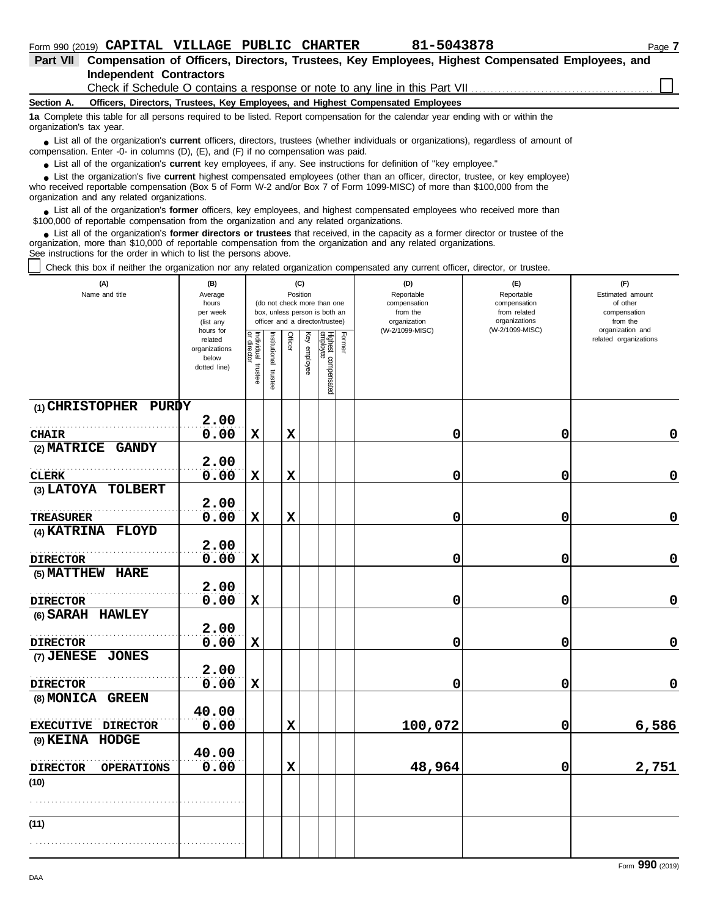| <b>Part VII</b>          | Compensation of Officers, Directors, Trustees, Key Employees, Highest Compensated Employees, and                                                                                                                                   |
|--------------------------|------------------------------------------------------------------------------------------------------------------------------------------------------------------------------------------------------------------------------------|
|                          | Independent Contractors                                                                                                                                                                                                            |
|                          | Check if Schedule O contains a response or note to any line in this Part VII <i>CHARG SCHOLD CHARG CONDI</i>                                                                                                                       |
| Section A.               | Officers, Directors, Trustees, Key Employees, and Highest Compensated Employees                                                                                                                                                    |
| organization's tax year. | 1a Complete this table for all persons required to be listed. Report compensation for the calendar year ending with or within the                                                                                                  |
|                          | • List all of the organization's <b>current</b> officers, directors, trustees (whether individuals or organizations), regardless of amount of<br>compensation. Enter -0- in columns (D), (E), and (F) if no compensation was paid. |

● List all of the organization's **current** key employees, if any. See instructions for definition of "key employee."

who received reportable compensation (Box 5 of Form W-2 and/or Box 7 of Form 1099-MISC) of more than \$100,000 from the organization and any related organizations. ■ List the organization's five **current** highest compensated employees (other than an officer, director, trustee, or key employee)<br> **•** Preceived reportable compensation (Box 5 of Form W.2 and/or Box 7 of Form 1000 MISC)

■ List all of the organization's **former** officers, key employees, and highest compensated employees who received more than<br> **•** 00,000 of reportable compensation from the ergonization and any related ergonizations \$100,000 of reportable compensation from the organization and any related organizations.

■ List all of the organization's **former directors or trustees** that received, in the capacity as a former director or trustee of the<br>paization, more than \$10,000 of reportable compensation from the organization and any r organization, more than \$10,000 of reportable compensation from the organization and any related organizations. See instructions for the order in which to list the persons above.

Check this box if neither the organization nor any related organization compensated any current officer, director, or trustee.

| (W-2/1099-MISC)<br>organization and<br>(W-2/1099-MISC)<br>hours for<br>Individual trustee<br>or director<br>Officer<br>Highest compensated<br>employee<br>Former<br>Key employee<br>nstitutional trustee<br>related organizations<br>related<br>organizations<br>below<br>dotted line)<br>$(1)$ CHRISTOPHER PURDY<br>2.00<br>0.00<br>$\mathbf x$<br>0<br>$\mathbf x$<br>0<br><b>CHAIR</b><br>(2) MATRICE GANDY<br>2.00 |             |
|------------------------------------------------------------------------------------------------------------------------------------------------------------------------------------------------------------------------------------------------------------------------------------------------------------------------------------------------------------------------------------------------------------------------|-------------|
|                                                                                                                                                                                                                                                                                                                                                                                                                        |             |
|                                                                                                                                                                                                                                                                                                                                                                                                                        |             |
|                                                                                                                                                                                                                                                                                                                                                                                                                        | $\mathbf 0$ |
|                                                                                                                                                                                                                                                                                                                                                                                                                        |             |
|                                                                                                                                                                                                                                                                                                                                                                                                                        |             |
| 0.00<br>$\mathbf 0$<br>$\mathbf x$<br>X<br>0<br><b>CLERK</b>                                                                                                                                                                                                                                                                                                                                                           | $\mathbf 0$ |
| (3) LATOYA TOLBERT                                                                                                                                                                                                                                                                                                                                                                                                     |             |
| 2.00                                                                                                                                                                                                                                                                                                                                                                                                                   |             |
| 0.00<br>$\mathbf x$<br>$\mathbf x$<br>0<br>0<br><b>TREASURER</b>                                                                                                                                                                                                                                                                                                                                                       | $\mathbf 0$ |
| (4) KATRINA FLOYD                                                                                                                                                                                                                                                                                                                                                                                                      |             |
| 2.00                                                                                                                                                                                                                                                                                                                                                                                                                   |             |
| 0.00<br>$\mathbf 0$<br>$\mathbf x$<br>0<br><b>DIRECTOR</b>                                                                                                                                                                                                                                                                                                                                                             | $\mathbf 0$ |
| (5) MATTHEW HARE<br>2.00                                                                                                                                                                                                                                                                                                                                                                                               |             |
| 0.00<br>0<br>$\mathbf x$<br>0<br><b>DIRECTOR</b>                                                                                                                                                                                                                                                                                                                                                                       | $\mathbf 0$ |
| (6) SARAH HAWLEY                                                                                                                                                                                                                                                                                                                                                                                                       |             |
| 2.00                                                                                                                                                                                                                                                                                                                                                                                                                   |             |
| 0.00<br>$\mathbf x$<br>0<br>0<br><b>DIRECTOR</b>                                                                                                                                                                                                                                                                                                                                                                       | $\mathbf 0$ |
| (7) JENESE JONES                                                                                                                                                                                                                                                                                                                                                                                                       |             |
| 2.00                                                                                                                                                                                                                                                                                                                                                                                                                   |             |
| 0.00<br>$\mathbf x$<br>0<br>0<br><b>DIRECTOR</b>                                                                                                                                                                                                                                                                                                                                                                       | $\mathbf 0$ |
| (8) MONICA GREEN                                                                                                                                                                                                                                                                                                                                                                                                       |             |
| 40.00<br>0.00<br>6,586<br>$\mathbf x$<br>0                                                                                                                                                                                                                                                                                                                                                                             |             |
| 100,072<br>EXECUTIVE DIRECTOR<br>(9) KEINA HODGE                                                                                                                                                                                                                                                                                                                                                                       |             |
| 40.00                                                                                                                                                                                                                                                                                                                                                                                                                  |             |
| 0.00<br>$\mathbf x$<br>48,964<br>2,751<br>0<br><b>DIRECTOR</b><br><b>OPERATIONS</b>                                                                                                                                                                                                                                                                                                                                    |             |
| (10)                                                                                                                                                                                                                                                                                                                                                                                                                   |             |
|                                                                                                                                                                                                                                                                                                                                                                                                                        |             |
|                                                                                                                                                                                                                                                                                                                                                                                                                        |             |
| (11)                                                                                                                                                                                                                                                                                                                                                                                                                   |             |
|                                                                                                                                                                                                                                                                                                                                                                                                                        |             |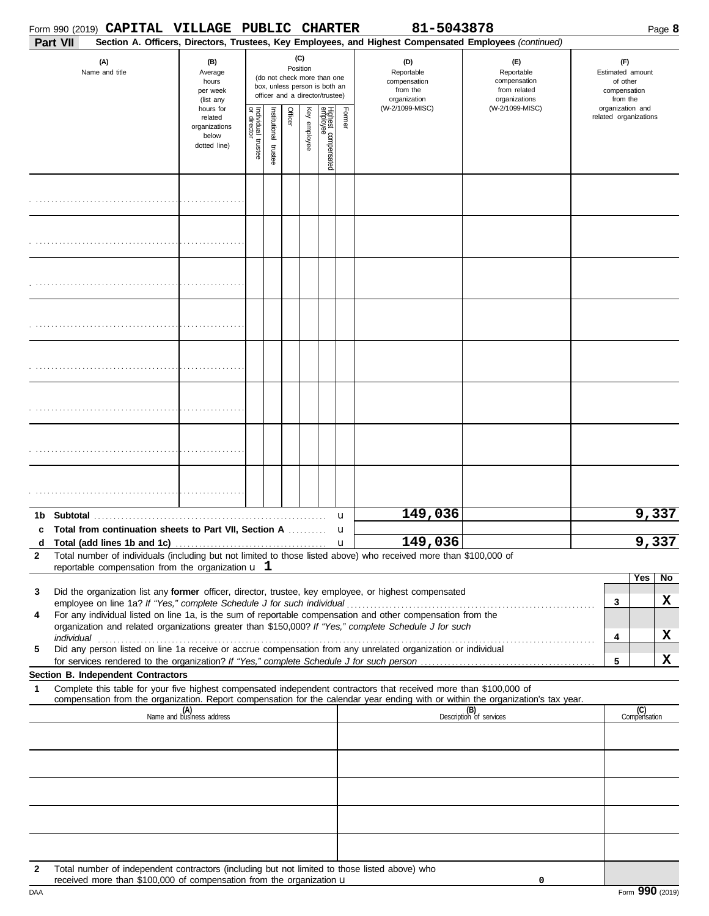|              | Form 990 (2019) CAPITAL VILLAGE PUBLIC CHARTER                                                                                                                                                                                                                                                                                                                                                                                                 |                                                                             |                                      |                      |          |              |                                                                                                 |        | 81-5043878                                                                                                                                              |                                                   |                                                       | Page 8              |
|--------------|------------------------------------------------------------------------------------------------------------------------------------------------------------------------------------------------------------------------------------------------------------------------------------------------------------------------------------------------------------------------------------------------------------------------------------------------|-----------------------------------------------------------------------------|--------------------------------------|----------------------|----------|--------------|-------------------------------------------------------------------------------------------------|--------|---------------------------------------------------------------------------------------------------------------------------------------------------------|---------------------------------------------------|-------------------------------------------------------|---------------------|
|              | Part VII<br>(A)<br>Name and title                                                                                                                                                                                                                                                                                                                                                                                                              | (B)<br>Average<br>hours<br>per week                                         |                                      |                      | Position | (C)          | (do not check more than one<br>box, unless person is both an<br>officer and a director/trustee) |        | Section A. Officers, Directors, Trustees, Key Employees, and Highest Compensated Employees (continued)<br>(D)<br>Reportable<br>compensation<br>from the | (E)<br>Reportable<br>compensation<br>from related | (F)<br>Estimated amount<br>of other<br>compensation   |                     |
|              |                                                                                                                                                                                                                                                                                                                                                                                                                                                | (list any<br>hours for<br>related<br>organizations<br>below<br>dotted line) | Individual<br>or director<br>trustee | nstitutional trustee | Officer  | Key employee | Highest compensated<br>employee                                                                 | Former | organization<br>(W-2/1099-MISC)                                                                                                                         | organizations<br>(W-2/1099-MISC)                  | from the<br>organization and<br>related organizations |                     |
|              |                                                                                                                                                                                                                                                                                                                                                                                                                                                |                                                                             |                                      |                      |          |              |                                                                                                 |        |                                                                                                                                                         |                                                   |                                                       |                     |
|              |                                                                                                                                                                                                                                                                                                                                                                                                                                                |                                                                             |                                      |                      |          |              |                                                                                                 |        |                                                                                                                                                         |                                                   |                                                       |                     |
|              |                                                                                                                                                                                                                                                                                                                                                                                                                                                |                                                                             |                                      |                      |          |              |                                                                                                 |        |                                                                                                                                                         |                                                   |                                                       |                     |
|              |                                                                                                                                                                                                                                                                                                                                                                                                                                                |                                                                             |                                      |                      |          |              |                                                                                                 |        |                                                                                                                                                         |                                                   |                                                       |                     |
|              |                                                                                                                                                                                                                                                                                                                                                                                                                                                |                                                                             |                                      |                      |          |              |                                                                                                 |        |                                                                                                                                                         |                                                   |                                                       |                     |
|              |                                                                                                                                                                                                                                                                                                                                                                                                                                                |                                                                             |                                      |                      |          |              |                                                                                                 |        |                                                                                                                                                         |                                                   |                                                       |                     |
|              |                                                                                                                                                                                                                                                                                                                                                                                                                                                |                                                                             |                                      |                      |          |              |                                                                                                 |        |                                                                                                                                                         |                                                   |                                                       |                     |
|              |                                                                                                                                                                                                                                                                                                                                                                                                                                                |                                                                             |                                      |                      |          |              |                                                                                                 |        |                                                                                                                                                         |                                                   |                                                       |                     |
| c            | Total from continuation sheets to Part VII, Section A                                                                                                                                                                                                                                                                                                                                                                                          |                                                                             |                                      |                      |          |              |                                                                                                 | u<br>u | 149,036                                                                                                                                                 |                                                   |                                                       | 9,337               |
| $\mathbf{2}$ | Total number of individuals (including but not limited to those listed above) who received more than \$100,000 of<br>reportable compensation from the organization $\mathbf u$ 1                                                                                                                                                                                                                                                               |                                                                             |                                      |                      |          |              |                                                                                                 |        | 149,036                                                                                                                                                 |                                                   |                                                       | 9,337               |
| 3<br>4<br>5  | Did the organization list any former officer, director, trustee, key employee, or highest compensated<br>For any individual listed on line 1a, is the sum of reportable compensation and other compensation from the<br>organization and related organizations greater than \$150,000? If "Yes," complete Schedule J for such<br>Did any person listed on line 1a receive or accrue compensation from any unrelated organization or individual |                                                                             |                                      |                      |          |              |                                                                                                 |        |                                                                                                                                                         |                                                   | 3<br>4                                                | Yes<br>No<br>X<br>X |
|              | Section B. Independent Contractors                                                                                                                                                                                                                                                                                                                                                                                                             |                                                                             |                                      |                      |          |              |                                                                                                 |        |                                                                                                                                                         |                                                   | 5                                                     | X                   |
| 1            | Complete this table for your five highest compensated independent contractors that received more than \$100,000 of<br>compensation from the organization. Report compensation for the calendar year ending with or within the organization's tax year.                                                                                                                                                                                         |                                                                             |                                      |                      |          |              |                                                                                                 |        |                                                                                                                                                         |                                                   |                                                       |                     |
|              |                                                                                                                                                                                                                                                                                                                                                                                                                                                | (A)<br>Name and business address                                            |                                      |                      |          |              |                                                                                                 |        |                                                                                                                                                         | (B)<br>Description of services                    |                                                       | (C)<br>Compensation |
|              |                                                                                                                                                                                                                                                                                                                                                                                                                                                |                                                                             |                                      |                      |          |              |                                                                                                 |        |                                                                                                                                                         |                                                   |                                                       |                     |
|              |                                                                                                                                                                                                                                                                                                                                                                                                                                                |                                                                             |                                      |                      |          |              |                                                                                                 |        |                                                                                                                                                         |                                                   |                                                       |                     |
| $\mathbf{2}$ | Total number of independent contractors (including but not limited to those listed above) who<br>received more than \$100,000 of compensation from the organization $\mathbf u$                                                                                                                                                                                                                                                                |                                                                             |                                      |                      |          |              |                                                                                                 |        |                                                                                                                                                         | 0                                                 |                                                       |                     |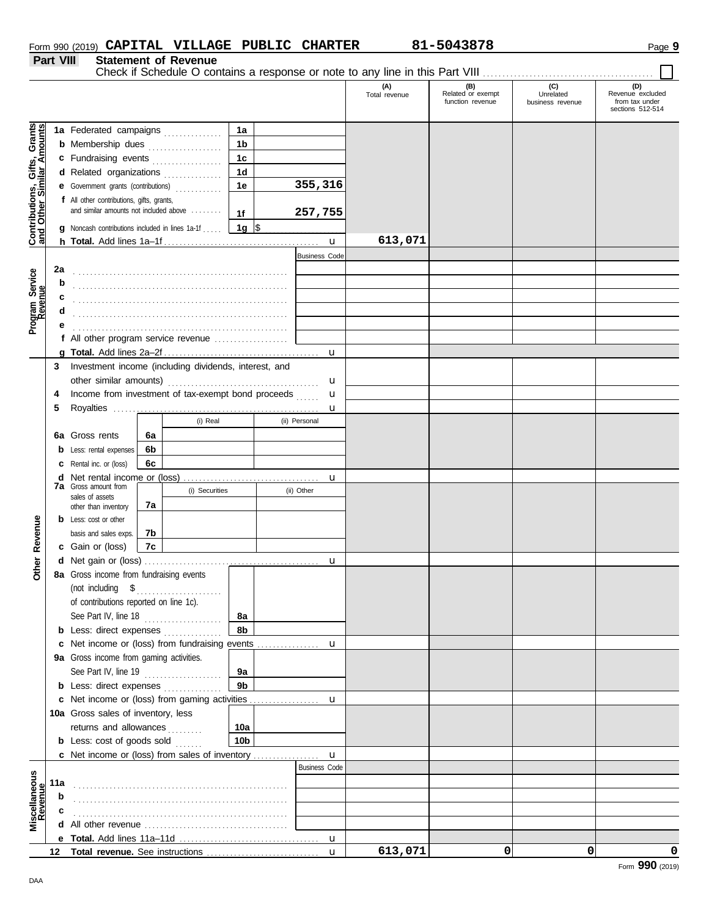|                  | Form 990 (2019) CAPITAL VILLAGE PUBLIC CHARTER |  | 81-5043878 | Page 9 |
|------------------|------------------------------------------------|--|------------|--------|
| <b>Part VIII</b> | <b>Statement of Revenue</b>                    |  |            |        |

|                                                                  |     |                                                                                     |    |                |                  |  |                      | (A)<br>Total revenue | (B)<br>Related or exempt<br>function revenue | (C)<br>Unrelated<br>business revenue | (D)<br>Revenue excluded<br>from tax under<br>sections 512-514 |
|------------------------------------------------------------------|-----|-------------------------------------------------------------------------------------|----|----------------|------------------|--|----------------------|----------------------|----------------------------------------------|--------------------------------------|---------------------------------------------------------------|
|                                                                  |     | 1a Federated campaigns                                                              |    |                | 1a               |  |                      |                      |                                              |                                      |                                                               |
| <b>Contributions, Gifts, Grants</b><br>and Other Similar Amounts |     | <b>b</b> Membership dues <i></i>                                                    |    |                | 1 <sub>b</sub>   |  |                      |                      |                                              |                                      |                                                               |
|                                                                  |     | c Fundraising events                                                                |    |                | 1 <sub>c</sub>   |  |                      |                      |                                              |                                      |                                                               |
|                                                                  |     |                                                                                     |    |                | 1 <sub>d</sub>   |  |                      |                      |                                              |                                      |                                                               |
|                                                                  |     | d Related organizations                                                             |    |                |                  |  | 355,316              |                      |                                              |                                      |                                                               |
|                                                                  |     | e Government grants (contributions)                                                 |    | .              | 1e               |  |                      |                      |                                              |                                      |                                                               |
|                                                                  |     | f All other contributions, gifts, grants,<br>and similar amounts not included above |    |                |                  |  |                      |                      |                                              |                                      |                                                               |
|                                                                  |     |                                                                                     |    |                | 1f               |  | 257,755              |                      |                                              |                                      |                                                               |
|                                                                  | g   | Noncash contributions included in lines 1a-1f                                       |    |                | 1g $\frac{1}{3}$ |  |                      |                      |                                              |                                      |                                                               |
|                                                                  |     |                                                                                     |    |                |                  |  | $\mathbf{u}$         | 613,071              |                                              |                                      |                                                               |
|                                                                  |     |                                                                                     |    |                |                  |  | <b>Business Code</b> |                      |                                              |                                      |                                                               |
|                                                                  | 2a  |                                                                                     |    |                |                  |  |                      |                      |                                              |                                      |                                                               |
| Program Service<br>Revenue                                       | b   |                                                                                     |    |                |                  |  |                      |                      |                                              |                                      |                                                               |
|                                                                  |     |                                                                                     |    |                |                  |  |                      |                      |                                              |                                      |                                                               |
|                                                                  |     |                                                                                     |    |                |                  |  |                      |                      |                                              |                                      |                                                               |
|                                                                  |     |                                                                                     |    |                |                  |  |                      |                      |                                              |                                      |                                                               |
|                                                                  |     | f All other program service revenue                                                 |    |                |                  |  |                      |                      |                                              |                                      |                                                               |
|                                                                  |     |                                                                                     |    |                |                  |  | $\mathbf u$          |                      |                                              |                                      |                                                               |
|                                                                  | 3   | Investment income (including dividends, interest, and                               |    |                |                  |  |                      |                      |                                              |                                      |                                                               |
|                                                                  |     |                                                                                     |    |                |                  |  |                      |                      |                                              |                                      |                                                               |
|                                                                  | 4   | Income from investment of tax-exempt bond proceeds                                  |    |                |                  |  | u                    |                      |                                              |                                      |                                                               |
|                                                                  | 5   |                                                                                     |    |                |                  |  | u                    |                      |                                              |                                      |                                                               |
|                                                                  |     |                                                                                     |    | (i) Real       |                  |  | (ii) Personal        |                      |                                              |                                      |                                                               |
|                                                                  | 6а  | Gross rents                                                                         | 6a |                |                  |  |                      |                      |                                              |                                      |                                                               |
|                                                                  | b   | Less: rental expenses                                                               | 6b |                |                  |  |                      |                      |                                              |                                      |                                                               |
|                                                                  |     | Rental inc. or (loss)                                                               | 6c |                |                  |  |                      |                      |                                              |                                      |                                                               |
|                                                                  |     | <b>d</b> Net rental income or (loss)                                                |    |                |                  |  | u                    |                      |                                              |                                      |                                                               |
|                                                                  |     | <b>7a</b> Gross amount from                                                         |    | (i) Securities |                  |  | (ii) Other           |                      |                                              |                                      |                                                               |
|                                                                  |     | sales of assets<br>other than inventory                                             | 7а |                |                  |  |                      |                      |                                              |                                      |                                                               |
|                                                                  |     | <b>b</b> Less: cost or other                                                        |    |                |                  |  |                      |                      |                                              |                                      |                                                               |
| Revenue                                                          |     | basis and sales exps.                                                               | 7b |                |                  |  |                      |                      |                                              |                                      |                                                               |
|                                                                  |     | c Gain or (loss)                                                                    | 7c |                |                  |  |                      |                      |                                              |                                      |                                                               |
|                                                                  |     |                                                                                     |    |                |                  |  | $\mathbf u$          |                      |                                              |                                      |                                                               |
| Other                                                            |     | 8a Gross income from fundraising events                                             |    |                |                  |  |                      |                      |                                              |                                      |                                                               |
|                                                                  |     | (not including $$$                                                                  |    |                |                  |  |                      |                      |                                              |                                      |                                                               |
|                                                                  |     | of contributions reported on line 1c).                                              |    | .              |                  |  |                      |                      |                                              |                                      |                                                               |
|                                                                  |     | See Part IV, line 18                                                                |    |                | 8а               |  |                      |                      |                                              |                                      |                                                               |
|                                                                  |     | <b>b</b> Less: direct expenses <i>minimum</i>                                       |    |                | 8b               |  |                      |                      |                                              |                                      |                                                               |
|                                                                  |     | c Net income or (loss) from fundraising events                                      |    |                |                  |  |                      |                      |                                              |                                      |                                                               |
|                                                                  |     | 9a Gross income from gaming activities.                                             |    |                |                  |  | u                    |                      |                                              |                                      |                                                               |
|                                                                  |     |                                                                                     |    |                | 9а               |  |                      |                      |                                              |                                      |                                                               |
|                                                                  |     | See Part IV, line 19                                                                |    |                | 9 <sub>b</sub>   |  |                      |                      |                                              |                                      |                                                               |
|                                                                  |     | <b>b</b> Less: direct expenses                                                      |    |                |                  |  |                      |                      |                                              |                                      |                                                               |
|                                                                  |     | c Net income or (loss) from gaming activities                                       |    |                |                  |  | u                    |                      |                                              |                                      |                                                               |
|                                                                  |     | 10a Gross sales of inventory, less                                                  |    |                |                  |  |                      |                      |                                              |                                      |                                                               |
|                                                                  |     | returns and allowances                                                              |    |                | 10a              |  |                      |                      |                                              |                                      |                                                               |
|                                                                  |     | <b>b</b> Less: cost of goods sold                                                   |    |                | 10 <sub>b</sub>  |  |                      |                      |                                              |                                      |                                                               |
|                                                                  |     |                                                                                     |    |                |                  |  | u                    |                      |                                              |                                      |                                                               |
|                                                                  |     |                                                                                     |    |                |                  |  | <b>Business Code</b> |                      |                                              |                                      |                                                               |
|                                                                  | 11a |                                                                                     |    |                |                  |  |                      |                      |                                              |                                      |                                                               |
|                                                                  | b   |                                                                                     |    |                |                  |  |                      |                      |                                              |                                      |                                                               |
| Miscellaneous<br>Revenue                                         | c   |                                                                                     |    |                |                  |  |                      |                      |                                              |                                      |                                                               |
|                                                                  |     |                                                                                     |    |                |                  |  |                      |                      |                                              |                                      |                                                               |
|                                                                  |     |                                                                                     |    |                |                  |  |                      |                      |                                              |                                      |                                                               |
|                                                                  |     |                                                                                     |    |                |                  |  | $\mathbf{u}$         | 613,071              | 0                                            | 0                                    | 0                                                             |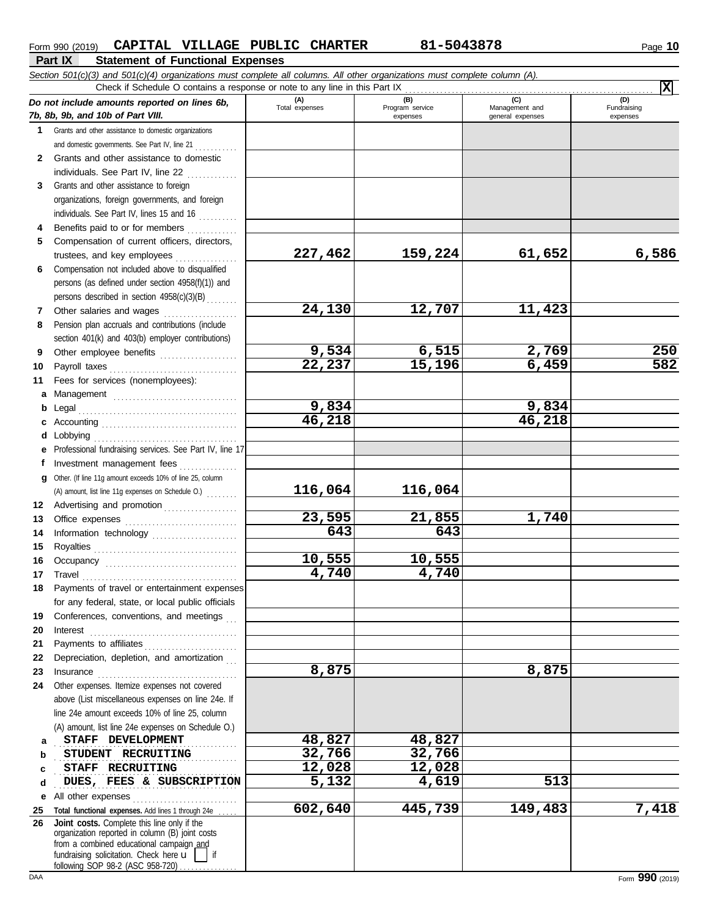| CAPITAL VILLAGE PUBLIC CHARTER<br>Form 990 (2019)                                                                                                                                |                       | 81-5043878             |                       | Page 10            |
|----------------------------------------------------------------------------------------------------------------------------------------------------------------------------------|-----------------------|------------------------|-----------------------|--------------------|
| <b>Statement of Functional Expenses</b><br>Part IX<br>Section 501(c)(3) and 501(c)(4) organizations must complete all columns. All other organizations must complete column (A). |                       |                        |                       |                    |
| Check if Schedule O contains a response or note to any line in this Part IX                                                                                                      |                       |                        |                       | x                  |
| Do not include amounts reported on lines 6b,                                                                                                                                     | (A)<br>Total expenses | (B)<br>Program service | (C)<br>Management and | (D)<br>Fundraising |
| 7b, 8b, 9b, and 10b of Part VIII.                                                                                                                                                |                       | expenses               | general expenses      | expenses           |
| Grants and other assistance to domestic organizations<br>$\mathbf 1$                                                                                                             |                       |                        |                       |                    |
| and domestic governments. See Part IV, line 21                                                                                                                                   |                       |                        |                       |                    |
| Grants and other assistance to domestic<br>$\mathbf{2}$<br>individuals. See Part IV, line 22                                                                                     |                       |                        |                       |                    |
| Grants and other assistance to foreign<br>3                                                                                                                                      |                       |                        |                       |                    |
| organizations, foreign governments, and foreign                                                                                                                                  |                       |                        |                       |                    |
| individuals. See Part IV, lines 15 and 16                                                                                                                                        |                       |                        |                       |                    |
| Benefits paid to or for members<br>4                                                                                                                                             |                       |                        |                       |                    |
| Compensation of current officers, directors,<br>5                                                                                                                                |                       |                        |                       |                    |
| trustees, and key employees                                                                                                                                                      | 227,462               | 159,224                | 61,652                | 6,586              |
| Compensation not included above to disqualified<br>6                                                                                                                             |                       |                        |                       |                    |
| persons (as defined under section 4958(f)(1)) and                                                                                                                                |                       |                        |                       |                    |
| persons described in section 4958(c)(3)(B)                                                                                                                                       |                       |                        |                       |                    |
| Other salaries and wages<br>7<br>.                                                                                                                                               | 24,130                | 12,707                 | 11,423                |                    |
| Pension plan accruals and contributions (include<br>8                                                                                                                            |                       |                        |                       |                    |
| section 401(k) and 403(b) employer contributions)                                                                                                                                | 9,534                 | 6,515                  | 2,769                 | 250                |
| Other employee benefits<br>9                                                                                                                                                     | $\overline{22,237}$   | 15,196                 | 6,459                 | 582                |
| 10<br>11<br>Fees for services (nonemployees):                                                                                                                                    |                       |                        |                       |                    |
| a                                                                                                                                                                                |                       |                        |                       |                    |
| Management<br>b                                                                                                                                                                  | 9,834                 |                        | 9,834                 |                    |
|                                                                                                                                                                                  | 46,218                |                        | 46,218                |                    |
| Lobbying<br>d                                                                                                                                                                    |                       |                        |                       |                    |
| e Professional fundraising services. See Part IV, line 17                                                                                                                        |                       |                        |                       |                    |
| Investment management fees<br>f                                                                                                                                                  |                       |                        |                       |                    |
| Other. (If line 11g amount exceeds 10% of line 25, column<br>q                                                                                                                   |                       |                        |                       |                    |
| (A) amount, list line 11g expenses on Schedule O.)                                                                                                                               | 116,064               | 116,064                |                       |                    |
| 12 Advertising and promotion [1] [1] Advertising and promotion                                                                                                                   |                       |                        |                       |                    |
| 13                                                                                                                                                                               | 23,595                | 21,855                 | 1,740                 |                    |
| Information technology<br>14                                                                                                                                                     | 643                   | 643                    |                       |                    |

**26**

**19 20 21**

**23**

**a b c d**

**22** Depreciation, depletion, and amortization . . .

Insurance . . . . . . . . . . . . . . . . . . . . . . . . . . . . . . . . . . . .

above (List miscellaneous expenses on line 24e. If line 24e amount exceeds 10% of line 25, column (A) amount, list line 24e expenses on Schedule O.)

**STAFF DEVELOPMENT 48,827 48,827 STUDENT RECRUITING 32,766** 32,766 . . . . . . . . . . . . . . . . . . . . . . . . . . . . . . . . . . . . . . . . . . . . . . . **STAFF RECRUITING 12,028 12,028**

**DUES, FEES & SUBSCRIPTION 5,132 4,619 513** 

**10,555 10,555**

**8,875 8,875**

**602,640 445,739 149,483 7,418**

**4,740 4,740**

Royalties . . . . . . . . . . . . . . . . . . . . . . . . . . . . . . . . . . . . . Occupancy . . . . . . . . . . . . . . . . . . . . . . . . . . . . . . . . . . Travel . . . . . . . . . . . . . . . . . . . . . . . . . . . . . . . . . . . . . . . . Payments of travel or entertainment expenses for any federal, state, or local public officials Conferences, conventions, and meetings Interest . . . . . . . . . . . . . . . . . . . . . . . . . . . . . . . . . . . . . . Payments to affiliates . . . . . . . . . . . . . . . . . . . . . . . .

**e** All other expenses . . . . . . . . . . . . . . . . . . . . . . . . . . . **25 Total functional expenses.** Add lines 1 through 24e . . . . .

fundraising solicitation. Check here  $\mathbf{u}$ organization reported in column (B) joint costs from a combined educational campaign and

**Joint costs.** Complete this line only if the

following SOP 98-2 (ASC 958-720)

**24** Other expenses. Itemize expenses not covered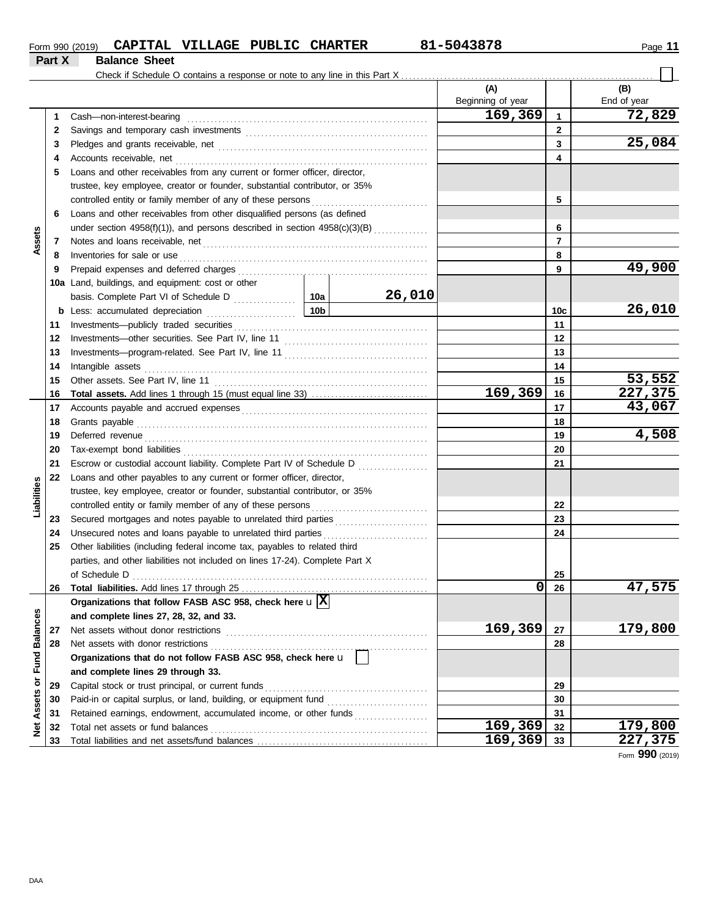| Form 990 (2019) | CAPITAL VILLAGE      | PUBLIC | <b>CHARTER</b> | 81-5043878 | Page |
|-----------------|----------------------|--------|----------------|------------|------|
| Part X          | <b>Balance Sheet</b> |        |                |            |      |

|                 |    |                                                                                                                                                                                                                                     |     |        | (A)<br>Beginning of year |              | (B)<br>End of year |
|-----------------|----|-------------------------------------------------------------------------------------------------------------------------------------------------------------------------------------------------------------------------------------|-----|--------|--------------------------|--------------|--------------------|
|                 | 1  | Cash-non-interest-bearing                                                                                                                                                                                                           |     |        | 169,369                  | $\mathbf{1}$ | 72,829             |
|                 | 2  |                                                                                                                                                                                                                                     |     |        |                          | $\mathbf{2}$ |                    |
|                 | 3  |                                                                                                                                                                                                                                     |     |        |                          | 3            | 25,084             |
|                 | 4  | Accounts receivable, net                                                                                                                                                                                                            |     | 4      |                          |              |                    |
|                 | 5  | Loans and other receivables from any current or former officer, director,                                                                                                                                                           |     |        |                          |              |                    |
|                 |    | trustee, key employee, creator or founder, substantial contributor, or 35%                                                                                                                                                          |     |        |                          |              |                    |
|                 |    | controlled entity or family member of any of these persons                                                                                                                                                                          |     |        |                          | 5            |                    |
|                 | 6  | Loans and other receivables from other disqualified persons (as defined                                                                                                                                                             |     |        |                          |              |                    |
|                 |    | under section 4958(f)(1)), and persons described in section 4958(c)(3)(B)                                                                                                                                                           |     |        |                          | 6            |                    |
| Assets          | 7  |                                                                                                                                                                                                                                     |     |        |                          | 7            |                    |
|                 | 8  | Inventories for sale or use <i>communication</i> and the state of the state or use of the state of the state of the state of the state of the state of the state of the state of the state of the state of the state of the state o |     |        |                          | 8            |                    |
|                 | 9  |                                                                                                                                                                                                                                     |     |        | 9                        | 49,900       |                    |
|                 |    | 10a Land, buildings, and equipment: cost or other                                                                                                                                                                                   |     |        |                          |              |                    |
|                 |    |                                                                                                                                                                                                                                     | 10a | 26,010 |                          |              |                    |
|                 |    |                                                                                                                                                                                                                                     |     |        | 10c                      | 26,010       |                    |
|                 | 11 |                                                                                                                                                                                                                                     |     |        | 11                       |              |                    |
|                 | 12 |                                                                                                                                                                                                                                     |     |        | 12                       |              |                    |
|                 | 13 |                                                                                                                                                                                                                                     |     |        | 13                       |              |                    |
|                 | 14 | Intangible assets with a control of the control of the control of the control of the control of the control of the control of the control of the control of the control of the control of the control of the control of the co      |     |        | 14                       |              |                    |
|                 | 15 |                                                                                                                                                                                                                                     |     |        |                          | 15           | 53,552             |
|                 | 16 |                                                                                                                                                                                                                                     |     |        | 169,369                  | 16           | 227,375            |
|                 | 17 |                                                                                                                                                                                                                                     |     |        |                          | 17           | 43,067             |
|                 | 18 |                                                                                                                                                                                                                                     |     |        |                          | 18           |                    |
|                 | 19 |                                                                                                                                                                                                                                     |     | 19     | 4,508                    |              |                    |
|                 | 20 |                                                                                                                                                                                                                                     |     |        |                          | 20           |                    |
|                 | 21 | Escrow or custodial account liability. Complete Part IV of Schedule D                                                                                                                                                               |     |        |                          | 21           |                    |
|                 | 22 | Loans and other payables to any current or former officer, director,                                                                                                                                                                |     |        |                          |              |                    |
| Liabilities     |    | trustee, key employee, creator or founder, substantial contributor, or 35%                                                                                                                                                          |     |        |                          |              |                    |
|                 |    |                                                                                                                                                                                                                                     |     |        |                          | 22           |                    |
|                 | 23 |                                                                                                                                                                                                                                     |     |        |                          | 23           |                    |
|                 | 24 | Unsecured notes and loans payable to unrelated third parties                                                                                                                                                                        |     |        |                          | 24           |                    |
|                 | 25 | Other liabilities (including federal income tax, payables to related third                                                                                                                                                          |     |        |                          |              |                    |
|                 |    | parties, and other liabilities not included on lines 17-24). Complete Part X                                                                                                                                                        |     |        |                          |              |                    |
|                 |    |                                                                                                                                                                                                                                     |     |        |                          | 25           |                    |
|                 | 26 |                                                                                                                                                                                                                                     |     |        | υ                        | 26           | 47,575             |
|                 |    | Organizations that follow FASB ASC 958, check here $\mathbf{u} \mathbf{X} $                                                                                                                                                         |     |        |                          |              |                    |
| <b>Balances</b> |    | and complete lines 27, 28, 32, and 33.                                                                                                                                                                                              |     |        |                          |              |                    |
|                 | 27 | Net assets without donor restrictions                                                                                                                                                                                               |     |        | 169,369                  | 27           | 179,800            |
|                 | 28 | Net assets with donor restrictions                                                                                                                                                                                                  |     |        |                          | 28           |                    |
| <b>Fund</b>     |    | Organizations that do not follow FASB ASC 958, check here u                                                                                                                                                                         |     |        |                          |              |                    |
|                 |    | and complete lines 29 through 33.                                                                                                                                                                                                   |     |        |                          |              |                    |
| ŏ               | 29 | Capital stock or trust principal, or current funds                                                                                                                                                                                  |     |        | 29                       |              |                    |
| Assets          | 30 | Paid-in or capital surplus, or land, building, or equipment fund [                                                                                                                                                                  |     |        |                          | 30           |                    |
|                 | 31 | Retained earnings, endowment, accumulated income, or other funds                                                                                                                                                                    |     |        |                          | 31           |                    |
| ğ               | 32 | Total net assets or fund balances                                                                                                                                                                                                   |     |        | 169,369                  | 32           | 179,800            |
|                 | 33 |                                                                                                                                                                                                                                     |     |        | 169,369                  | 33           | 227,375            |

Form **990** (2019)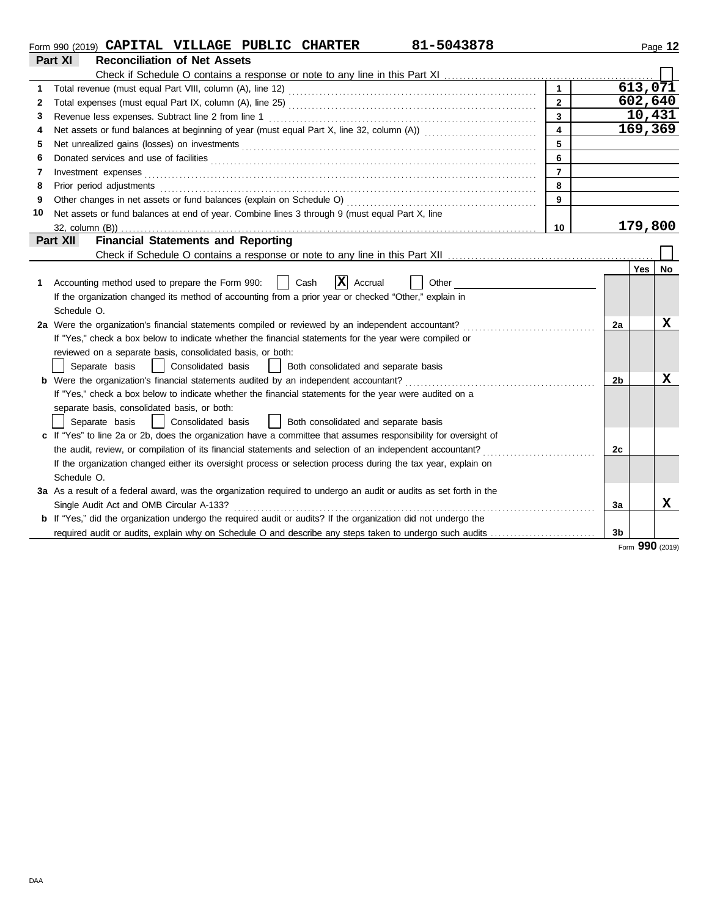|    | 81-5043878<br>Form 990 (2019) CAPITAL VILLAGE PUBLIC CHARTER                                                          |                         |                |            | Page 12 |
|----|-----------------------------------------------------------------------------------------------------------------------|-------------------------|----------------|------------|---------|
|    | <b>Reconciliation of Net Assets</b><br>Part XI                                                                        |                         |                |            |         |
|    |                                                                                                                       |                         |                |            |         |
|    |                                                                                                                       | $\mathbf{1}$            |                | 613,071    |         |
| 2  |                                                                                                                       | $\overline{2}$          |                | 602,640    |         |
| 3  |                                                                                                                       | $\overline{3}$          |                | 10,431     |         |
| 4  |                                                                                                                       | $\overline{\mathbf{4}}$ |                | 169,369    |         |
| 5  |                                                                                                                       | 5                       |                |            |         |
| 6  |                                                                                                                       | 6                       |                |            |         |
| 7  | Investment expenses                                                                                                   | $\overline{7}$          |                |            |         |
| 8  | Prior period adjustments                                                                                              | 8                       |                |            |         |
| 9  | Other changes in net assets or fund balances (explain on Schedule O)                                                  | 9                       |                |            |         |
| 10 | Net assets or fund balances at end of year. Combine lines 3 through 9 (must equal Part X, line                        |                         |                |            |         |
|    |                                                                                                                       | 10                      |                | 179,800    |         |
|    | <b>Financial Statements and Reporting</b><br>Part XII                                                                 |                         |                |            |         |
|    |                                                                                                                       |                         |                |            |         |
|    |                                                                                                                       |                         |                | <b>Yes</b> | No      |
| 1  | $ \mathbf{X} $ Accrual<br>Accounting method used to prepare the Form 990:<br>Cash<br>Other                            |                         |                |            |         |
|    | If the organization changed its method of accounting from a prior year or checked "Other," explain in                 |                         |                |            |         |
|    | Schedule O.                                                                                                           |                         |                |            |         |
|    | 2a Were the organization's financial statements compiled or reviewed by an independent accountant?                    |                         | 2a             |            | x       |
|    | If "Yes," check a box below to indicate whether the financial statements for the year were compiled or                |                         |                |            |         |
|    | reviewed on a separate basis, consolidated basis, or both:                                                            |                         |                |            |         |
|    | Consolidated basis<br>Separate basis<br>  Both consolidated and separate basis                                        |                         |                |            |         |
|    | <b>b</b> Were the organization's financial statements audited by an independent accountant?                           |                         | 2 <sub>b</sub> |            | x       |
|    | If "Yes," check a box below to indicate whether the financial statements for the year were audited on a               |                         |                |            |         |
|    | separate basis, consolidated basis, or both:                                                                          |                         |                |            |         |
|    | Separate basis<br>  Consolidated basis<br>  Both consolidated and separate basis                                      |                         |                |            |         |
|    | c If "Yes" to line 2a or 2b, does the organization have a committee that assumes responsibility for oversight of      |                         |                |            |         |
|    | the audit, review, or compilation of its financial statements and selection of an independent accountant?             |                         | 2c             |            |         |
|    | If the organization changed either its oversight process or selection process during the tax year, explain on         |                         |                |            |         |
|    | Schedule O.                                                                                                           |                         |                |            |         |
|    | 3a As a result of a federal award, was the organization required to undergo an audit or audits as set forth in the    |                         |                |            |         |
|    | Single Audit Act and OMB Circular A-133?                                                                              |                         | За             |            | X       |
|    | <b>b</b> If "Yes," did the organization undergo the required audit or audits? If the organization did not undergo the |                         |                |            |         |
|    | required audit or audits, explain why on Schedule O and describe any steps taken to undergo such audits               |                         | 3b             |            |         |

Form **990** (2019)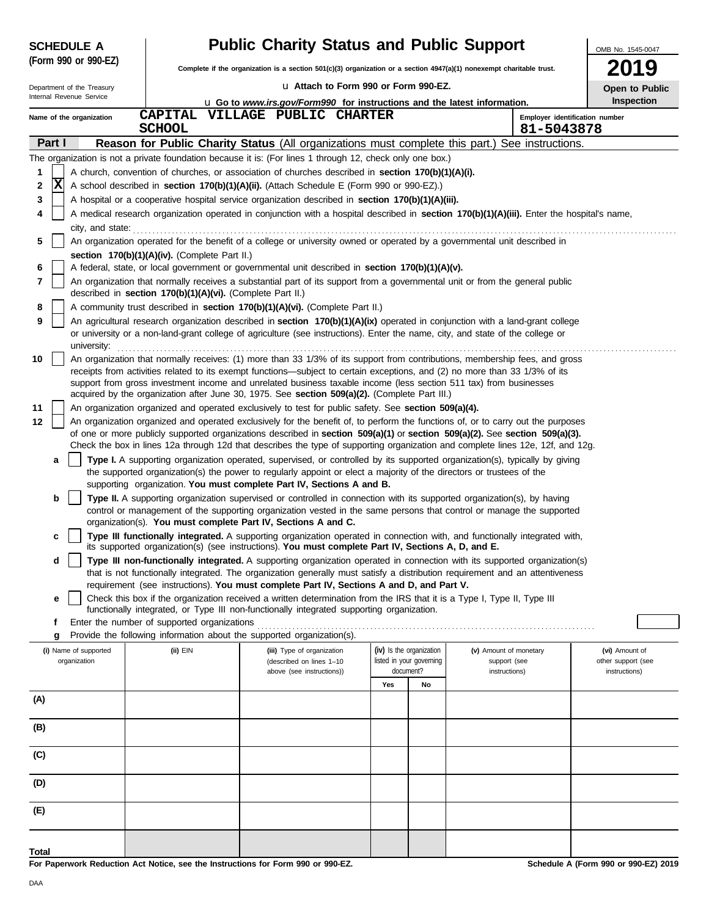|         | <b>SCHEDULE A</b>                     |                                                            | <b>Public Charity Status and Public Support</b>                                                                                                                                                                                                                                                                  |                                                                                                                          |    |                                        |            |                                              |  |  |
|---------|---------------------------------------|------------------------------------------------------------|------------------------------------------------------------------------------------------------------------------------------------------------------------------------------------------------------------------------------------------------------------------------------------------------------------------|--------------------------------------------------------------------------------------------------------------------------|----|----------------------------------------|------------|----------------------------------------------|--|--|
|         | (Form 990 or 990-EZ)                  |                                                            |                                                                                                                                                                                                                                                                                                                  | Complete if the organization is a section $501(c)(3)$ organization or a section $4947(a)(1)$ nonexempt charitable trust. |    |                                        |            |                                              |  |  |
|         | Department of the Treasury            |                                                            | La Attach to Form 990 or Form 990-EZ.                                                                                                                                                                                                                                                                            | -9<br>Open to Public                                                                                                     |    |                                        |            |                                              |  |  |
|         | Internal Revenue Service              |                                                            |                                                                                                                                                                                                                                                                                                                  | <b>u</b> Go to www.irs.gov/Form990 for instructions and the latest information.                                          |    |                                        |            |                                              |  |  |
|         | Name of the organization              | <b>CAPITAL</b><br><b>SCHOOL</b>                            | VILLAGE PUBLIC CHARTER                                                                                                                                                                                                                                                                                           |                                                                                                                          |    |                                        | 81-5043878 | Inspection<br>Employer identification number |  |  |
| Part I  |                                       |                                                            | Reason for Public Charity Status (All organizations must complete this part.) See instructions.                                                                                                                                                                                                                  |                                                                                                                          |    |                                        |            |                                              |  |  |
|         |                                       |                                                            | The organization is not a private foundation because it is: (For lines 1 through 12, check only one box.)                                                                                                                                                                                                        |                                                                                                                          |    |                                        |            |                                              |  |  |
| 1       |                                       |                                                            | A church, convention of churches, or association of churches described in section 170(b)(1)(A)(i).                                                                                                                                                                                                               |                                                                                                                          |    |                                        |            |                                              |  |  |
| ΙX<br>2 |                                       |                                                            | A school described in section 170(b)(1)(A)(ii). (Attach Schedule E (Form 990 or 990-EZ).)                                                                                                                                                                                                                        |                                                                                                                          |    |                                        |            |                                              |  |  |
| 3       |                                       |                                                            | A hospital or a cooperative hospital service organization described in section 170(b)(1)(A)(iii).                                                                                                                                                                                                                |                                                                                                                          |    |                                        |            |                                              |  |  |
| 4       |                                       |                                                            | A medical research organization operated in conjunction with a hospital described in section 170(b)(1)(A)(iii). Enter the hospital's name,                                                                                                                                                                       |                                                                                                                          |    |                                        |            |                                              |  |  |
|         |                                       |                                                            | city, and state: <i>commutively</i> and state:                                                                                                                                                                                                                                                                   |                                                                                                                          |    |                                        |            |                                              |  |  |
| 5       |                                       |                                                            | An organization operated for the benefit of a college or university owned or operated by a governmental unit described in                                                                                                                                                                                        |                                                                                                                          |    |                                        |            |                                              |  |  |
|         |                                       | section 170(b)(1)(A)(iv). (Complete Part II.)              |                                                                                                                                                                                                                                                                                                                  |                                                                                                                          |    |                                        |            |                                              |  |  |
| 6<br>7  |                                       |                                                            | A federal, state, or local government or governmental unit described in section 170(b)(1)(A)(v).<br>An organization that normally receives a substantial part of its support from a governmental unit or from the general public                                                                                 |                                                                                                                          |    |                                        |            |                                              |  |  |
|         |                                       | described in section 170(b)(1)(A)(vi). (Complete Part II.) |                                                                                                                                                                                                                                                                                                                  |                                                                                                                          |    |                                        |            |                                              |  |  |
| 8       |                                       |                                                            | A community trust described in section 170(b)(1)(A)(vi). (Complete Part II.)                                                                                                                                                                                                                                     |                                                                                                                          |    |                                        |            |                                              |  |  |
| 9       |                                       |                                                            | An agricultural research organization described in section 170(b)(1)(A)(ix) operated in conjunction with a land-grant college<br>or university or a non-land-grant college of agriculture (see instructions). Enter the name, city, and state of the college or                                                  |                                                                                                                          |    |                                        |            |                                              |  |  |
|         | university:                           |                                                            |                                                                                                                                                                                                                                                                                                                  |                                                                                                                          |    |                                        |            |                                              |  |  |
| 10      |                                       |                                                            | An organization that normally receives: (1) more than 33 1/3% of its support from contributions, membership fees, and gross<br>receipts from activities related to its exempt functions—subject to certain exceptions, and (2) no more than 33 1/3% of its                                                       |                                                                                                                          |    |                                        |            |                                              |  |  |
|         |                                       |                                                            | support from gross investment income and unrelated business taxable income (less section 511 tax) from businesses                                                                                                                                                                                                |                                                                                                                          |    |                                        |            |                                              |  |  |
|         |                                       |                                                            | acquired by the organization after June 30, 1975. See section 509(a)(2). (Complete Part III.)                                                                                                                                                                                                                    |                                                                                                                          |    |                                        |            |                                              |  |  |
| 11      |                                       |                                                            | An organization organized and operated exclusively to test for public safety. See section 509(a)(4).                                                                                                                                                                                                             |                                                                                                                          |    |                                        |            |                                              |  |  |
| 12      |                                       |                                                            | An organization organized and operated exclusively for the benefit of, to perform the functions of, or to carry out the purposes<br>of one or more publicly supported organizations described in section 509(a)(1) or section 509(a)(2). See section 509(a)(3).                                                  |                                                                                                                          |    |                                        |            |                                              |  |  |
|         |                                       |                                                            | Check the box in lines 12a through 12d that describes the type of supporting organization and complete lines 12e, 12f, and 12g.                                                                                                                                                                                  |                                                                                                                          |    |                                        |            |                                              |  |  |
| a       |                                       |                                                            | Type I. A supporting organization operated, supervised, or controlled by its supported organization(s), typically by giving                                                                                                                                                                                      |                                                                                                                          |    |                                        |            |                                              |  |  |
|         |                                       |                                                            | the supported organization(s) the power to regularly appoint or elect a majority of the directors or trustees of the                                                                                                                                                                                             |                                                                                                                          |    |                                        |            |                                              |  |  |
|         |                                       |                                                            | supporting organization. You must complete Part IV, Sections A and B.                                                                                                                                                                                                                                            |                                                                                                                          |    |                                        |            |                                              |  |  |
| b       |                                       |                                                            | Type II. A supporting organization supervised or controlled in connection with its supported organization(s), by having<br>control or management of the supporting organization vested in the same persons that control or manage the supported<br>organization(s). You must complete Part IV, Sections A and C. |                                                                                                                          |    |                                        |            |                                              |  |  |
| c       |                                       |                                                            | Type III functionally integrated. A supporting organization operated in connection with, and functionally integrated with,<br>its supported organization(s) (see instructions). You must complete Part IV, Sections A, D, and E.                                                                                 |                                                                                                                          |    |                                        |            |                                              |  |  |
| d       |                                       |                                                            | Type III non-functionally integrated. A supporting organization operated in connection with its supported organization(s)                                                                                                                                                                                        |                                                                                                                          |    |                                        |            |                                              |  |  |
|         |                                       |                                                            | that is not functionally integrated. The organization generally must satisfy a distribution requirement and an attentiveness<br>requirement (see instructions). You must complete Part IV, Sections A and D, and Part V.                                                                                         |                                                                                                                          |    |                                        |            |                                              |  |  |
| е       |                                       |                                                            | Check this box if the organization received a written determination from the IRS that it is a Type I, Type II, Type III                                                                                                                                                                                          |                                                                                                                          |    |                                        |            |                                              |  |  |
|         |                                       |                                                            | functionally integrated, or Type III non-functionally integrated supporting organization.                                                                                                                                                                                                                        |                                                                                                                          |    |                                        |            |                                              |  |  |
| f       |                                       | Enter the number of supported organizations                |                                                                                                                                                                                                                                                                                                                  |                                                                                                                          |    |                                        |            |                                              |  |  |
| g       |                                       |                                                            | Provide the following information about the supported organization(s).                                                                                                                                                                                                                                           |                                                                                                                          |    |                                        |            |                                              |  |  |
|         | (i) Name of supported<br>organization | (ii) EIN                                                   | (iii) Type of organization<br>(described on lines 1-10                                                                                                                                                                                                                                                           | (iv) Is the organization<br>listed in your governing                                                                     |    | (v) Amount of monetary<br>support (see |            | (vi) Amount of<br>other support (see         |  |  |
|         |                                       |                                                            | above (see instructions))                                                                                                                                                                                                                                                                                        | document?                                                                                                                |    | instructions)                          |            | instructions)                                |  |  |
|         |                                       |                                                            |                                                                                                                                                                                                                                                                                                                  | Yes                                                                                                                      | No |                                        |            |                                              |  |  |
| (A)     |                                       |                                                            |                                                                                                                                                                                                                                                                                                                  |                                                                                                                          |    |                                        |            |                                              |  |  |
|         |                                       |                                                            |                                                                                                                                                                                                                                                                                                                  |                                                                                                                          |    |                                        |            |                                              |  |  |
| (B)     |                                       |                                                            |                                                                                                                                                                                                                                                                                                                  |                                                                                                                          |    |                                        |            |                                              |  |  |
| (C)     |                                       |                                                            |                                                                                                                                                                                                                                                                                                                  |                                                                                                                          |    |                                        |            |                                              |  |  |
| (D)     |                                       |                                                            |                                                                                                                                                                                                                                                                                                                  |                                                                                                                          |    |                                        |            |                                              |  |  |
| (E)     |                                       |                                                            |                                                                                                                                                                                                                                                                                                                  |                                                                                                                          |    |                                        |            |                                              |  |  |
|         |                                       |                                                            |                                                                                                                                                                                                                                                                                                                  |                                                                                                                          |    |                                        |            |                                              |  |  |
| Total   |                                       |                                                            |                                                                                                                                                                                                                                                                                                                  |                                                                                                                          |    |                                        |            |                                              |  |  |

**For Paperwork Reduction Act Notice, see the Instructions for Form 990 or 990-EZ.**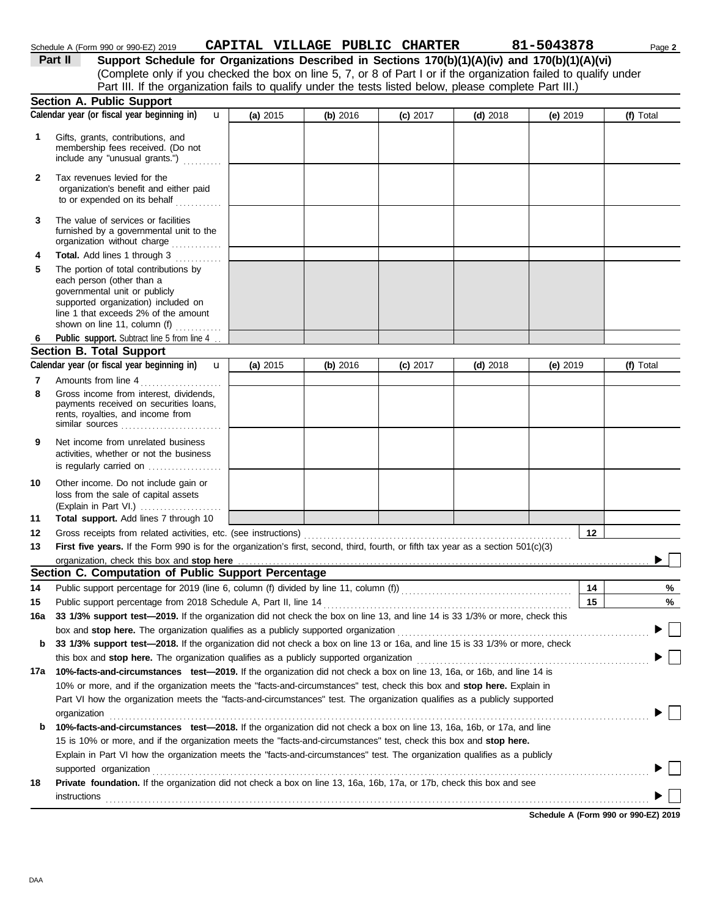|              | Calendar year (or fiscal year beginning in)<br>$\mathbf{u}$                                                                                                                                                                 | (a) 2015 | (b) 2016 | $(c)$ 2017 | $(d)$ 2018 | (e) 2019   | (f) Total |
|--------------|-----------------------------------------------------------------------------------------------------------------------------------------------------------------------------------------------------------------------------|----------|----------|------------|------------|------------|-----------|
| 1            | Gifts, grants, contributions, and<br>membership fees received. (Do not<br>include any "unusual grants.")                                                                                                                    |          |          |            |            |            |           |
| $\mathbf{2}$ | Tax revenues levied for the<br>organization's benefit and either paid<br>to or expended on its behalf                                                                                                                       |          |          |            |            |            |           |
| 3            | The value of services or facilities<br>furnished by a governmental unit to the<br>organization without charge                                                                                                               |          |          |            |            |            |           |
| 4            | Total. Add lines 1 through 3                                                                                                                                                                                                |          |          |            |            |            |           |
| 5            | The portion of total contributions by<br>each person (other than a<br>governmental unit or publicly<br>supported organization) included on<br>line 1 that exceeds 2% of the amount<br>shown on line 11, column (f) $\ldots$ |          |          |            |            |            |           |
| 6            | Public support. Subtract line 5 from line 4                                                                                                                                                                                 |          |          |            |            |            |           |
|              | <b>Section B. Total Support</b>                                                                                                                                                                                             |          |          |            |            |            |           |
|              | Calendar year (or fiscal year beginning in)<br>$\mathbf{u}$                                                                                                                                                                 | (a) 2015 | (b) 2016 | (c) 2017   | $(d)$ 2018 | (e) $2019$ | (f) Total |
| 7            | Amounts from line 4                                                                                                                                                                                                         |          |          |            |            |            |           |
| 8            | Gross income from interest, dividends,<br>payments received on securities loans,<br>rents, royalties, and income from                                                                                                       |          |          |            |            |            |           |
| 9            | Net income from unrelated business<br>activities, whether or not the business<br>is regularly carried on                                                                                                                    |          |          |            |            |            |           |
|              |                                                                                                                                                                                                                             |          |          |            |            |            |           |
| 10           | Other income. Do not include gain or<br>loss from the sale of capital assets<br>(Explain in Part VI.)                                                                                                                       |          |          |            |            |            |           |
| 11           | Total support. Add lines 7 through 10                                                                                                                                                                                       |          |          |            |            |            |           |
| 12           |                                                                                                                                                                                                                             |          |          |            |            | 12         |           |
| 13           | First five years. If the Form 990 is for the organization's first, second, third, fourth, or fifth tax year as a section 501(c)(3)                                                                                          |          |          |            |            |            |           |
|              | organization, check this box and stop here                                                                                                                                                                                  |          |          |            |            |            |           |
|              | Section C. Computation of Public Support Percentage                                                                                                                                                                         |          |          |            |            |            |           |
| 14           |                                                                                                                                                                                                                             |          |          |            |            | 14         | %         |
| 15           |                                                                                                                                                                                                                             |          |          |            |            | 15         | %         |
| 16a          | 33 1/3% support test-2019. If the organization did not check the box on line 13, and line 14 is 33 1/3% or more, check this                                                                                                 |          |          |            |            |            |           |
|              | box and stop here. The organization qualifies as a publicly supported organization                                                                                                                                          |          |          |            |            |            | $\Box$    |
| b            | 33 1/3% support test-2018. If the organization did not check a box on line 13 or 16a, and line 15 is 33 1/3% or more, check                                                                                                 |          |          |            |            |            |           |
|              | this box and stop here. The organization qualifies as a publicly supported organization                                                                                                                                     |          |          |            |            |            |           |
| 17a          | 10%-facts-and-circumstances test-2019. If the organization did not check a box on line 13, 16a, or 16b, and line 14 is                                                                                                      |          |          |            |            |            |           |
|              | 10% or more, and if the organization meets the "facts-and-circumstances" test, check this box and stop here. Explain in                                                                                                     |          |          |            |            |            |           |
|              | Part VI how the organization meets the "facts-and-circumstances" test. The organization qualifies as a publicly supported                                                                                                   |          |          |            |            |            |           |
| b            | 10%-facts-and-circumstances test-2018. If the organization did not check a box on line 13, 16a, 16b, or 17a, and line                                                                                                       |          |          |            |            |            |           |
|              | 15 is 10% or more, and if the organization meets the "facts-and-circumstances" test, check this box and stop here.                                                                                                          |          |          |            |            |            |           |
|              | Explain in Part VI how the organization meets the "facts-and-circumstances" test. The organization qualifies as a publicly<br>supported organization                                                                        |          |          |            |            |            |           |
| 18           | Private foundation. If the organization did not check a box on line 13, 16a, 16b, 17a, or 17b, check this box and see<br><b>instructions</b>                                                                                |          |          |            |            |            |           |

Schedule A (Form 990 or 990-EZ) 2019 **CAPITAL VILLAGE PUBLIC CHARTER** 81-5043878 Page 2

**Part II** Support Schedule for Organizations Described in Sections 170(b)(1)(A)(iv) and 170(b)(1)(A)(vi)

Part III. If the organization fails to qualify under the tests listed below, please complete Part III.)

(Complete only if you checked the box on line 5, 7, or 8 of Part I or if the organization failed to qualify under

**Schedule A (Form 990 or 990-EZ) 2019**

**Section A. Public Support**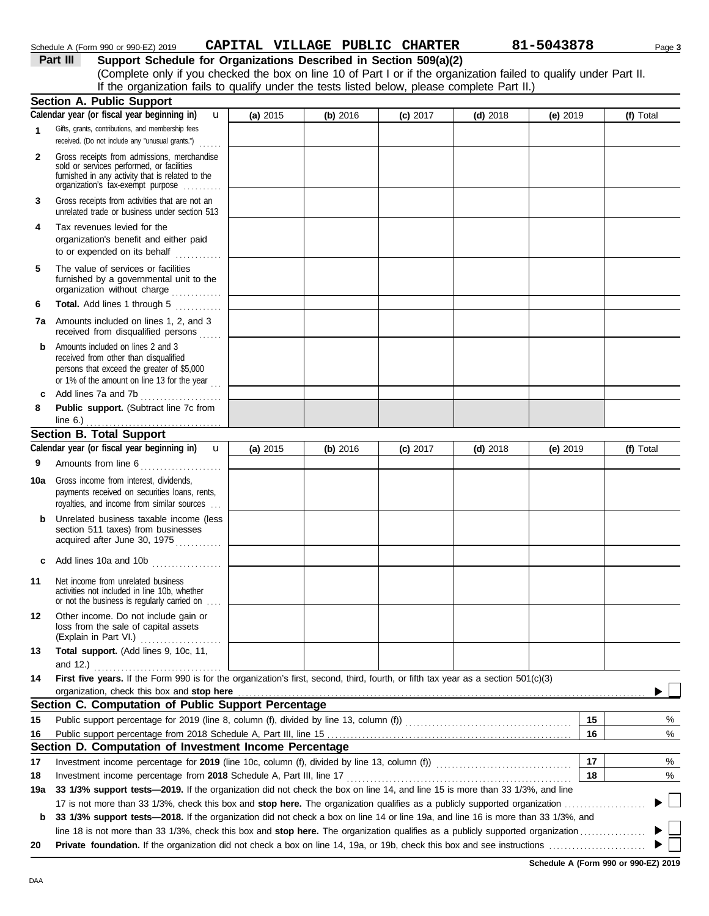|          | Schedule A (Form 990 or 990-EZ) 2019                                                         |  | CAPITAL VILLAGE PUBLIC CHARTER |  |  | 81-5043878                                                                                                         | Page 3 |  |  |
|----------|----------------------------------------------------------------------------------------------|--|--------------------------------|--|--|--------------------------------------------------------------------------------------------------------------------|--------|--|--|
| Part III | Support Schedule for Organizations Described in Section 509(a)(2)                            |  |                                |  |  |                                                                                                                    |        |  |  |
|          |                                                                                              |  |                                |  |  | (Complete only if you checked the box on line 10 of Part I or if the organization failed to qualify under Part II. |        |  |  |
|          | If the organization fails to qualify under the tests listed below, please complete Part II.) |  |                                |  |  |                                                                                                                    |        |  |  |
| -        |                                                                                              |  |                                |  |  |                                                                                                                    |        |  |  |

|              | <b>Section A. Public Support</b>                                                                                                                                                                                                     |          |          |            |            |          |           |
|--------------|--------------------------------------------------------------------------------------------------------------------------------------------------------------------------------------------------------------------------------------|----------|----------|------------|------------|----------|-----------|
|              | Calendar year (or fiscal year beginning in)<br>$\mathbf u$                                                                                                                                                                           | (a) 2015 | (b) 2016 | $(c)$ 2017 | $(d)$ 2018 | (e) 2019 | (f) Total |
| 1            | Gifts, grants, contributions, and membership fees                                                                                                                                                                                    |          |          |            |            |          |           |
|              | received. (Do not include any "unusual grants.")                                                                                                                                                                                     |          |          |            |            |          |           |
| $\mathbf{2}$ | Gross receipts from admissions, merchandise                                                                                                                                                                                          |          |          |            |            |          |           |
|              | sold or services performed, or facilities<br>furnished in any activity that is related to the                                                                                                                                        |          |          |            |            |          |           |
|              | organization's fax-exempt purpose                                                                                                                                                                                                    |          |          |            |            |          |           |
| 3            | Gross receipts from activities that are not an<br>unrelated trade or business under section 513                                                                                                                                      |          |          |            |            |          |           |
|              |                                                                                                                                                                                                                                      |          |          |            |            |          |           |
| 4            | Tax revenues levied for the                                                                                                                                                                                                          |          |          |            |            |          |           |
|              | organization's benefit and either paid<br>to or expended on its behalf                                                                                                                                                               |          |          |            |            |          |           |
|              |                                                                                                                                                                                                                                      |          |          |            |            |          |           |
| 5            | The value of services or facilities<br>furnished by a governmental unit to the                                                                                                                                                       |          |          |            |            |          |           |
|              | organization without charge                                                                                                                                                                                                          |          |          |            |            |          |           |
| 6            | Total. Add lines 1 through 5                                                                                                                                                                                                         |          |          |            |            |          |           |
| 7а           | Amounts included on lines 1, 2, and 3                                                                                                                                                                                                |          |          |            |            |          |           |
|              | received from disqualified persons                                                                                                                                                                                                   |          |          |            |            |          |           |
| b            | Amounts included on lines 2 and 3                                                                                                                                                                                                    |          |          |            |            |          |           |
|              | received from other than disqualified<br>persons that exceed the greater of \$5,000                                                                                                                                                  |          |          |            |            |          |           |
|              | or 1% of the amount on line 13 for the year $\ldots$                                                                                                                                                                                 |          |          |            |            |          |           |
| c            | Add lines 7a and 7b                                                                                                                                                                                                                  |          |          |            |            |          |           |
| 8            | Public support. (Subtract line 7c from                                                                                                                                                                                               |          |          |            |            |          |           |
|              | line $6.$ )                                                                                                                                                                                                                          |          |          |            |            |          |           |
|              | <b>Section B. Total Support</b>                                                                                                                                                                                                      |          |          |            |            |          |           |
|              | Calendar year (or fiscal year beginning in)<br>$\mathbf{u}$                                                                                                                                                                          | (a) 2015 | (b) 2016 | $(c)$ 2017 | $(d)$ 2018 | (e) 2019 | (f) Total |
| 9            | Amounts from line 6                                                                                                                                                                                                                  |          |          |            |            |          |           |
| 10a          | Gross income from interest, dividends,                                                                                                                                                                                               |          |          |            |            |          |           |
|              | payments received on securities loans, rents,                                                                                                                                                                                        |          |          |            |            |          |           |
|              | royalties, and income from similar sources                                                                                                                                                                                           |          |          |            |            |          |           |
| b            | Unrelated business taxable income (less                                                                                                                                                                                              |          |          |            |            |          |           |
|              | section 511 taxes) from businesses<br>acquired after June 30, 1975                                                                                                                                                                   |          |          |            |            |          |           |
|              |                                                                                                                                                                                                                                      |          |          |            |            |          |           |
| c            | Add lines 10a and 10b                                                                                                                                                                                                                |          |          |            |            |          |           |
| 11           | Net income from unrelated business                                                                                                                                                                                                   |          |          |            |            |          |           |
|              | activities not included in line 10b, whether                                                                                                                                                                                         |          |          |            |            |          |           |
|              | or not the business is regularly carried on                                                                                                                                                                                          |          |          |            |            |          |           |
| 12           | Other income. Do not include gain or                                                                                                                                                                                                 |          |          |            |            |          |           |
|              | loss from the sale of capital assets<br>(Explain in Part VI.)<br>. <b>.</b> .                                                                                                                                                        |          |          |            |            |          |           |
| 13           | Total support. (Add lines 9, 10c, 11,                                                                                                                                                                                                |          |          |            |            |          |           |
|              | and 12.) $\ldots$                                                                                                                                                                                                                    |          |          |            |            |          |           |
| 14           | First five years. If the Form 990 is for the organization's first, second, third, fourth, or fifth tax year as a section 501(c)(3)                                                                                                   |          |          |            |            |          |           |
|              | organization, check this box and stop here <b>constant of the constant of the constant of the constant of the constant of the constant of the constant of the constant of the constant of the constant of the constant of the co</b> |          |          |            |            |          |           |
|              | Section C. Computation of Public Support Percentage                                                                                                                                                                                  |          |          |            |            |          |           |
| 15           | Public support percentage for 2019 (line 8, column (f), divided by line 13, column (f)) [[[[[[[[[[[[[[[[[[[[[                                                                                                                        |          |          |            |            | 15       | %         |
| 16           |                                                                                                                                                                                                                                      |          |          |            |            | 16       | %         |
|              | Section D. Computation of Investment Income Percentage                                                                                                                                                                               |          |          |            |            |          |           |
| 17           | Investment income percentage for 2019 (line 10c, column (f), divided by line 13, column (f)) [[[[[[[[[[[[[[[[                                                                                                                        |          |          |            |            | 17       | %         |
| 18           |                                                                                                                                                                                                                                      |          |          |            |            | 18       | %         |
| 19a          | 33 1/3% support tests—2019. If the organization did not check the box on line 14, and line 15 is more than 33 1/3%, and line                                                                                                         |          |          |            |            |          |           |
|              |                                                                                                                                                                                                                                      |          |          |            |            |          |           |
| b            | 33 1/3% support tests—2018. If the organization did not check a box on line 14 or line 19a, and line 16 is more than 33 1/3%, and                                                                                                    |          |          |            |            |          |           |
|              |                                                                                                                                                                                                                                      |          |          |            |            |          |           |
| 20           |                                                                                                                                                                                                                                      |          |          |            |            |          |           |

**Schedule A (Form 990 or 990-EZ) 2019**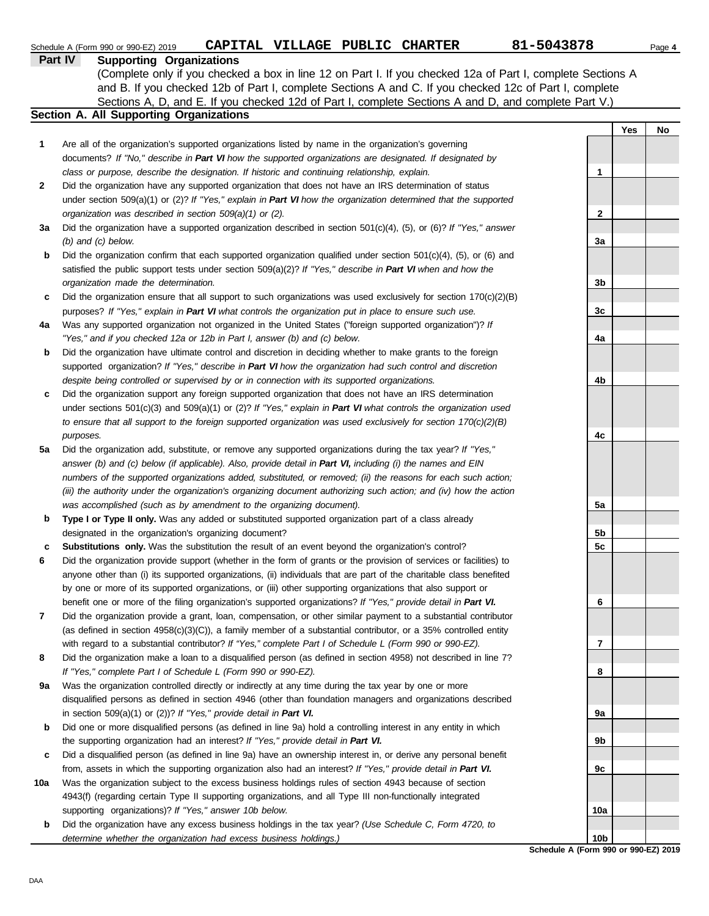|     | CAPITAL VILLAGE PUBLIC CHARTER<br>Schedule A (Form 990 or 990-EZ) 2019                                                                                                                                             | 81-5043878      |     | Page 4 |
|-----|--------------------------------------------------------------------------------------------------------------------------------------------------------------------------------------------------------------------|-----------------|-----|--------|
|     | <b>Part IV</b><br><b>Supporting Organizations</b>                                                                                                                                                                  |                 |     |        |
|     | (Complete only if you checked a box in line 12 on Part I. If you checked 12a of Part I, complete Sections A                                                                                                        |                 |     |        |
|     | and B. If you checked 12b of Part I, complete Sections A and C. If you checked 12c of Part I, complete                                                                                                             |                 |     |        |
|     | Sections A, D, and E. If you checked 12d of Part I, complete Sections A and D, and complete Part V.)                                                                                                               |                 |     |        |
|     | Section A. All Supporting Organizations                                                                                                                                                                            |                 |     |        |
|     |                                                                                                                                                                                                                    |                 | Yes | No     |
| 1   | Are all of the organization's supported organizations listed by name in the organization's governing                                                                                                               |                 |     |        |
|     | documents? If "No," describe in Part VI how the supported organizations are designated. If designated by                                                                                                           |                 |     |        |
|     | class or purpose, describe the designation. If historic and continuing relationship, explain.                                                                                                                      | 1               |     |        |
| 2   | Did the organization have any supported organization that does not have an IRS determination of status                                                                                                             |                 |     |        |
|     | under section 509(a)(1) or (2)? If "Yes," explain in Part VI how the organization determined that the supported                                                                                                    |                 |     |        |
|     | organization was described in section 509(a)(1) or (2).                                                                                                                                                            | $\mathbf{2}$    |     |        |
| За  | Did the organization have a supported organization described in section $501(c)(4)$ , (5), or (6)? If "Yes," answer                                                                                                |                 |     |        |
|     | $(b)$ and $(c)$ below.                                                                                                                                                                                             | 3a              |     |        |
| b   | Did the organization confirm that each supported organization qualified under section $501(c)(4)$ , $(5)$ , or $(6)$ and                                                                                           |                 |     |        |
|     | satisfied the public support tests under section 509(a)(2)? If "Yes," describe in Part VI when and how the<br>organization made the determination.                                                                 | 3 <sub>b</sub>  |     |        |
|     |                                                                                                                                                                                                                    |                 |     |        |
| c   | Did the organization ensure that all support to such organizations was used exclusively for section $170(c)(2)(B)$                                                                                                 | 3c              |     |        |
| 4a  | purposes? If "Yes," explain in Part VI what controls the organization put in place to ensure such use.<br>Was any supported organization not organized in the United States ("foreign supported organization")? If |                 |     |        |
|     | "Yes," and if you checked 12a or 12b in Part I, answer (b) and (c) below.                                                                                                                                          | 4a              |     |        |
| b   | Did the organization have ultimate control and discretion in deciding whether to make grants to the foreign                                                                                                        |                 |     |        |
|     | supported organization? If "Yes," describe in Part VI how the organization had such control and discretion                                                                                                         |                 |     |        |
|     | despite being controlled or supervised by or in connection with its supported organizations.                                                                                                                       | 4b              |     |        |
| c   | Did the organization support any foreign supported organization that does not have an IRS determination                                                                                                            |                 |     |        |
|     | under sections $501(c)(3)$ and $509(a)(1)$ or (2)? If "Yes," explain in Part VI what controls the organization used                                                                                                |                 |     |        |
|     | to ensure that all support to the foreign supported organization was used exclusively for section $170(c)(2)(B)$                                                                                                   |                 |     |        |
|     | purposes.                                                                                                                                                                                                          | 4c              |     |        |
| 5a  | Did the organization add, substitute, or remove any supported organizations during the tax year? If "Yes,"                                                                                                         |                 |     |        |
|     | answer (b) and (c) below (if applicable). Also, provide detail in Part VI, including (i) the names and EIN                                                                                                         |                 |     |        |
|     | numbers of the supported organizations added, substituted, or removed; (ii) the reasons for each such action;                                                                                                      |                 |     |        |
|     | (iii) the authority under the organization's organizing document authorizing such action; and (iv) how the action                                                                                                  |                 |     |        |
|     | was accomplished (such as by amendment to the organizing document).                                                                                                                                                | 5a              |     |        |
| b   | Type I or Type II only. Was any added or substituted supported organization part of a class already                                                                                                                |                 |     |        |
|     | designated in the organization's organizing document?                                                                                                                                                              | 5b              |     |        |
| с   | Substitutions only. Was the substitution the result of an event beyond the organization's control?                                                                                                                 | 5c              |     |        |
|     | Did the organization provide support (whether in the form of grants or the provision of services or facilities) to                                                                                                 |                 |     |        |
|     | anyone other than (i) its supported organizations, (ii) individuals that are part of the charitable class benefited                                                                                                |                 |     |        |
|     | by one or more of its supported organizations, or (iii) other supporting organizations that also support or                                                                                                        |                 |     |        |
|     | benefit one or more of the filing organization's supported organizations? If "Yes," provide detail in Part VI.                                                                                                     | 6               |     |        |
| 7   | Did the organization provide a grant, loan, compensation, or other similar payment to a substantial contributor                                                                                                    |                 |     |        |
|     | (as defined in section $4958(c)(3)(C)$ ), a family member of a substantial contributor, or a 35% controlled entity                                                                                                 |                 |     |        |
|     | with regard to a substantial contributor? If "Yes," complete Part I of Schedule L (Form 990 or 990-EZ).                                                                                                            | 7               |     |        |
| 8   | Did the organization make a loan to a disqualified person (as defined in section 4958) not described in line 7?                                                                                                    |                 |     |        |
|     | If "Yes," complete Part I of Schedule L (Form 990 or 990-EZ).                                                                                                                                                      | 8               |     |        |
| 9a  | Was the organization controlled directly or indirectly at any time during the tax year by one or more                                                                                                              |                 |     |        |
|     | disqualified persons as defined in section 4946 (other than foundation managers and organizations described                                                                                                        |                 |     |        |
|     | in section 509(a)(1) or (2))? If "Yes," provide detail in Part VI.                                                                                                                                                 | 9а              |     |        |
| b   | Did one or more disqualified persons (as defined in line 9a) hold a controlling interest in any entity in which                                                                                                    |                 |     |        |
|     | the supporting organization had an interest? If "Yes," provide detail in Part VI.                                                                                                                                  | 9b              |     |        |
| c   | Did a disqualified person (as defined in line 9a) have an ownership interest in, or derive any personal benefit                                                                                                    |                 |     |        |
|     | from, assets in which the supporting organization also had an interest? If "Yes," provide detail in Part VI.                                                                                                       | 9c              |     |        |
| 10a | Was the organization subject to the excess business holdings rules of section 4943 because of section                                                                                                              |                 |     |        |
|     | 4943(f) (regarding certain Type II supporting organizations, and all Type III non-functionally integrated                                                                                                          |                 |     |        |
|     | supporting organizations)? If "Yes," answer 10b below.                                                                                                                                                             | 10a             |     |        |
| b   | Did the organization have any excess business holdings in the tax year? (Use Schedule C, Form 4720, to                                                                                                             | 10 <sub>b</sub> |     |        |
|     | determine whether the organization had excess business holdings.)                                                                                                                                                  |                 |     |        |

**Schedule A (Form 990 or 990-EZ) 2019**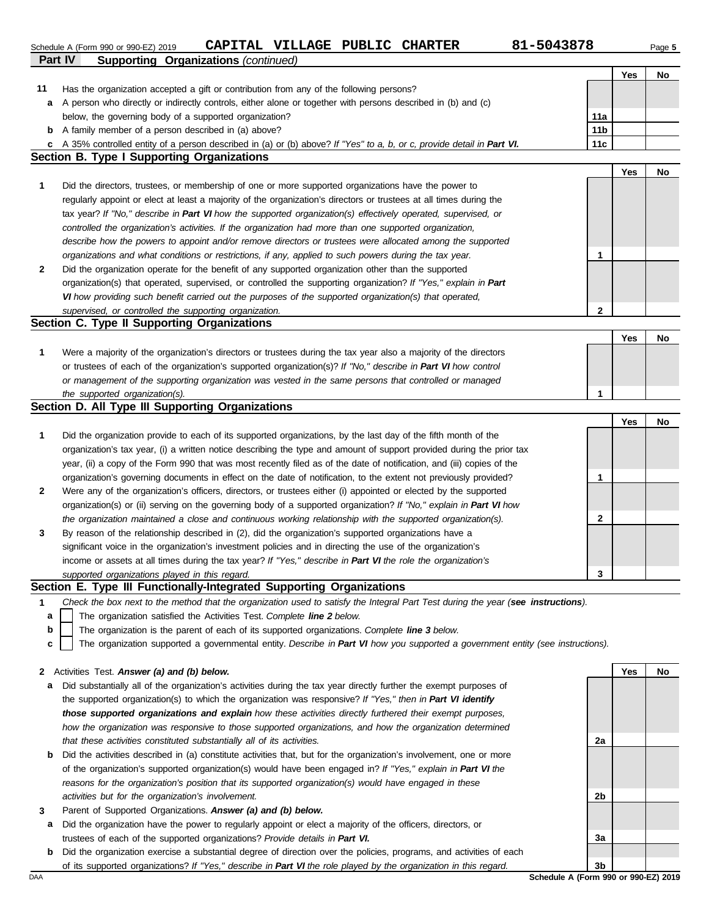**Part IV Supporting Organizations** *(continued)* Schedule A (Form 990 or 990-EZ) 2019 **CAPITAL VILLAGE PUBLIC CHARTER** 81-5043878 Page 5

**Yes No**

| 11  | Has the organization accepted a gift or contribution from any of the following persons?                                           |                 |     |    |
|-----|-----------------------------------------------------------------------------------------------------------------------------------|-----------------|-----|----|
| a   | A person who directly or indirectly controls, either alone or together with persons described in (b) and (c)                      |                 |     |    |
|     | below, the governing body of a supported organization?                                                                            | 11a             |     |    |
| b   | A family member of a person described in (a) above?                                                                               | 11 <sub>b</sub> |     |    |
| c   | A 35% controlled entity of a person described in (a) or (b) above? If "Yes" to a, b, or c, provide detail in Part VI.             | 11c             |     |    |
|     | <b>Section B. Type I Supporting Organizations</b>                                                                                 |                 |     |    |
|     |                                                                                                                                   |                 | Yes | No |
| 1   | Did the directors, trustees, or membership of one or more supported organizations have the power to                               |                 |     |    |
|     | regularly appoint or elect at least a majority of the organization's directors or trustees at all times during the                |                 |     |    |
|     | tax year? If "No," describe in Part VI how the supported organization(s) effectively operated, supervised, or                     |                 |     |    |
|     | controlled the organization's activities. If the organization had more than one supported organization,                           |                 |     |    |
|     | describe how the powers to appoint and/or remove directors or trustees were allocated among the supported                         |                 |     |    |
|     | organizations and what conditions or restrictions, if any, applied to such powers during the tax year.                            | 1               |     |    |
| 2   | Did the organization operate for the benefit of any supported organization other than the supported                               |                 |     |    |
|     | organization(s) that operated, supervised, or controlled the supporting organization? If "Yes," explain in Part                   |                 |     |    |
|     | VI how providing such benefit carried out the purposes of the supported organization(s) that operated,                            |                 |     |    |
|     | supervised, or controlled the supporting organization.                                                                            | $\mathbf 2$     |     |    |
|     | Section C. Type II Supporting Organizations                                                                                       |                 |     |    |
|     |                                                                                                                                   |                 | Yes | No |
| 1   | Were a majority of the organization's directors or trustees during the tax year also a majority of the directors                  |                 |     |    |
|     | or trustees of each of the organization's supported organization(s)? If "No," describe in Part VI how control                     |                 |     |    |
|     | or management of the supporting organization was vested in the same persons that controlled or managed                            |                 |     |    |
|     | the supported organization(s).                                                                                                    | 1               |     |    |
|     | Section D. All Type III Supporting Organizations                                                                                  |                 |     |    |
|     |                                                                                                                                   |                 | Yes | No |
| 1   | Did the organization provide to each of its supported organizations, by the last day of the fifth month of the                    |                 |     |    |
|     | organization's tax year, (i) a written notice describing the type and amount of support provided during the prior tax             |                 |     |    |
|     | year, (ii) a copy of the Form 990 that was most recently filed as of the date of notification, and (iii) copies of the            |                 |     |    |
|     | organization's governing documents in effect on the date of notification, to the extent not previously provided?                  | 1               |     |    |
| 2   | Were any of the organization's officers, directors, or trustees either (i) appointed or elected by the supported                  |                 |     |    |
|     | organization(s) or (ii) serving on the governing body of a supported organization? If "No," explain in Part VI how                |                 |     |    |
|     | the organization maintained a close and continuous working relationship with the supported organization(s).                       | 2               |     |    |
|     | By reason of the relationship described in (2), did the organization's supported organizations have a                             |                 |     |    |
| 3   | significant voice in the organization's investment policies and in directing the use of the organization's                        |                 |     |    |
|     | income or assets at all times during the tax year? If "Yes," describe in Part VI the role the organization's                      |                 |     |    |
|     |                                                                                                                                   | 3               |     |    |
|     | supported organizations played in this regard.<br>Section E. Type III Functionally-Integrated Supporting Organizations            |                 |     |    |
|     | Check the box next to the method that the organization used to satisfy the Integral Part Test during the year (see instructions). |                 |     |    |
|     |                                                                                                                                   |                 |     |    |
| а   | The organization satisfied the Activities Test. Complete line 2 below.                                                            |                 |     |    |
| b   | The organization is the parent of each of its supported organizations. Complete line 3 below.                                     |                 |     |    |
| C   | The organization supported a governmental entity. Describe in Part VI how you supported a government entity (see instructions).   |                 |     |    |
|     | Activities Test. Answer (a) and (b) below.                                                                                        |                 | Yes | No |
| 2   | Did substantially all of the organization's activities during the tax year directly further the exempt purposes of                |                 |     |    |
| а   |                                                                                                                                   |                 |     |    |
|     | the supported organization(s) to which the organization was responsive? If "Yes," then in Part VI identify                        |                 |     |    |
|     | those supported organizations and explain how these activities directly furthered their exempt purposes,                          |                 |     |    |
|     | how the organization was responsive to those supported organizations, and how the organization determined                         |                 |     |    |
|     | that these activities constituted substantially all of its activities.                                                            | 2a              |     |    |
| b   | Did the activities described in (a) constitute activities that, but for the organization's involvement, one or more               |                 |     |    |
|     | of the organization's supported organization(s) would have been engaged in? If "Yes," explain in Part VI the                      |                 |     |    |
|     | reasons for the organization's position that its supported organization(s) would have engaged in these                            |                 |     |    |
|     | activities but for the organization's involvement.                                                                                | 2b              |     |    |
| 3   | Parent of Supported Organizations. Answer (a) and (b) below.                                                                      |                 |     |    |
| а   | Did the organization have the power to regularly appoint or elect a majority of the officers, directors, or                       |                 |     |    |
|     | trustees of each of the supported organizations? Provide details in Part VI.                                                      | За              |     |    |
| b   | Did the organization exercise a substantial degree of direction over the policies, programs, and activities of each               |                 |     |    |
|     | of its supported organizations? If "Yes," describe in Part VI the role played by the organization in this regard.                 | 3b              |     |    |
| DAA | Schedule A (Form 990 or 990-EZ) 2019                                                                                              |                 |     |    |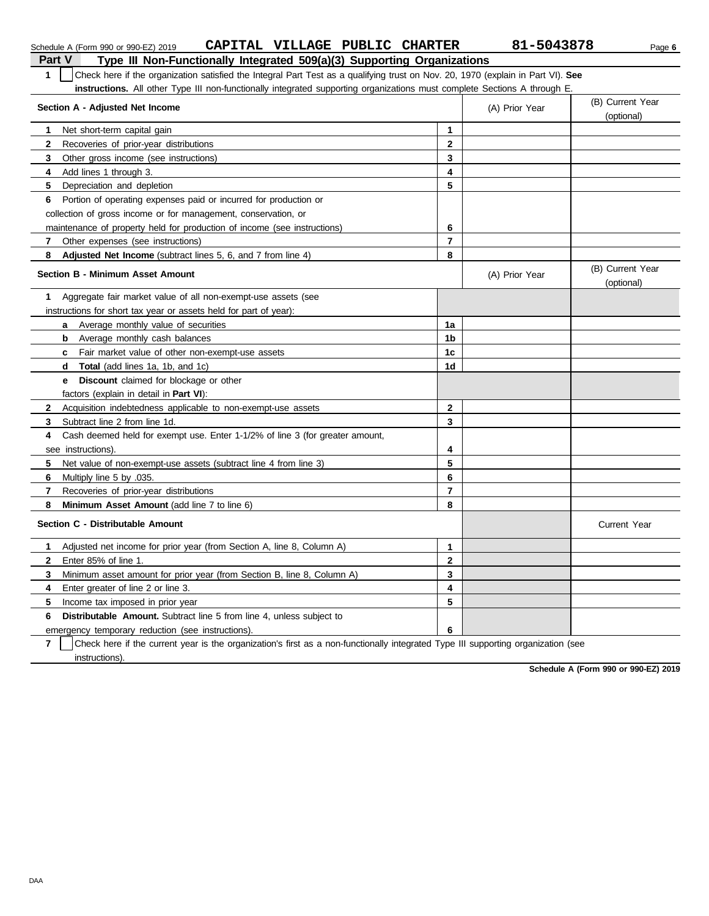| Part V<br>Type III Non-Functionally Integrated 509(a)(3) Supporting Organizations                                                     |                         |                |                                |  |  |  |  |  |
|---------------------------------------------------------------------------------------------------------------------------------------|-------------------------|----------------|--------------------------------|--|--|--|--|--|
| Check here if the organization satisfied the Integral Part Test as a qualifying trust on Nov. 20, 1970 (explain in Part VI). See<br>1 |                         |                |                                |  |  |  |  |  |
| instructions. All other Type III non-functionally integrated supporting organizations must complete Sections A through E.             |                         |                |                                |  |  |  |  |  |
| Section A - Adjusted Net Income                                                                                                       |                         | (A) Prior Year | (B) Current Year               |  |  |  |  |  |
|                                                                                                                                       |                         |                | (optional)                     |  |  |  |  |  |
| Net short-term capital gain<br>1.                                                                                                     | $\mathbf{1}$            |                |                                |  |  |  |  |  |
| $\mathbf{2}$<br>Recoveries of prior-year distributions                                                                                | $\mathbf{2}$            |                |                                |  |  |  |  |  |
| 3<br>Other gross income (see instructions)                                                                                            | 3                       |                |                                |  |  |  |  |  |
| 4<br>Add lines 1 through 3.                                                                                                           | 4                       |                |                                |  |  |  |  |  |
| 5<br>Depreciation and depletion                                                                                                       | 5                       |                |                                |  |  |  |  |  |
| Portion of operating expenses paid or incurred for production or<br>6                                                                 |                         |                |                                |  |  |  |  |  |
| collection of gross income or for management, conservation, or                                                                        |                         |                |                                |  |  |  |  |  |
| maintenance of property held for production of income (see instructions)                                                              | 6                       |                |                                |  |  |  |  |  |
| 7<br>Other expenses (see instructions)                                                                                                | $\overline{\mathbf{r}}$ |                |                                |  |  |  |  |  |
| 8<br><b>Adjusted Net Income</b> (subtract lines 5, 6, and 7 from line 4)                                                              | 8                       |                |                                |  |  |  |  |  |
| <b>Section B - Minimum Asset Amount</b>                                                                                               |                         | (A) Prior Year | (B) Current Year<br>(optional) |  |  |  |  |  |
| Aggregate fair market value of all non-exempt-use assets (see<br>1.                                                                   |                         |                |                                |  |  |  |  |  |
| instructions for short tax year or assets held for part of year):                                                                     |                         |                |                                |  |  |  |  |  |
| Average monthly value of securities<br>a                                                                                              | 1a                      |                |                                |  |  |  |  |  |
| <b>b</b> Average monthly cash balances                                                                                                | 1b                      |                |                                |  |  |  |  |  |
| Fair market value of other non-exempt-use assets<br>c.                                                                                | 1c                      |                |                                |  |  |  |  |  |
| <b>Total</b> (add lines 1a, 1b, and 1c)<br>d                                                                                          | 1 <sub>d</sub>          |                |                                |  |  |  |  |  |
| Discount claimed for blockage or other<br>e                                                                                           |                         |                |                                |  |  |  |  |  |
| factors (explain in detail in <b>Part VI)</b> :                                                                                       |                         |                |                                |  |  |  |  |  |
| $\mathbf{2}$<br>Acquisition indebtedness applicable to non-exempt-use assets                                                          | $\mathbf{2}$            |                |                                |  |  |  |  |  |
| Subtract line 2 from line 1d.<br>3                                                                                                    | 3                       |                |                                |  |  |  |  |  |
| 4<br>Cash deemed held for exempt use. Enter 1-1/2% of line 3 (for greater amount,                                                     |                         |                |                                |  |  |  |  |  |
| see instructions).                                                                                                                    | 4                       |                |                                |  |  |  |  |  |
| 5.<br>Net value of non-exempt-use assets (subtract line 4 from line 3)                                                                | 5                       |                |                                |  |  |  |  |  |
| Multiply line 5 by .035.<br>6                                                                                                         | 6                       |                |                                |  |  |  |  |  |
| 7<br>Recoveries of prior-year distributions                                                                                           | $\overline{\mathbf{r}}$ |                |                                |  |  |  |  |  |
| 8<br>Minimum Asset Amount (add line 7 to line 6)                                                                                      | 8                       |                |                                |  |  |  |  |  |
| Section C - Distributable Amount                                                                                                      |                         |                | <b>Current Year</b>            |  |  |  |  |  |
| 1<br>Adjusted net income for prior year (from Section A, line 8, Column A)                                                            | $\mathbf{1}$            |                |                                |  |  |  |  |  |
| Enter 85% of line 1.<br>$\mathbf{2}$                                                                                                  | $\mathbf{2}$            |                |                                |  |  |  |  |  |
| 3<br>Minimum asset amount for prior year (from Section B, line 8, Column A)                                                           | 3                       |                |                                |  |  |  |  |  |
| Enter greater of line 2 or line 3.<br>4                                                                                               | 4                       |                |                                |  |  |  |  |  |
| 5<br>Income tax imposed in prior year                                                                                                 | 5                       |                |                                |  |  |  |  |  |
| <b>Distributable Amount.</b> Subtract line 5 from line 4, unless subject to<br>6                                                      |                         |                |                                |  |  |  |  |  |
| emergency temporary reduction (see instructions).                                                                                     | 6                       |                |                                |  |  |  |  |  |
|                                                                                                                                       |                         |                |                                |  |  |  |  |  |

Schedule A (Form 990 or 990-EZ) 2019 **CAPITAL VILLAGE PUBLIC CHARTER** 81-5043878 Page 6

**7** | Check here if the current year is the organization's first as a non-functionally integrated Type III supporting organization (see instructions).

**Schedule A (Form 990 or 990-EZ) 2019**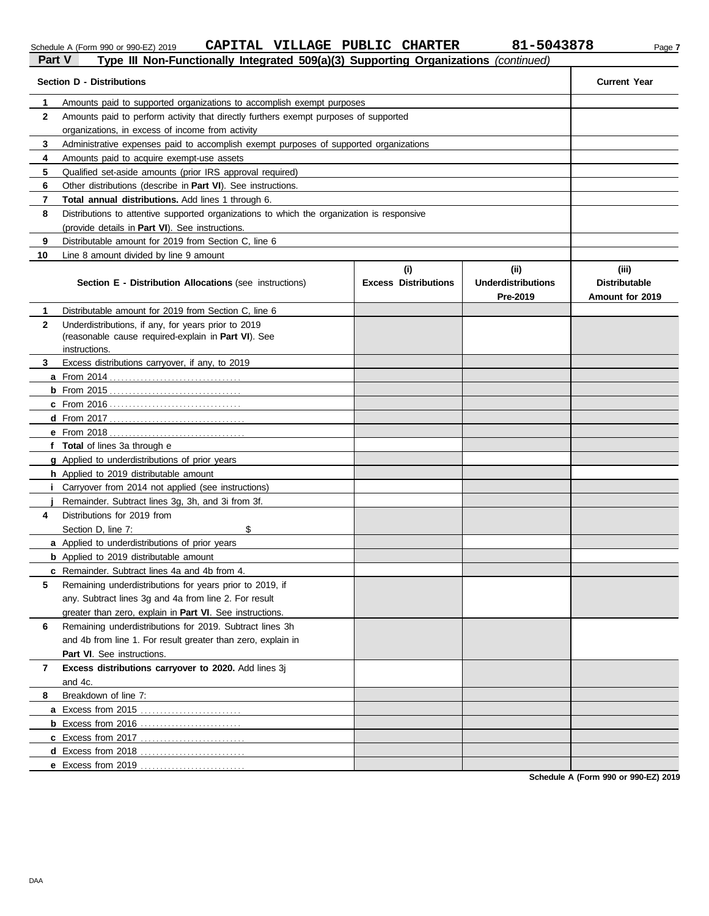DAA

| chedule A (Form 990 or 990-EZ) 2 |  |  |  |
|----------------------------------|--|--|--|
|                                  |  |  |  |

# Schedule A (Form 990 or 990-EZ) 2019 **CAPITAL VILLAGE PUBLIC CHARTER** 81-5043878 Page 7 **Part V Part V Type III Non-Functionally Integrated 509(a)(3) Supporting Organizations** *(continued)*

| 1<br>Amounts paid to supported organizations to accomplish exempt purposes<br>$\mathbf{2}$<br>Amounts paid to perform activity that directly furthers exempt purposes of supported<br>organizations, in excess of income from activity<br>3<br>Administrative expenses paid to accomplish exempt purposes of supported organizations<br>Amounts paid to acquire exempt-use assets<br>4<br>5<br>Qualified set-aside amounts (prior IRS approval required)<br>6<br>Other distributions (describe in Part VI). See instructions.<br>Total annual distributions. Add lines 1 through 6.<br>7<br>8<br>Distributions to attentive supported organizations to which the organization is responsive<br>(provide details in Part VI). See instructions.<br>9<br>Distributable amount for 2019 from Section C, line 6<br>10<br>Line 8 amount divided by line 9 amount<br>(i)<br>(ii)<br>(iii)<br><b>Underdistributions</b><br><b>Distributable</b><br>Section E - Distribution Allocations (see instructions)<br><b>Excess Distributions</b><br>Pre-2019<br>Amount for 2019<br>Distributable amount for 2019 from Section C. line 6<br>1<br>Underdistributions, if any, for years prior to 2019<br>$\mathbf{2}$<br>(reasonable cause required-explain in Part VI). See<br>instructions.<br>Excess distributions carryover, if any, to 2019<br>3<br>f Total of lines 3a through e<br>g Applied to underdistributions of prior years<br>h Applied to 2019 distributable amount<br>Carryover from 2014 not applied (see instructions)<br>Ι.<br>Remainder. Subtract lines 3g, 3h, and 3i from 3f.<br>Distributions for 2019 from<br>4<br>Section D, line 7:<br>\$<br>a Applied to underdistributions of prior years<br><b>b</b> Applied to 2019 distributable amount<br>c Remainder. Subtract lines 4a and 4b from 4.<br>5<br>Remaining underdistributions for years prior to 2019, if<br>any. Subtract lines 3g and 4a from line 2. For result<br>greater than zero, explain in Part VI. See instructions.<br>Remaining underdistributions for 2019. Subtract lines 3h<br>6<br>and 4b from line 1. For result greater than zero, explain in<br>Part VI. See instructions.<br>Excess distributions carryover to 2020. Add lines 3j<br>7<br>and 4c.<br>Breakdown of line 7:<br>8<br>a Excess from 2015<br><b>b</b> Excess from 2016 | <b>Section D - Distributions</b> |  |  | <b>Current Year</b> |  |  |  |  |  |
|----------------------------------------------------------------------------------------------------------------------------------------------------------------------------------------------------------------------------------------------------------------------------------------------------------------------------------------------------------------------------------------------------------------------------------------------------------------------------------------------------------------------------------------------------------------------------------------------------------------------------------------------------------------------------------------------------------------------------------------------------------------------------------------------------------------------------------------------------------------------------------------------------------------------------------------------------------------------------------------------------------------------------------------------------------------------------------------------------------------------------------------------------------------------------------------------------------------------------------------------------------------------------------------------------------------------------------------------------------------------------------------------------------------------------------------------------------------------------------------------------------------------------------------------------------------------------------------------------------------------------------------------------------------------------------------------------------------------------------------------------------------------------------------------------------------------------------------------------------------------------------------------------------------------------------------------------------------------------------------------------------------------------------------------------------------------------------------------------------------------------------------------------------------------------------------------------------------------------------------------------------------------------------------------------------------------|----------------------------------|--|--|---------------------|--|--|--|--|--|
|                                                                                                                                                                                                                                                                                                                                                                                                                                                                                                                                                                                                                                                                                                                                                                                                                                                                                                                                                                                                                                                                                                                                                                                                                                                                                                                                                                                                                                                                                                                                                                                                                                                                                                                                                                                                                                                                                                                                                                                                                                                                                                                                                                                                                                                                                                                      |                                  |  |  |                     |  |  |  |  |  |
|                                                                                                                                                                                                                                                                                                                                                                                                                                                                                                                                                                                                                                                                                                                                                                                                                                                                                                                                                                                                                                                                                                                                                                                                                                                                                                                                                                                                                                                                                                                                                                                                                                                                                                                                                                                                                                                                                                                                                                                                                                                                                                                                                                                                                                                                                                                      |                                  |  |  |                     |  |  |  |  |  |
|                                                                                                                                                                                                                                                                                                                                                                                                                                                                                                                                                                                                                                                                                                                                                                                                                                                                                                                                                                                                                                                                                                                                                                                                                                                                                                                                                                                                                                                                                                                                                                                                                                                                                                                                                                                                                                                                                                                                                                                                                                                                                                                                                                                                                                                                                                                      |                                  |  |  |                     |  |  |  |  |  |
|                                                                                                                                                                                                                                                                                                                                                                                                                                                                                                                                                                                                                                                                                                                                                                                                                                                                                                                                                                                                                                                                                                                                                                                                                                                                                                                                                                                                                                                                                                                                                                                                                                                                                                                                                                                                                                                                                                                                                                                                                                                                                                                                                                                                                                                                                                                      |                                  |  |  |                     |  |  |  |  |  |
|                                                                                                                                                                                                                                                                                                                                                                                                                                                                                                                                                                                                                                                                                                                                                                                                                                                                                                                                                                                                                                                                                                                                                                                                                                                                                                                                                                                                                                                                                                                                                                                                                                                                                                                                                                                                                                                                                                                                                                                                                                                                                                                                                                                                                                                                                                                      |                                  |  |  |                     |  |  |  |  |  |
|                                                                                                                                                                                                                                                                                                                                                                                                                                                                                                                                                                                                                                                                                                                                                                                                                                                                                                                                                                                                                                                                                                                                                                                                                                                                                                                                                                                                                                                                                                                                                                                                                                                                                                                                                                                                                                                                                                                                                                                                                                                                                                                                                                                                                                                                                                                      |                                  |  |  |                     |  |  |  |  |  |
|                                                                                                                                                                                                                                                                                                                                                                                                                                                                                                                                                                                                                                                                                                                                                                                                                                                                                                                                                                                                                                                                                                                                                                                                                                                                                                                                                                                                                                                                                                                                                                                                                                                                                                                                                                                                                                                                                                                                                                                                                                                                                                                                                                                                                                                                                                                      |                                  |  |  |                     |  |  |  |  |  |
|                                                                                                                                                                                                                                                                                                                                                                                                                                                                                                                                                                                                                                                                                                                                                                                                                                                                                                                                                                                                                                                                                                                                                                                                                                                                                                                                                                                                                                                                                                                                                                                                                                                                                                                                                                                                                                                                                                                                                                                                                                                                                                                                                                                                                                                                                                                      |                                  |  |  |                     |  |  |  |  |  |
|                                                                                                                                                                                                                                                                                                                                                                                                                                                                                                                                                                                                                                                                                                                                                                                                                                                                                                                                                                                                                                                                                                                                                                                                                                                                                                                                                                                                                                                                                                                                                                                                                                                                                                                                                                                                                                                                                                                                                                                                                                                                                                                                                                                                                                                                                                                      |                                  |  |  |                     |  |  |  |  |  |
|                                                                                                                                                                                                                                                                                                                                                                                                                                                                                                                                                                                                                                                                                                                                                                                                                                                                                                                                                                                                                                                                                                                                                                                                                                                                                                                                                                                                                                                                                                                                                                                                                                                                                                                                                                                                                                                                                                                                                                                                                                                                                                                                                                                                                                                                                                                      |                                  |  |  |                     |  |  |  |  |  |
|                                                                                                                                                                                                                                                                                                                                                                                                                                                                                                                                                                                                                                                                                                                                                                                                                                                                                                                                                                                                                                                                                                                                                                                                                                                                                                                                                                                                                                                                                                                                                                                                                                                                                                                                                                                                                                                                                                                                                                                                                                                                                                                                                                                                                                                                                                                      |                                  |  |  |                     |  |  |  |  |  |
|                                                                                                                                                                                                                                                                                                                                                                                                                                                                                                                                                                                                                                                                                                                                                                                                                                                                                                                                                                                                                                                                                                                                                                                                                                                                                                                                                                                                                                                                                                                                                                                                                                                                                                                                                                                                                                                                                                                                                                                                                                                                                                                                                                                                                                                                                                                      |                                  |  |  |                     |  |  |  |  |  |
|                                                                                                                                                                                                                                                                                                                                                                                                                                                                                                                                                                                                                                                                                                                                                                                                                                                                                                                                                                                                                                                                                                                                                                                                                                                                                                                                                                                                                                                                                                                                                                                                                                                                                                                                                                                                                                                                                                                                                                                                                                                                                                                                                                                                                                                                                                                      |                                  |  |  |                     |  |  |  |  |  |
|                                                                                                                                                                                                                                                                                                                                                                                                                                                                                                                                                                                                                                                                                                                                                                                                                                                                                                                                                                                                                                                                                                                                                                                                                                                                                                                                                                                                                                                                                                                                                                                                                                                                                                                                                                                                                                                                                                                                                                                                                                                                                                                                                                                                                                                                                                                      |                                  |  |  |                     |  |  |  |  |  |
|                                                                                                                                                                                                                                                                                                                                                                                                                                                                                                                                                                                                                                                                                                                                                                                                                                                                                                                                                                                                                                                                                                                                                                                                                                                                                                                                                                                                                                                                                                                                                                                                                                                                                                                                                                                                                                                                                                                                                                                                                                                                                                                                                                                                                                                                                                                      |                                  |  |  |                     |  |  |  |  |  |
|                                                                                                                                                                                                                                                                                                                                                                                                                                                                                                                                                                                                                                                                                                                                                                                                                                                                                                                                                                                                                                                                                                                                                                                                                                                                                                                                                                                                                                                                                                                                                                                                                                                                                                                                                                                                                                                                                                                                                                                                                                                                                                                                                                                                                                                                                                                      |                                  |  |  |                     |  |  |  |  |  |
|                                                                                                                                                                                                                                                                                                                                                                                                                                                                                                                                                                                                                                                                                                                                                                                                                                                                                                                                                                                                                                                                                                                                                                                                                                                                                                                                                                                                                                                                                                                                                                                                                                                                                                                                                                                                                                                                                                                                                                                                                                                                                                                                                                                                                                                                                                                      |                                  |  |  |                     |  |  |  |  |  |
|                                                                                                                                                                                                                                                                                                                                                                                                                                                                                                                                                                                                                                                                                                                                                                                                                                                                                                                                                                                                                                                                                                                                                                                                                                                                                                                                                                                                                                                                                                                                                                                                                                                                                                                                                                                                                                                                                                                                                                                                                                                                                                                                                                                                                                                                                                                      |                                  |  |  |                     |  |  |  |  |  |
|                                                                                                                                                                                                                                                                                                                                                                                                                                                                                                                                                                                                                                                                                                                                                                                                                                                                                                                                                                                                                                                                                                                                                                                                                                                                                                                                                                                                                                                                                                                                                                                                                                                                                                                                                                                                                                                                                                                                                                                                                                                                                                                                                                                                                                                                                                                      |                                  |  |  |                     |  |  |  |  |  |
|                                                                                                                                                                                                                                                                                                                                                                                                                                                                                                                                                                                                                                                                                                                                                                                                                                                                                                                                                                                                                                                                                                                                                                                                                                                                                                                                                                                                                                                                                                                                                                                                                                                                                                                                                                                                                                                                                                                                                                                                                                                                                                                                                                                                                                                                                                                      |                                  |  |  |                     |  |  |  |  |  |
|                                                                                                                                                                                                                                                                                                                                                                                                                                                                                                                                                                                                                                                                                                                                                                                                                                                                                                                                                                                                                                                                                                                                                                                                                                                                                                                                                                                                                                                                                                                                                                                                                                                                                                                                                                                                                                                                                                                                                                                                                                                                                                                                                                                                                                                                                                                      |                                  |  |  |                     |  |  |  |  |  |
|                                                                                                                                                                                                                                                                                                                                                                                                                                                                                                                                                                                                                                                                                                                                                                                                                                                                                                                                                                                                                                                                                                                                                                                                                                                                                                                                                                                                                                                                                                                                                                                                                                                                                                                                                                                                                                                                                                                                                                                                                                                                                                                                                                                                                                                                                                                      |                                  |  |  |                     |  |  |  |  |  |
|                                                                                                                                                                                                                                                                                                                                                                                                                                                                                                                                                                                                                                                                                                                                                                                                                                                                                                                                                                                                                                                                                                                                                                                                                                                                                                                                                                                                                                                                                                                                                                                                                                                                                                                                                                                                                                                                                                                                                                                                                                                                                                                                                                                                                                                                                                                      |                                  |  |  |                     |  |  |  |  |  |
|                                                                                                                                                                                                                                                                                                                                                                                                                                                                                                                                                                                                                                                                                                                                                                                                                                                                                                                                                                                                                                                                                                                                                                                                                                                                                                                                                                                                                                                                                                                                                                                                                                                                                                                                                                                                                                                                                                                                                                                                                                                                                                                                                                                                                                                                                                                      |                                  |  |  |                     |  |  |  |  |  |
|                                                                                                                                                                                                                                                                                                                                                                                                                                                                                                                                                                                                                                                                                                                                                                                                                                                                                                                                                                                                                                                                                                                                                                                                                                                                                                                                                                                                                                                                                                                                                                                                                                                                                                                                                                                                                                                                                                                                                                                                                                                                                                                                                                                                                                                                                                                      |                                  |  |  |                     |  |  |  |  |  |
|                                                                                                                                                                                                                                                                                                                                                                                                                                                                                                                                                                                                                                                                                                                                                                                                                                                                                                                                                                                                                                                                                                                                                                                                                                                                                                                                                                                                                                                                                                                                                                                                                                                                                                                                                                                                                                                                                                                                                                                                                                                                                                                                                                                                                                                                                                                      |                                  |  |  |                     |  |  |  |  |  |
|                                                                                                                                                                                                                                                                                                                                                                                                                                                                                                                                                                                                                                                                                                                                                                                                                                                                                                                                                                                                                                                                                                                                                                                                                                                                                                                                                                                                                                                                                                                                                                                                                                                                                                                                                                                                                                                                                                                                                                                                                                                                                                                                                                                                                                                                                                                      |                                  |  |  |                     |  |  |  |  |  |
|                                                                                                                                                                                                                                                                                                                                                                                                                                                                                                                                                                                                                                                                                                                                                                                                                                                                                                                                                                                                                                                                                                                                                                                                                                                                                                                                                                                                                                                                                                                                                                                                                                                                                                                                                                                                                                                                                                                                                                                                                                                                                                                                                                                                                                                                                                                      |                                  |  |  |                     |  |  |  |  |  |
|                                                                                                                                                                                                                                                                                                                                                                                                                                                                                                                                                                                                                                                                                                                                                                                                                                                                                                                                                                                                                                                                                                                                                                                                                                                                                                                                                                                                                                                                                                                                                                                                                                                                                                                                                                                                                                                                                                                                                                                                                                                                                                                                                                                                                                                                                                                      |                                  |  |  |                     |  |  |  |  |  |
|                                                                                                                                                                                                                                                                                                                                                                                                                                                                                                                                                                                                                                                                                                                                                                                                                                                                                                                                                                                                                                                                                                                                                                                                                                                                                                                                                                                                                                                                                                                                                                                                                                                                                                                                                                                                                                                                                                                                                                                                                                                                                                                                                                                                                                                                                                                      |                                  |  |  |                     |  |  |  |  |  |
|                                                                                                                                                                                                                                                                                                                                                                                                                                                                                                                                                                                                                                                                                                                                                                                                                                                                                                                                                                                                                                                                                                                                                                                                                                                                                                                                                                                                                                                                                                                                                                                                                                                                                                                                                                                                                                                                                                                                                                                                                                                                                                                                                                                                                                                                                                                      |                                  |  |  |                     |  |  |  |  |  |
|                                                                                                                                                                                                                                                                                                                                                                                                                                                                                                                                                                                                                                                                                                                                                                                                                                                                                                                                                                                                                                                                                                                                                                                                                                                                                                                                                                                                                                                                                                                                                                                                                                                                                                                                                                                                                                                                                                                                                                                                                                                                                                                                                                                                                                                                                                                      |                                  |  |  |                     |  |  |  |  |  |
|                                                                                                                                                                                                                                                                                                                                                                                                                                                                                                                                                                                                                                                                                                                                                                                                                                                                                                                                                                                                                                                                                                                                                                                                                                                                                                                                                                                                                                                                                                                                                                                                                                                                                                                                                                                                                                                                                                                                                                                                                                                                                                                                                                                                                                                                                                                      |                                  |  |  |                     |  |  |  |  |  |
|                                                                                                                                                                                                                                                                                                                                                                                                                                                                                                                                                                                                                                                                                                                                                                                                                                                                                                                                                                                                                                                                                                                                                                                                                                                                                                                                                                                                                                                                                                                                                                                                                                                                                                                                                                                                                                                                                                                                                                                                                                                                                                                                                                                                                                                                                                                      |                                  |  |  |                     |  |  |  |  |  |
|                                                                                                                                                                                                                                                                                                                                                                                                                                                                                                                                                                                                                                                                                                                                                                                                                                                                                                                                                                                                                                                                                                                                                                                                                                                                                                                                                                                                                                                                                                                                                                                                                                                                                                                                                                                                                                                                                                                                                                                                                                                                                                                                                                                                                                                                                                                      |                                  |  |  |                     |  |  |  |  |  |
|                                                                                                                                                                                                                                                                                                                                                                                                                                                                                                                                                                                                                                                                                                                                                                                                                                                                                                                                                                                                                                                                                                                                                                                                                                                                                                                                                                                                                                                                                                                                                                                                                                                                                                                                                                                                                                                                                                                                                                                                                                                                                                                                                                                                                                                                                                                      |                                  |  |  |                     |  |  |  |  |  |
|                                                                                                                                                                                                                                                                                                                                                                                                                                                                                                                                                                                                                                                                                                                                                                                                                                                                                                                                                                                                                                                                                                                                                                                                                                                                                                                                                                                                                                                                                                                                                                                                                                                                                                                                                                                                                                                                                                                                                                                                                                                                                                                                                                                                                                                                                                                      |                                  |  |  |                     |  |  |  |  |  |
|                                                                                                                                                                                                                                                                                                                                                                                                                                                                                                                                                                                                                                                                                                                                                                                                                                                                                                                                                                                                                                                                                                                                                                                                                                                                                                                                                                                                                                                                                                                                                                                                                                                                                                                                                                                                                                                                                                                                                                                                                                                                                                                                                                                                                                                                                                                      |                                  |  |  |                     |  |  |  |  |  |
|                                                                                                                                                                                                                                                                                                                                                                                                                                                                                                                                                                                                                                                                                                                                                                                                                                                                                                                                                                                                                                                                                                                                                                                                                                                                                                                                                                                                                                                                                                                                                                                                                                                                                                                                                                                                                                                                                                                                                                                                                                                                                                                                                                                                                                                                                                                      |                                  |  |  |                     |  |  |  |  |  |
|                                                                                                                                                                                                                                                                                                                                                                                                                                                                                                                                                                                                                                                                                                                                                                                                                                                                                                                                                                                                                                                                                                                                                                                                                                                                                                                                                                                                                                                                                                                                                                                                                                                                                                                                                                                                                                                                                                                                                                                                                                                                                                                                                                                                                                                                                                                      |                                  |  |  |                     |  |  |  |  |  |
|                                                                                                                                                                                                                                                                                                                                                                                                                                                                                                                                                                                                                                                                                                                                                                                                                                                                                                                                                                                                                                                                                                                                                                                                                                                                                                                                                                                                                                                                                                                                                                                                                                                                                                                                                                                                                                                                                                                                                                                                                                                                                                                                                                                                                                                                                                                      |                                  |  |  |                     |  |  |  |  |  |
|                                                                                                                                                                                                                                                                                                                                                                                                                                                                                                                                                                                                                                                                                                                                                                                                                                                                                                                                                                                                                                                                                                                                                                                                                                                                                                                                                                                                                                                                                                                                                                                                                                                                                                                                                                                                                                                                                                                                                                                                                                                                                                                                                                                                                                                                                                                      |                                  |  |  |                     |  |  |  |  |  |
|                                                                                                                                                                                                                                                                                                                                                                                                                                                                                                                                                                                                                                                                                                                                                                                                                                                                                                                                                                                                                                                                                                                                                                                                                                                                                                                                                                                                                                                                                                                                                                                                                                                                                                                                                                                                                                                                                                                                                                                                                                                                                                                                                                                                                                                                                                                      |                                  |  |  |                     |  |  |  |  |  |
|                                                                                                                                                                                                                                                                                                                                                                                                                                                                                                                                                                                                                                                                                                                                                                                                                                                                                                                                                                                                                                                                                                                                                                                                                                                                                                                                                                                                                                                                                                                                                                                                                                                                                                                                                                                                                                                                                                                                                                                                                                                                                                                                                                                                                                                                                                                      |                                  |  |  |                     |  |  |  |  |  |
| e Excess from 2019                                                                                                                                                                                                                                                                                                                                                                                                                                                                                                                                                                                                                                                                                                                                                                                                                                                                                                                                                                                                                                                                                                                                                                                                                                                                                                                                                                                                                                                                                                                                                                                                                                                                                                                                                                                                                                                                                                                                                                                                                                                                                                                                                                                                                                                                                                   |                                  |  |  |                     |  |  |  |  |  |

**Schedule A (Form 990 or 990-EZ) 2019**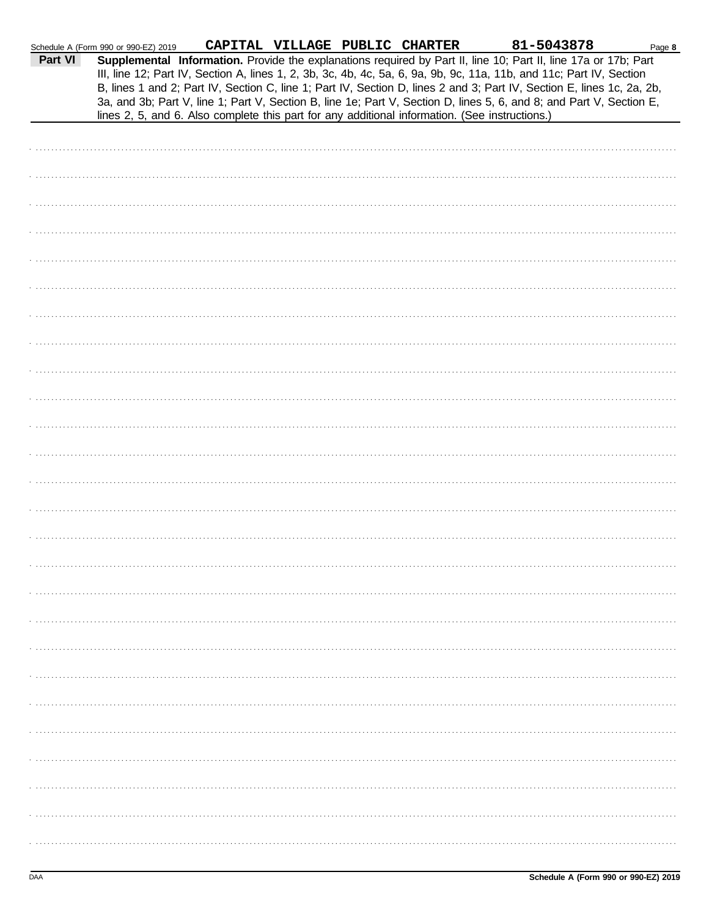|         | Schedule A (Form 990 or 990-EZ) 2019                                                           | CAPITAL VILLAGE PUBLIC CHARTER |  | 81-5043878                                                                                                                                                                                                                                                                                                                                                                                                                                                                                | Page 8 |
|---------|------------------------------------------------------------------------------------------------|--------------------------------|--|-------------------------------------------------------------------------------------------------------------------------------------------------------------------------------------------------------------------------------------------------------------------------------------------------------------------------------------------------------------------------------------------------------------------------------------------------------------------------------------------|--------|
| Part VI | lines 2, 5, and 6. Also complete this part for any additional information. (See instructions.) |                                |  | Supplemental Information. Provide the explanations required by Part II, line 10; Part II, line 17a or 17b; Part<br>III, line 12; Part IV, Section A, lines 1, 2, 3b, 3c, 4b, 4c, 5a, 6, 9a, 9b, 9c, 11a, 11b, and 11c; Part IV, Section<br>B, lines 1 and 2; Part IV, Section C, line 1; Part IV, Section D, lines 2 and 3; Part IV, Section E, lines 1c, 2a, 2b,<br>3a, and 3b; Part V, line 1; Part V, Section B, line 1e; Part V, Section D, lines 5, 6, and 8; and Part V, Section E, |        |
|         |                                                                                                |                                |  |                                                                                                                                                                                                                                                                                                                                                                                                                                                                                           |        |
|         |                                                                                                |                                |  |                                                                                                                                                                                                                                                                                                                                                                                                                                                                                           |        |
|         |                                                                                                |                                |  |                                                                                                                                                                                                                                                                                                                                                                                                                                                                                           |        |
|         |                                                                                                |                                |  |                                                                                                                                                                                                                                                                                                                                                                                                                                                                                           |        |
|         |                                                                                                |                                |  |                                                                                                                                                                                                                                                                                                                                                                                                                                                                                           |        |
|         |                                                                                                |                                |  |                                                                                                                                                                                                                                                                                                                                                                                                                                                                                           |        |
|         |                                                                                                |                                |  |                                                                                                                                                                                                                                                                                                                                                                                                                                                                                           |        |
|         |                                                                                                |                                |  |                                                                                                                                                                                                                                                                                                                                                                                                                                                                                           |        |
|         |                                                                                                |                                |  |                                                                                                                                                                                                                                                                                                                                                                                                                                                                                           |        |
|         |                                                                                                |                                |  |                                                                                                                                                                                                                                                                                                                                                                                                                                                                                           |        |
|         |                                                                                                |                                |  |                                                                                                                                                                                                                                                                                                                                                                                                                                                                                           |        |
|         |                                                                                                |                                |  |                                                                                                                                                                                                                                                                                                                                                                                                                                                                                           |        |
|         |                                                                                                |                                |  |                                                                                                                                                                                                                                                                                                                                                                                                                                                                                           |        |
|         |                                                                                                |                                |  |                                                                                                                                                                                                                                                                                                                                                                                                                                                                                           |        |
|         |                                                                                                |                                |  |                                                                                                                                                                                                                                                                                                                                                                                                                                                                                           |        |
|         |                                                                                                |                                |  |                                                                                                                                                                                                                                                                                                                                                                                                                                                                                           |        |
|         |                                                                                                |                                |  |                                                                                                                                                                                                                                                                                                                                                                                                                                                                                           |        |
|         |                                                                                                |                                |  |                                                                                                                                                                                                                                                                                                                                                                                                                                                                                           |        |
|         |                                                                                                |                                |  |                                                                                                                                                                                                                                                                                                                                                                                                                                                                                           |        |
|         |                                                                                                |                                |  |                                                                                                                                                                                                                                                                                                                                                                                                                                                                                           |        |
|         |                                                                                                |                                |  |                                                                                                                                                                                                                                                                                                                                                                                                                                                                                           |        |
|         |                                                                                                |                                |  |                                                                                                                                                                                                                                                                                                                                                                                                                                                                                           |        |
|         |                                                                                                |                                |  |                                                                                                                                                                                                                                                                                                                                                                                                                                                                                           |        |
|         |                                                                                                |                                |  |                                                                                                                                                                                                                                                                                                                                                                                                                                                                                           |        |
|         |                                                                                                |                                |  |                                                                                                                                                                                                                                                                                                                                                                                                                                                                                           |        |
|         |                                                                                                |                                |  |                                                                                                                                                                                                                                                                                                                                                                                                                                                                                           |        |
|         |                                                                                                |                                |  |                                                                                                                                                                                                                                                                                                                                                                                                                                                                                           |        |
|         |                                                                                                |                                |  |                                                                                                                                                                                                                                                                                                                                                                                                                                                                                           |        |
|         |                                                                                                |                                |  |                                                                                                                                                                                                                                                                                                                                                                                                                                                                                           |        |
|         |                                                                                                |                                |  |                                                                                                                                                                                                                                                                                                                                                                                                                                                                                           |        |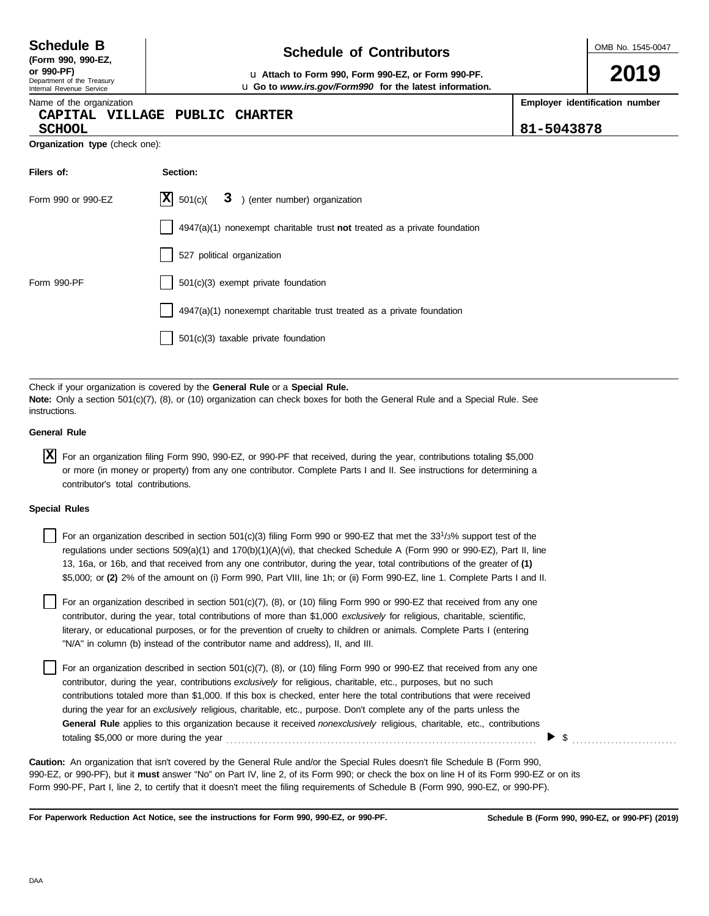**(Form 990, 990-EZ,**

#### Department of the Treasury Internal Revenue Service

# **Schedule of Contributors Schedule B**

**or 990-PF)** u **Attach to Form 990, Form 990-EZ, or Form 990-PF.** u **Go to** *www.irs.gov/Form990* **for the latest information.** OMB No. 1545-0047

**2019**

Name of the organization

# **CAPITAL VILLAGE PUBLIC CHARTER**

**Employer identification number**

**SCHOOL 81-5043878**

| <b>Organization type</b> (check one): |  |  |
|---------------------------------------|--|--|

| Filers of:         | Section:                                                                           |
|--------------------|------------------------------------------------------------------------------------|
| Form 990 or 990-EZ | $ \mathbf{X} $ 501(c)( $3$ ) (enter number) organization                           |
|                    | $4947(a)(1)$ nonexempt charitable trust <b>not</b> treated as a private foundation |
|                    | 527 political organization                                                         |
| Form 990-PF        | $501(c)(3)$ exempt private foundation                                              |
|                    | 4947(a)(1) nonexempt charitable trust treated as a private foundation              |
|                    | $501(c)(3)$ taxable private foundation                                             |

Check if your organization is covered by the **General Rule** or a **Special Rule. Note:** Only a section 501(c)(7), (8), or (10) organization can check boxes for both the General Rule and a Special Rule. See instructions.

## **General Rule**

For an organization filing Form 990, 990-EZ, or 990-PF that received, during the year, contributions totaling \$5,000 **X**or more (in money or property) from any one contributor. Complete Parts I and II. See instructions for determining a contributor's total contributions.

## **Special Rules**

For an organization described in section 501(c)(3) filing Form 990 or 990-EZ that met the 33<sup>1</sup>/3% support test of the regulations under sections 509(a)(1) and 170(b)(1)(A)(vi), that checked Schedule A (Form 990 or 990-EZ), Part II, line 13, 16a, or 16b, and that received from any one contributor, during the year, total contributions of the greater of **(1)** \$5,000; or **(2)** 2% of the amount on (i) Form 990, Part VIII, line 1h; or (ii) Form 990-EZ, line 1. Complete Parts I and II.

literary, or educational purposes, or for the prevention of cruelty to children or animals. Complete Parts I (entering For an organization described in section 501(c)(7), (8), or (10) filing Form 990 or 990-EZ that received from any one contributor, during the year, total contributions of more than \$1,000 *exclusively* for religious, charitable, scientific, "N/A" in column (b) instead of the contributor name and address), II, and III.

For an organization described in section 501(c)(7), (8), or (10) filing Form 990 or 990-EZ that received from any one contributor, during the year, contributions *exclusively* for religious, charitable, etc., purposes, but no such contributions totaled more than \$1,000. If this box is checked, enter here the total contributions that were received during the year for an *exclusively* religious, charitable, etc., purpose. Don't complete any of the parts unless the **General Rule** applies to this organization because it received *nonexclusively* religious, charitable, etc., contributions totaling \$5,000 or more during the year . . . . . . . . . . . . . . . . . . . . . . . . . . . . . . . . . . . . . . . . . . . . . . . . . . . . . . . . . . . . . . . . . . . . . . . . . . . . . . . .

990-EZ, or 990-PF), but it **must** answer "No" on Part IV, line 2, of its Form 990; or check the box on line H of its Form 990-EZ or on its Form 990-PF, Part I, line 2, to certify that it doesn't meet the filing requirements of Schedule B (Form 990, 990-EZ, or 990-PF). **Caution:** An organization that isn't covered by the General Rule and/or the Special Rules doesn't file Schedule B (Form 990,

**For Paperwork Reduction Act Notice, see the instructions for Form 990, 990-EZ, or 990-PF.**

\$ . . . . . . . . . . . . . . . . . . . . . . . . . . .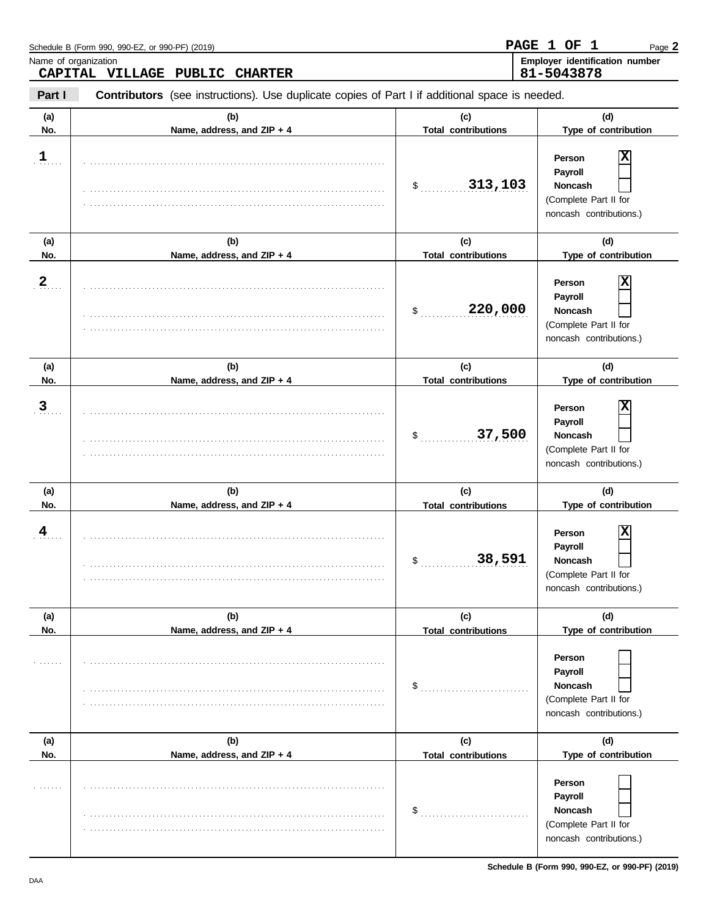|                         | Schedule B (Form 990, 990-EZ, or 990-PF) (2019)                                                |                                                      | PAGE 1 OF 1<br>Page 2                                                                                           |
|-------------------------|------------------------------------------------------------------------------------------------|------------------------------------------------------|-----------------------------------------------------------------------------------------------------------------|
|                         | Name of organization<br>CAPITAL VILLAGE PUBLIC<br><b>CHARTER</b>                               |                                                      | Employer identification number<br>81-5043878                                                                    |
| Part I                  | Contributors (see instructions). Use duplicate copies of Part I if additional space is needed. |                                                      |                                                                                                                 |
| (a)<br>No.              | (b)<br>Name, address, and ZIP + 4                                                              | (c)<br><b>Total contributions</b>                    | (d)<br>Type of contribution                                                                                     |
| $\mathbf{1}$            |                                                                                                | 313,103<br>\$                                        | Person<br>Payroll<br>Noncash<br>(Complete Part II for<br>noncash contributions.)                                |
| (a)                     | (b)                                                                                            | (c)                                                  | (d)                                                                                                             |
| No.<br>$2 \overline{a}$ | Name, address, and ZIP + 4                                                                     | <b>Total contributions</b><br>220,000<br>\$          | Type of contribution<br>Person<br>Payroll<br>Noncash<br>(Complete Part II for<br>noncash contributions.)        |
| (a)                     | (b)                                                                                            | (c)                                                  | (d)                                                                                                             |
| No.<br>3 <sub>1</sub>   | Name, address, and ZIP + 4                                                                     | <b>Total contributions</b><br>37,500<br>$\mathsf{S}$ | Type of contribution<br>Person<br>Payroll<br><b>Noncash</b><br>(Complete Part II for<br>noncash contributions.) |
| (a)<br>No.              | (b)<br>Name, address, and ZIP + 4                                                              | (c)<br><b>Total contributions</b>                    | (d)<br>Type of contribution                                                                                     |
| 4                       |                                                                                                | 38,591<br>$\mathfrak{s}$                             | х<br>Person<br>Payroll<br>Noncash<br>(Complete Part II for<br>noncash contributions.)                           |
| (a)<br>No.              | (b)<br>Name, address, and ZIP + 4                                                              | (c)<br><b>Total contributions</b>                    | (d)<br>Type of contribution                                                                                     |
| 1.1.1.1.1.1             |                                                                                                | \$                                                   | Person<br>Payroll<br><b>Noncash</b><br>(Complete Part II for<br>noncash contributions.)                         |
| (a)<br>No.              | (b)<br>Name, address, and ZIP + 4                                                              | (c)<br><b>Total contributions</b>                    | (d)<br>Type of contribution                                                                                     |
| .                       |                                                                                                | \$                                                   | Person<br>Payroll<br>Noncash<br>(Complete Part II for<br>noncash contributions.)                                |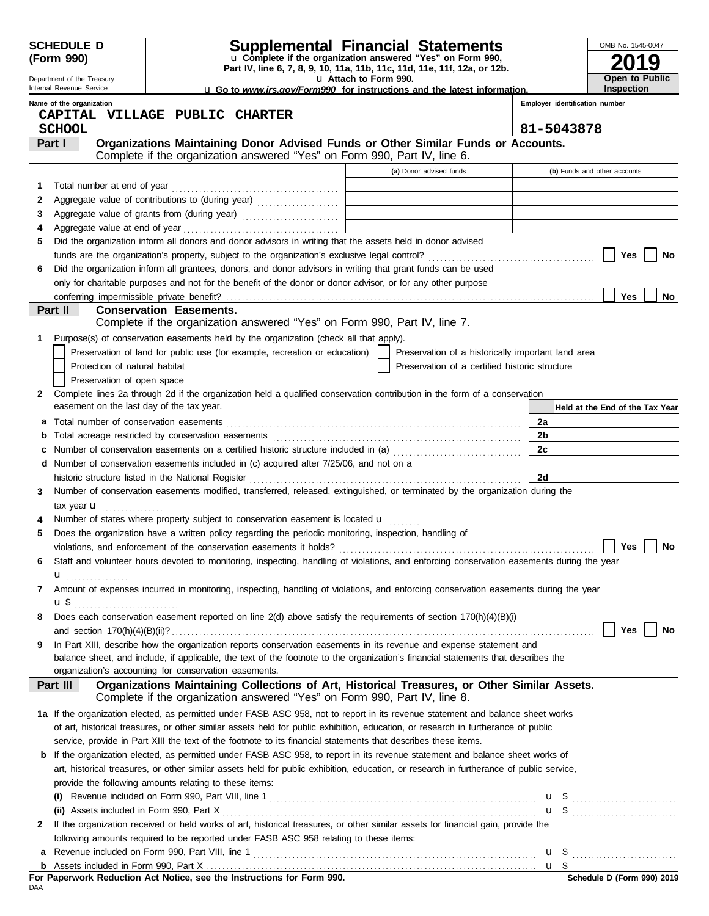| <b>Supplemental Financial Statements</b><br><b>SCHEDULE D</b><br>u Complete if the organization answered "Yes" on Form 990,<br>(Form 990) |                                                                                                        |                                |                                                                                                                                               |                       |                                                    | OMB No. 1545-0047 |                                 |    |
|-------------------------------------------------------------------------------------------------------------------------------------------|--------------------------------------------------------------------------------------------------------|--------------------------------|-----------------------------------------------------------------------------------------------------------------------------------------------|-----------------------|----------------------------------------------------|-------------------|---------------------------------|----|
|                                                                                                                                           | Department of the Treasury                                                                             |                                | Part IV, line 6, 7, 8, 9, 10, 11a, 11b, 11c, 11d, 11e, 11f, 12a, or 12b.                                                                      | u Attach to Form 990. |                                                    |                   | 9<br><b>Open to Public</b>      |    |
|                                                                                                                                           | Internal Revenue Service                                                                               |                                | <b>u</b> Go to www.irs.gov/Form990 for instructions and the latest information.                                                               |                       |                                                    |                   | <b>Inspection</b>               |    |
|                                                                                                                                           | Name of the organization                                                                               |                                |                                                                                                                                               |                       |                                                    |                   | Employer identification number  |    |
|                                                                                                                                           | CAPITAL VILLAGE PUBLIC CHARTER<br><b>SCHOOL</b>                                                        |                                |                                                                                                                                               |                       |                                                    |                   | 81-5043878                      |    |
|                                                                                                                                           | Part I                                                                                                 |                                | Organizations Maintaining Donor Advised Funds or Other Similar Funds or Accounts.                                                             |                       |                                                    |                   |                                 |    |
|                                                                                                                                           |                                                                                                        |                                | Complete if the organization answered "Yes" on Form 990, Part IV, line 6.                                                                     |                       |                                                    |                   |                                 |    |
|                                                                                                                                           |                                                                                                        |                                |                                                                                                                                               |                       | (a) Donor advised funds                            |                   | (b) Funds and other accounts    |    |
| 1                                                                                                                                         |                                                                                                        |                                |                                                                                                                                               |                       |                                                    |                   |                                 |    |
| 2                                                                                                                                         |                                                                                                        |                                | Aggregate value of contributions to (during year)                                                                                             |                       |                                                    |                   |                                 |    |
| 3                                                                                                                                         |                                                                                                        |                                |                                                                                                                                               |                       |                                                    |                   |                                 |    |
| 4                                                                                                                                         |                                                                                                        |                                |                                                                                                                                               |                       |                                                    |                   |                                 |    |
| 5                                                                                                                                         |                                                                                                        |                                | Did the organization inform all donors and donor advisors in writing that the assets held in donor advised                                    |                       |                                                    |                   |                                 |    |
|                                                                                                                                           |                                                                                                        |                                |                                                                                                                                               |                       |                                                    |                   | Yes                             | No |
| 6                                                                                                                                         |                                                                                                        |                                | Did the organization inform all grantees, donors, and donor advisors in writing that grant funds can be used                                  |                       |                                                    |                   |                                 |    |
|                                                                                                                                           |                                                                                                        |                                | only for charitable purposes and not for the benefit of the donor or donor advisor, or for any other purpose                                  |                       |                                                    |                   | <b>Yes</b>                      |    |
|                                                                                                                                           | Part II                                                                                                | <b>Conservation Easements.</b> |                                                                                                                                               |                       |                                                    |                   |                                 | No |
|                                                                                                                                           |                                                                                                        |                                | Complete if the organization answered "Yes" on Form 990, Part IV, line 7.                                                                     |                       |                                                    |                   |                                 |    |
| 1                                                                                                                                         |                                                                                                        |                                | Purpose(s) of conservation easements held by the organization (check all that apply).                                                         |                       |                                                    |                   |                                 |    |
|                                                                                                                                           |                                                                                                        |                                | Preservation of land for public use (for example, recreation or education)                                                                    |                       | Preservation of a historically important land area |                   |                                 |    |
|                                                                                                                                           | Protection of natural habitat                                                                          |                                |                                                                                                                                               |                       | Preservation of a certified historic structure     |                   |                                 |    |
|                                                                                                                                           | Preservation of open space                                                                             |                                |                                                                                                                                               |                       |                                                    |                   |                                 |    |
| 2                                                                                                                                         |                                                                                                        |                                | Complete lines 2a through 2d if the organization held a qualified conservation contribution in the form of a conservation                     |                       |                                                    |                   |                                 |    |
|                                                                                                                                           | easement on the last day of the tax year.                                                              |                                |                                                                                                                                               |                       |                                                    |                   | Held at the End of the Tax Year |    |
| а                                                                                                                                         |                                                                                                        |                                |                                                                                                                                               |                       |                                                    | 2a                |                                 |    |
| b                                                                                                                                         |                                                                                                        |                                |                                                                                                                                               |                       |                                                    |                   |                                 |    |
| c                                                                                                                                         | Number of conservation easements on a certified historic structure included in (a) [[[[[ [ [ ]]]<br>2c |                                |                                                                                                                                               |                       |                                                    |                   |                                 |    |
|                                                                                                                                           | Number of conservation easements included in (c) acquired after 7/25/06, and not on a<br>d             |                                |                                                                                                                                               |                       |                                                    |                   |                                 |    |
|                                                                                                                                           | historic structure listed in the National Register                                                     |                                |                                                                                                                                               |                       |                                                    | 2d                |                                 |    |
| 3                                                                                                                                         |                                                                                                        |                                | Number of conservation easements modified, transferred, released, extinguished, or terminated by the organization during the                  |                       |                                                    |                   |                                 |    |
|                                                                                                                                           | tax year $\mathbf u$                                                                                   |                                |                                                                                                                                               |                       |                                                    |                   |                                 |    |
|                                                                                                                                           |                                                                                                        |                                | Number of states where property subject to conservation easement is located $\mathbf{u}$                                                      |                       |                                                    |                   |                                 |    |
| 5                                                                                                                                         |                                                                                                        |                                | Does the organization have a written policy regarding the periodic monitoring, inspection, handling of                                        |                       |                                                    |                   |                                 |    |
|                                                                                                                                           |                                                                                                        |                                |                                                                                                                                               |                       |                                                    |                   | Yes                             | No |
| 6                                                                                                                                         |                                                                                                        |                                | Staff and volunteer hours devoted to monitoring, inspecting, handling of violations, and enforcing conservation easements during the year     |                       |                                                    |                   |                                 |    |
| 7                                                                                                                                         | u <sub></sub>                                                                                          |                                | Amount of expenses incurred in monitoring, inspecting, handling of violations, and enforcing conservation easements during the year           |                       |                                                    |                   |                                 |    |
|                                                                                                                                           | <b>u</b> \$                                                                                            |                                |                                                                                                                                               |                       |                                                    |                   |                                 |    |
| 8                                                                                                                                         |                                                                                                        |                                | Does each conservation easement reported on line 2(d) above satisfy the requirements of section 170(h)(4)(B)(i)                               |                       |                                                    |                   |                                 |    |
|                                                                                                                                           |                                                                                                        |                                |                                                                                                                                               |                       |                                                    |                   | Yes                             | No |
| 9                                                                                                                                         |                                                                                                        |                                | In Part XIII, describe how the organization reports conservation easements in its revenue and expense statement and                           |                       |                                                    |                   |                                 |    |
|                                                                                                                                           |                                                                                                        |                                | balance sheet, and include, if applicable, the text of the footnote to the organization's financial statements that describes the             |                       |                                                    |                   |                                 |    |
|                                                                                                                                           | organization's accounting for conservation easements.                                                  |                                |                                                                                                                                               |                       |                                                    |                   |                                 |    |
|                                                                                                                                           | Part III                                                                                               |                                | Organizations Maintaining Collections of Art, Historical Treasures, or Other Similar Assets.                                                  |                       |                                                    |                   |                                 |    |
|                                                                                                                                           |                                                                                                        |                                | Complete if the organization answered "Yes" on Form 990, Part IV, line 8.                                                                     |                       |                                                    |                   |                                 |    |
|                                                                                                                                           |                                                                                                        |                                | 1a If the organization elected, as permitted under FASB ASC 958, not to report in its revenue statement and balance sheet works               |                       |                                                    |                   |                                 |    |
|                                                                                                                                           |                                                                                                        |                                | of art, historical treasures, or other similar assets held for public exhibition, education, or research in furtherance of public             |                       |                                                    |                   |                                 |    |
|                                                                                                                                           |                                                                                                        |                                | service, provide in Part XIII the text of the footnote to its financial statements that describes these items.                                |                       |                                                    |                   |                                 |    |
| b                                                                                                                                         |                                                                                                        |                                | If the organization elected, as permitted under FASB ASC 958, to report in its revenue statement and balance sheet works of                   |                       |                                                    |                   |                                 |    |
|                                                                                                                                           | provide the following amounts relating to these items:                                                 |                                | art, historical treasures, or other similar assets held for public exhibition, education, or research in furtherance of public service,       |                       |                                                    |                   |                                 |    |
|                                                                                                                                           |                                                                                                        |                                |                                                                                                                                               |                       |                                                    |                   |                                 |    |
|                                                                                                                                           |                                                                                                        |                                | (i) Revenue included on Form 990, Part VIII, line 1 $\ldots$ $\ldots$ $\ldots$ $\ldots$ $\ldots$ $\ldots$ $\ldots$ $\ldots$ $\ldots$ $\ldots$ |                       |                                                    |                   |                                 |    |
| 2                                                                                                                                         |                                                                                                        |                                | If the organization received or held works of art, historical treasures, or other similar assets for financial gain, provide the              |                       |                                                    |                   | $\mathbf{u}$ \$ $\ldots$        |    |
|                                                                                                                                           |                                                                                                        |                                | following amounts required to be reported under FASB ASC 958 relating to these items:                                                         |                       |                                                    |                   |                                 |    |
| а                                                                                                                                         |                                                                                                        |                                |                                                                                                                                               |                       |                                                    |                   |                                 |    |
| b                                                                                                                                         |                                                                                                        |                                |                                                                                                                                               |                       |                                                    |                   |                                 |    |
|                                                                                                                                           |                                                                                                        |                                | For Paperwork Reduction Act Notice, see the Instructions for Form 990.                                                                        |                       |                                                    |                   | Schedule D (Form 990) 2019      |    |
| DAA                                                                                                                                       |                                                                                                        |                                |                                                                                                                                               |                       |                                                    |                   |                                 |    |

|     |  |  |  | For Paperwork Reduction Act Notice, see the Instructions for Form 990. |  |  |
|-----|--|--|--|------------------------------------------------------------------------|--|--|
| DAA |  |  |  |                                                                        |  |  |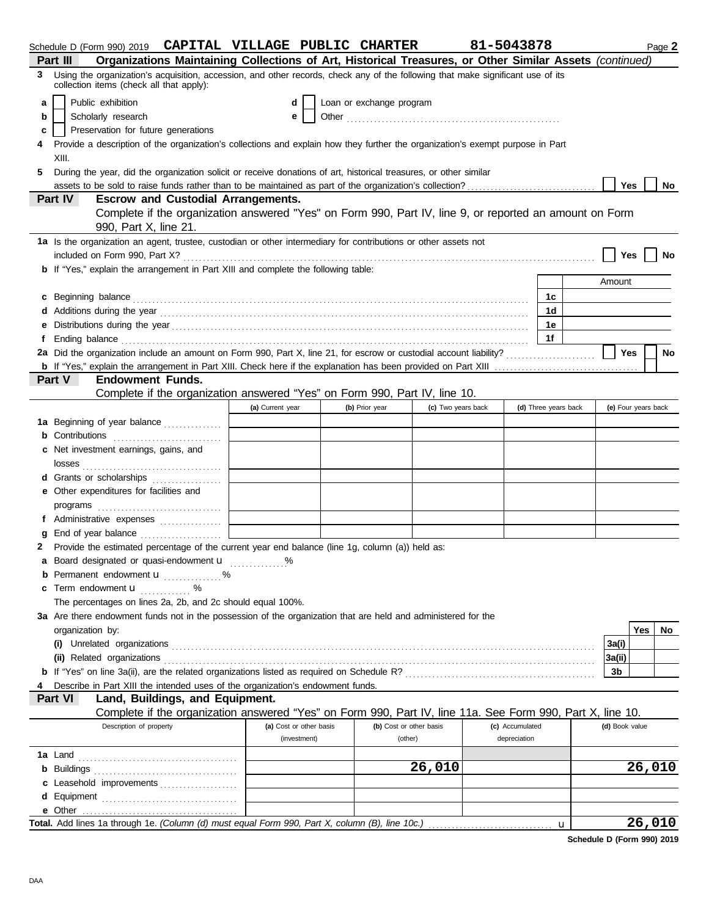|   | Schedule D (Form 990) 2019 CAPITAL VILLAGE PUBLIC CHARTER                                                                                                                                                                            |                         |  |                         |                    | 81-5043878 |                 |                      |  |                     |     | Page 2 |
|---|--------------------------------------------------------------------------------------------------------------------------------------------------------------------------------------------------------------------------------------|-------------------------|--|-------------------------|--------------------|------------|-----------------|----------------------|--|---------------------|-----|--------|
|   | Organizations Maintaining Collections of Art, Historical Treasures, or Other Similar Assets (continued)<br>Part III                                                                                                                  |                         |  |                         |                    |            |                 |                      |  |                     |     |        |
| 3 | Using the organization's acquisition, accession, and other records, check any of the following that make significant use of its<br>collection items (check all that apply):                                                          |                         |  |                         |                    |            |                 |                      |  |                     |     |        |
| a | Public exhibition                                                                                                                                                                                                                    | d                       |  |                         |                    |            |                 |                      |  |                     |     |        |
| b | Loan or exchange program<br>Scholarly research<br>е                                                                                                                                                                                  |                         |  |                         |                    |            |                 |                      |  |                     |     |        |
| c | Preservation for future generations                                                                                                                                                                                                  |                         |  |                         |                    |            |                 |                      |  |                     |     |        |
|   |                                                                                                                                                                                                                                      |                         |  |                         |                    |            |                 |                      |  |                     |     |        |
|   | Provide a description of the organization's collections and explain how they further the organization's exempt purpose in Part<br>4<br>XIII.                                                                                         |                         |  |                         |                    |            |                 |                      |  |                     |     |        |
| 5 | During the year, did the organization solicit or receive donations of art, historical treasures, or other similar                                                                                                                    |                         |  |                         |                    |            |                 |                      |  |                     |     |        |
|   |                                                                                                                                                                                                                                      |                         |  |                         |                    |            |                 |                      |  | Yes                 |     | No     |
|   | Part IV<br><b>Escrow and Custodial Arrangements.</b>                                                                                                                                                                                 |                         |  |                         |                    |            |                 |                      |  |                     |     |        |
|   | Complete if the organization answered "Yes" on Form 990, Part IV, line 9, or reported an amount on Form<br>990, Part X, line 21.                                                                                                     |                         |  |                         |                    |            |                 |                      |  |                     |     |        |
|   | 1a Is the organization an agent, trustee, custodian or other intermediary for contributions or other assets not                                                                                                                      |                         |  |                         |                    |            |                 |                      |  |                     |     |        |
|   |                                                                                                                                                                                                                                      |                         |  |                         |                    |            |                 |                      |  | <b>Yes</b>          |     | No     |
|   | <b>b</b> If "Yes," explain the arrangement in Part XIII and complete the following table:                                                                                                                                            |                         |  |                         |                    |            |                 |                      |  |                     |     |        |
|   |                                                                                                                                                                                                                                      |                         |  |                         |                    |            |                 |                      |  | Amount              |     |        |
|   |                                                                                                                                                                                                                                      |                         |  |                         |                    |            |                 | 1с                   |  |                     |     |        |
|   | c Beginning balance <b>contract to the contract of the contract of the contract of the contract of the contract of the contract of the contract of the contract of the contract of the contract of the contract of the contract </b> |                         |  |                         |                    |            |                 | 1 <sub>d</sub>       |  |                     |     |        |
|   |                                                                                                                                                                                                                                      |                         |  |                         |                    |            |                 | 1e                   |  |                     |     |        |
|   |                                                                                                                                                                                                                                      |                         |  |                         |                    |            |                 | 1f                   |  |                     |     |        |
|   | f Ending balance <b>construction and the construction of the construction</b> of the construction of the construction of the construction of the construction of the construction of the construction of the construction of the co  |                         |  |                         |                    |            |                 |                      |  |                     |     |        |
|   | 2a Did the organization include an amount on Form 990, Part X, line 21, for escrow or custodial account liability?                                                                                                                   |                         |  |                         |                    |            |                 |                      |  | <b>Yes</b>          |     | No     |
|   |                                                                                                                                                                                                                                      |                         |  |                         |                    |            |                 |                      |  |                     |     |        |
|   | <b>Endowment Funds.</b><br><b>Part V</b>                                                                                                                                                                                             |                         |  |                         |                    |            |                 |                      |  |                     |     |        |
|   | Complete if the organization answered "Yes" on Form 990, Part IV, line 10.                                                                                                                                                           |                         |  |                         |                    |            |                 |                      |  |                     |     |        |
|   |                                                                                                                                                                                                                                      | (a) Current year        |  | (b) Prior year          | (c) Two years back |            |                 | (d) Three years back |  | (e) Four years back |     |        |
|   | 1a Beginning of year balance                                                                                                                                                                                                         |                         |  |                         |                    |            |                 |                      |  |                     |     |        |
|   |                                                                                                                                                                                                                                      |                         |  |                         |                    |            |                 |                      |  |                     |     |        |
|   | c Net investment earnings, gains, and                                                                                                                                                                                                |                         |  |                         |                    |            |                 |                      |  |                     |     |        |
|   |                                                                                                                                                                                                                                      |                         |  |                         |                    |            |                 |                      |  |                     |     |        |
|   | d Grants or scholarships                                                                                                                                                                                                             |                         |  |                         |                    |            |                 |                      |  |                     |     |        |
|   | e Other expenditures for facilities and                                                                                                                                                                                              |                         |  |                         |                    |            |                 |                      |  |                     |     |        |
|   |                                                                                                                                                                                                                                      |                         |  |                         |                    |            |                 |                      |  |                     |     |        |
|   | f Administrative expenses                                                                                                                                                                                                            |                         |  |                         |                    |            |                 |                      |  |                     |     |        |
|   | g End of year balance                                                                                                                                                                                                                |                         |  |                         |                    |            |                 |                      |  |                     |     |        |
| 2 | Provide the estimated percentage of the current year end balance (line 1g, column (a)) held as:                                                                                                                                      |                         |  |                         |                    |            |                 |                      |  |                     |     |        |
|   | a Board designated or quasi-endowment u                                                                                                                                                                                              |                         |  |                         |                    |            |                 |                      |  |                     |     |        |
|   | <b>b</b> Permanent endowment <b>u</b> %                                                                                                                                                                                              |                         |  |                         |                    |            |                 |                      |  |                     |     |        |
|   | <b>c</b> Term endowment $\mathbf{u}$ %                                                                                                                                                                                               |                         |  |                         |                    |            |                 |                      |  |                     |     |        |
|   | The percentages on lines 2a, 2b, and 2c should equal 100%.                                                                                                                                                                           |                         |  |                         |                    |            |                 |                      |  |                     |     |        |
|   | 3a Are there endowment funds not in the possession of the organization that are held and administered for the                                                                                                                        |                         |  |                         |                    |            |                 |                      |  |                     |     |        |
|   | organization by:                                                                                                                                                                                                                     |                         |  |                         |                    |            |                 |                      |  |                     | Yes | No.    |
|   |                                                                                                                                                                                                                                      |                         |  |                         |                    |            |                 |                      |  | 3a(i)               |     |        |
|   |                                                                                                                                                                                                                                      |                         |  |                         |                    |            |                 |                      |  | 3a(ii)              |     |        |
|   |                                                                                                                                                                                                                                      |                         |  |                         |                    |            |                 |                      |  | 3b                  |     |        |
|   | Describe in Part XIII the intended uses of the organization's endowment funds.                                                                                                                                                       |                         |  |                         |                    |            |                 |                      |  |                     |     |        |
|   | Land, Buildings, and Equipment.<br><b>Part VI</b>                                                                                                                                                                                    |                         |  |                         |                    |            |                 |                      |  |                     |     |        |
|   |                                                                                                                                                                                                                                      |                         |  |                         |                    |            |                 |                      |  |                     |     |        |
|   | Complete if the organization answered "Yes" on Form 990, Part IV, line 11a. See Form 990, Part X, line 10.                                                                                                                           |                         |  |                         |                    |            |                 |                      |  |                     |     |        |
|   | Description of property                                                                                                                                                                                                              | (a) Cost or other basis |  | (b) Cost or other basis |                    |            | (c) Accumulated |                      |  | (d) Book value      |     |        |
|   |                                                                                                                                                                                                                                      | (investment)            |  | (other)                 |                    |            | depreciation    |                      |  |                     |     |        |
|   |                                                                                                                                                                                                                                      |                         |  |                         |                    |            |                 |                      |  |                     |     |        |
|   |                                                                                                                                                                                                                                      |                         |  |                         | 26,010             |            |                 |                      |  |                     |     | 26,010 |
|   | c Leasehold improvements                                                                                                                                                                                                             |                         |  |                         |                    |            |                 |                      |  |                     |     |        |
|   |                                                                                                                                                                                                                                      |                         |  |                         |                    |            |                 |                      |  |                     |     |        |
|   |                                                                                                                                                                                                                                      |                         |  |                         |                    |            |                 |                      |  |                     |     |        |
|   | Total. Add lines 1a through 1e. (Column (d) must equal Form 990, Part X, column (B), line 10c.)                                                                                                                                      |                         |  |                         |                    |            |                 | $\mathbf{u}$         |  |                     |     | 26,010 |

**Schedule D (Form 990) 2019**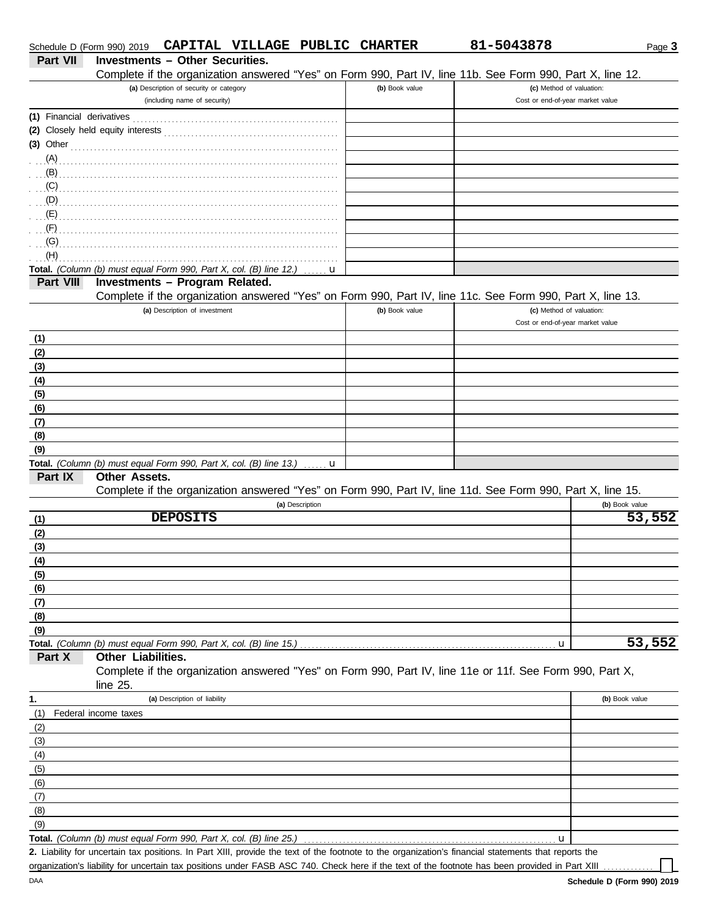|                 | Schedule D (Form 990) 2019                                         |                                         | CAPITAL VILLAGE PUBLIC CHARTER |                 |                | 81-5043878                                                                                                                                           | Page 3         |
|-----------------|--------------------------------------------------------------------|-----------------------------------------|--------------------------------|-----------------|----------------|------------------------------------------------------------------------------------------------------------------------------------------------------|----------------|
| <b>Part VII</b> | <b>Investments - Other Securities.</b>                             |                                         |                                |                 |                |                                                                                                                                                      |                |
|                 |                                                                    |                                         |                                |                 |                | Complete if the organization answered "Yes" on Form 990, Part IV, line 11b. See Form 990, Part X, line 12.                                           |                |
|                 |                                                                    | (a) Description of security or category |                                |                 | (b) Book value | (c) Method of valuation:                                                                                                                             |                |
|                 |                                                                    | (including name of security)            |                                |                 |                | Cost or end-of-year market value                                                                                                                     |                |
|                 |                                                                    |                                         |                                |                 |                |                                                                                                                                                      |                |
|                 |                                                                    |                                         |                                |                 |                |                                                                                                                                                      |                |
|                 | (3) Other                                                          |                                         |                                |                 |                |                                                                                                                                                      |                |
| (A)             |                                                                    |                                         |                                |                 |                |                                                                                                                                                      |                |
| (B)             |                                                                    |                                         |                                |                 |                |                                                                                                                                                      |                |
| (C)             |                                                                    |                                         |                                |                 |                |                                                                                                                                                      |                |
| (D)             |                                                                    |                                         |                                |                 |                |                                                                                                                                                      |                |
| (E)             |                                                                    |                                         |                                |                 |                |                                                                                                                                                      |                |
| (F)             |                                                                    |                                         |                                |                 |                |                                                                                                                                                      |                |
| (G)<br>(H)      |                                                                    |                                         |                                |                 |                |                                                                                                                                                      |                |
|                 | Total. (Column (b) must equal Form 990, Part X, col. (B) line 12.) |                                         |                                | u               |                |                                                                                                                                                      |                |
| Part VIII       | Investments - Program Related.                                     |                                         |                                |                 |                |                                                                                                                                                      |                |
|                 |                                                                    |                                         |                                |                 |                | Complete if the organization answered "Yes" on Form 990, Part IV, line 11c. See Form 990, Part X, line 13.                                           |                |
|                 |                                                                    | (a) Description of investment           |                                |                 | (b) Book value | (c) Method of valuation:                                                                                                                             |                |
|                 |                                                                    |                                         |                                |                 |                | Cost or end-of-year market value                                                                                                                     |                |
| (1)             |                                                                    |                                         |                                |                 |                |                                                                                                                                                      |                |
| (2)             |                                                                    |                                         |                                |                 |                |                                                                                                                                                      |                |
| (3)             |                                                                    |                                         |                                |                 |                |                                                                                                                                                      |                |
| (4)             |                                                                    |                                         |                                |                 |                |                                                                                                                                                      |                |
| (5)             |                                                                    |                                         |                                |                 |                |                                                                                                                                                      |                |
| (6)             |                                                                    |                                         |                                |                 |                |                                                                                                                                                      |                |
| (7)             |                                                                    |                                         |                                |                 |                |                                                                                                                                                      |                |
| (8)             |                                                                    |                                         |                                |                 |                |                                                                                                                                                      |                |
| (9)             |                                                                    |                                         |                                |                 |                |                                                                                                                                                      |                |
|                 | Total. (Column (b) must equal Form 990, Part X, col. (B) line 13.) |                                         |                                | u               |                |                                                                                                                                                      |                |
| Part IX         | <b>Other Assets.</b>                                               |                                         |                                |                 |                |                                                                                                                                                      |                |
|                 |                                                                    |                                         |                                |                 |                | Complete if the organization answered "Yes" on Form 990, Part IV, line 11d. See Form 990, Part X, line 15.                                           |                |
|                 |                                                                    |                                         |                                | (a) Description |                |                                                                                                                                                      | (b) Book value |
| (1)             |                                                                    | <b>DEPOSITS</b>                         |                                |                 |                |                                                                                                                                                      | 53,552         |
| (2)             |                                                                    |                                         |                                |                 |                |                                                                                                                                                      |                |
| (3)             |                                                                    |                                         |                                |                 |                |                                                                                                                                                      |                |
| $\frac{(4)}{2}$ |                                                                    |                                         |                                |                 |                |                                                                                                                                                      |                |
| (5)<br>(6)      |                                                                    |                                         |                                |                 |                |                                                                                                                                                      |                |
| (7)             |                                                                    |                                         |                                |                 |                |                                                                                                                                                      |                |
| (8)             |                                                                    |                                         |                                |                 |                |                                                                                                                                                      |                |
| (9)             |                                                                    |                                         |                                |                 |                |                                                                                                                                                      |                |
|                 | Total. (Column (b) must equal Form 990, Part X, col. (B) line 15.) |                                         |                                |                 |                | u                                                                                                                                                    | 53,552         |
| Part X          | Other Liabilities.                                                 |                                         |                                |                 |                |                                                                                                                                                      |                |
|                 | line 25.                                                           |                                         |                                |                 |                | Complete if the organization answered "Yes" on Form 990, Part IV, line 11e or 11f. See Form 990, Part X,                                             |                |
| 1.              |                                                                    | (a) Description of liability            |                                |                 |                |                                                                                                                                                      | (b) Book value |
| (1)             | Federal income taxes                                               |                                         |                                |                 |                |                                                                                                                                                      |                |
| (2)             |                                                                    |                                         |                                |                 |                |                                                                                                                                                      |                |
| (3)             |                                                                    |                                         |                                |                 |                |                                                                                                                                                      |                |
| (4)             |                                                                    |                                         |                                |                 |                |                                                                                                                                                      |                |
| (5)             |                                                                    |                                         |                                |                 |                |                                                                                                                                                      |                |
| (6)             |                                                                    |                                         |                                |                 |                |                                                                                                                                                      |                |
| (7)             |                                                                    |                                         |                                |                 |                |                                                                                                                                                      |                |
| (8)             |                                                                    |                                         |                                |                 |                |                                                                                                                                                      |                |
| (9)             |                                                                    |                                         |                                |                 |                |                                                                                                                                                      |                |
|                 | Total. (Column (b) must equal Form 990, Part X, col. (B) line 25.) |                                         |                                |                 |                | u                                                                                                                                                    |                |
|                 |                                                                    |                                         |                                |                 |                | 2. Liability for uncertain tax positions. In Part XIII, provide the text of the footnote to the organization's financial statements that reports the |                |

organization's liability for uncertain tax positions under FASB ASC 740. Check here if the text of the footnote has been provided in Part XIII ..

DAA

**Schedule D (Form 990) 2019**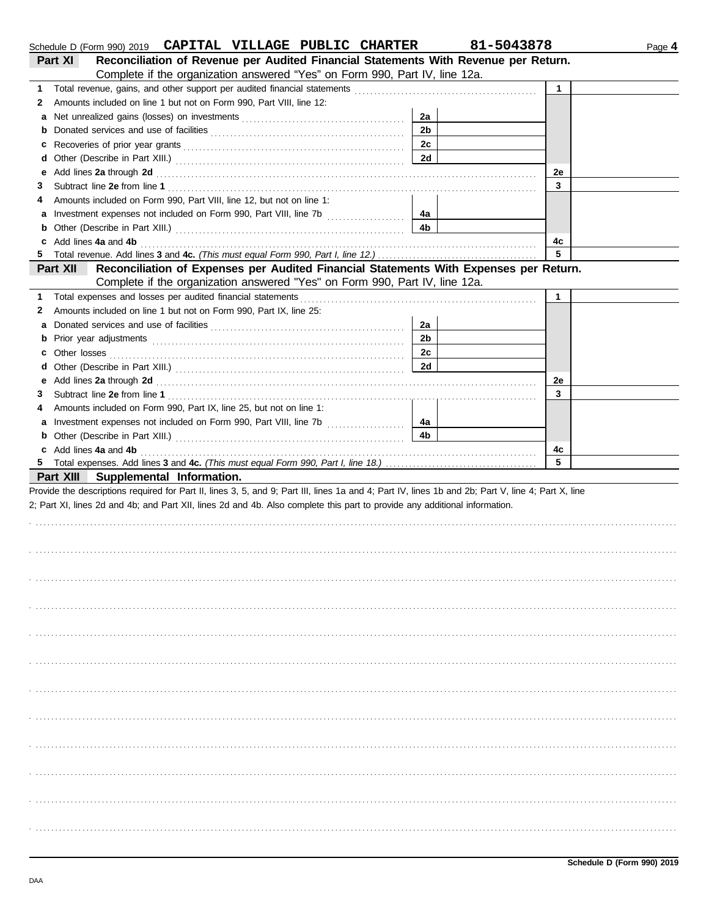|    | Schedule D (Form 990) 2019 CAPITAL VILLAGE PUBLIC CHARTER                                                                                                                                                                                                                        |                | 81-5043878   | Page 4 |
|----|----------------------------------------------------------------------------------------------------------------------------------------------------------------------------------------------------------------------------------------------------------------------------------|----------------|--------------|--------|
|    | Reconciliation of Revenue per Audited Financial Statements With Revenue per Return.<br>Part XI                                                                                                                                                                                   |                |              |        |
|    | Complete if the organization answered "Yes" on Form 990, Part IV, line 12a.                                                                                                                                                                                                      |                |              |        |
| 1. |                                                                                                                                                                                                                                                                                  |                | $\mathbf{1}$ |        |
| 2  | Amounts included on line 1 but not on Form 990, Part VIII, line 12:                                                                                                                                                                                                              |                |              |        |
| а  |                                                                                                                                                                                                                                                                                  | 2a             |              |        |
| b  |                                                                                                                                                                                                                                                                                  | 2 <sub>b</sub> |              |        |
| с  |                                                                                                                                                                                                                                                                                  | 2c             |              |        |
| d  |                                                                                                                                                                                                                                                                                  | 2d             |              |        |
| е  | Add lines 2a through 2d [11] Add [12] Add [12] Add lines 2a through 2d [12] Add lines 2a through 2d [12] Add [12] Add [12] Add [12] Add [12] Add [12] Add [12] Add [12] Add [12] Add [12] Add [12] Add [12] Add [12] Add [12]                                                    |                | 2e           |        |
| З  |                                                                                                                                                                                                                                                                                  |                | 3            |        |
| 4  | Amounts included on Form 990, Part VIII, line 12, but not on line 1:                                                                                                                                                                                                             |                |              |        |
| а  |                                                                                                                                                                                                                                                                                  | 4a             |              |        |
| b  |                                                                                                                                                                                                                                                                                  | 4b             |              |        |
|    | Add lines 4a and 4b                                                                                                                                                                                                                                                              |                | 4с           |        |
| 5  |                                                                                                                                                                                                                                                                                  |                | 5            |        |
|    | Reconciliation of Expenses per Audited Financial Statements With Expenses per Return.<br>Part XII                                                                                                                                                                                |                |              |        |
|    | Complete if the organization answered "Yes" on Form 990, Part IV, line 12a.                                                                                                                                                                                                      |                |              |        |
| 1. | Total expenses and losses per audited financial statements                                                                                                                                                                                                                       |                | $\mathbf{1}$ |        |
| 2  | Amounts included on line 1 but not on Form 990, Part IX, line 25:                                                                                                                                                                                                                |                |              |        |
| а  |                                                                                                                                                                                                                                                                                  | 2a             |              |        |
| b  |                                                                                                                                                                                                                                                                                  | 2 <sub>b</sub> |              |        |
| с  |                                                                                                                                                                                                                                                                                  | 2c             |              |        |
| d  |                                                                                                                                                                                                                                                                                  | 2d             |              |        |
| е  | Add lines 2a through 2d [11] Add [12] Add [12] Add lines 2a through 2d [12] Add lines 2a through 2d [12] Add [12] Add [12] Add [12] Add [12] Add [12] Add [12] Add [12] Add [12] Add [12] Add [12] Add [12] Add [12] Add [12]                                                    |                | 2e           |        |
| 3  |                                                                                                                                                                                                                                                                                  |                | 3            |        |
| 4  | Amounts included on Form 990, Part IX, line 25, but not on line 1:                                                                                                                                                                                                               |                |              |        |
| а  | Investment expenses not included on Form 990, Part VIII, line 7b [100] [100] [100] [100] [100] [100] [100] [100] [100] [100] [100] [100] [100] [100] [100] [100] [100] [100] [100] [100] [100] [100] [100] [100] [100] [100] [                                                   | 4a             |              |        |
| b  |                                                                                                                                                                                                                                                                                  | 4b             |              |        |
| c  | Add lines 4a and 4b                                                                                                                                                                                                                                                              |                | 4c           |        |
| 5  |                                                                                                                                                                                                                                                                                  |                | 5            |        |
|    | Part XIII Supplemental Information.                                                                                                                                                                                                                                              |                |              |        |
|    | Provide the descriptions required for Part II, lines 3, 5, and 9; Part III, lines 1a and 4; Part IV, lines 1b and 2b; Part V, line 4; Part X, line<br>2; Part XI, lines 2d and 4b; and Part XII, lines 2d and 4b. Also complete this part to provide any additional information. |                |              |        |
|    |                                                                                                                                                                                                                                                                                  |                |              |        |
|    |                                                                                                                                                                                                                                                                                  |                |              |        |
|    |                                                                                                                                                                                                                                                                                  |                |              |        |
|    |                                                                                                                                                                                                                                                                                  |                |              |        |
|    |                                                                                                                                                                                                                                                                                  |                |              |        |
|    |                                                                                                                                                                                                                                                                                  |                |              |        |
|    |                                                                                                                                                                                                                                                                                  |                |              |        |
|    |                                                                                                                                                                                                                                                                                  |                |              |        |
|    |                                                                                                                                                                                                                                                                                  |                |              |        |
|    |                                                                                                                                                                                                                                                                                  |                |              |        |
|    |                                                                                                                                                                                                                                                                                  |                |              |        |
|    |                                                                                                                                                                                                                                                                                  |                |              |        |
|    |                                                                                                                                                                                                                                                                                  |                |              |        |
|    |                                                                                                                                                                                                                                                                                  |                |              |        |
|    |                                                                                                                                                                                                                                                                                  |                |              |        |
|    |                                                                                                                                                                                                                                                                                  |                |              |        |
|    |                                                                                                                                                                                                                                                                                  |                |              |        |
|    |                                                                                                                                                                                                                                                                                  |                |              |        |
|    |                                                                                                                                                                                                                                                                                  |                |              |        |
|    |                                                                                                                                                                                                                                                                                  |                |              |        |
|    |                                                                                                                                                                                                                                                                                  |                |              |        |
|    |                                                                                                                                                                                                                                                                                  |                |              |        |
|    |                                                                                                                                                                                                                                                                                  |                |              |        |
|    |                                                                                                                                                                                                                                                                                  |                |              |        |
|    |                                                                                                                                                                                                                                                                                  |                |              |        |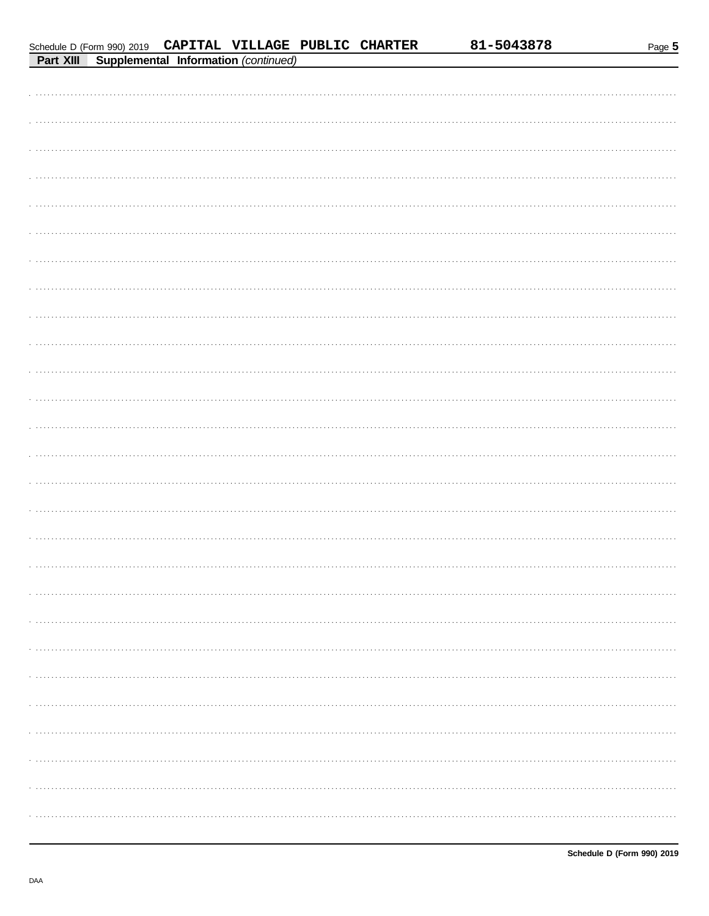|--|--|

81-5043878

| Schedule D (Form 990) 2019 CAPITAL VILLAGE PUBLIC CHARTER |  |  |
|-----------------------------------------------------------|--|--|
|                                                           |  |  |

|  | <b>Part XIII Supplemental Information (continued)</b> |  |
|--|-------------------------------------------------------|--|
|  |                                                       |  |
|  |                                                       |  |
|  |                                                       |  |
|  |                                                       |  |
|  |                                                       |  |
|  |                                                       |  |
|  |                                                       |  |
|  |                                                       |  |
|  |                                                       |  |
|  |                                                       |  |
|  |                                                       |  |
|  |                                                       |  |
|  |                                                       |  |
|  |                                                       |  |
|  |                                                       |  |
|  |                                                       |  |
|  |                                                       |  |
|  |                                                       |  |
|  |                                                       |  |
|  |                                                       |  |
|  |                                                       |  |
|  |                                                       |  |
|  |                                                       |  |
|  |                                                       |  |
|  |                                                       |  |
|  |                                                       |  |
|  |                                                       |  |
|  |                                                       |  |
|  |                                                       |  |
|  |                                                       |  |
|  |                                                       |  |
|  |                                                       |  |
|  |                                                       |  |
|  |                                                       |  |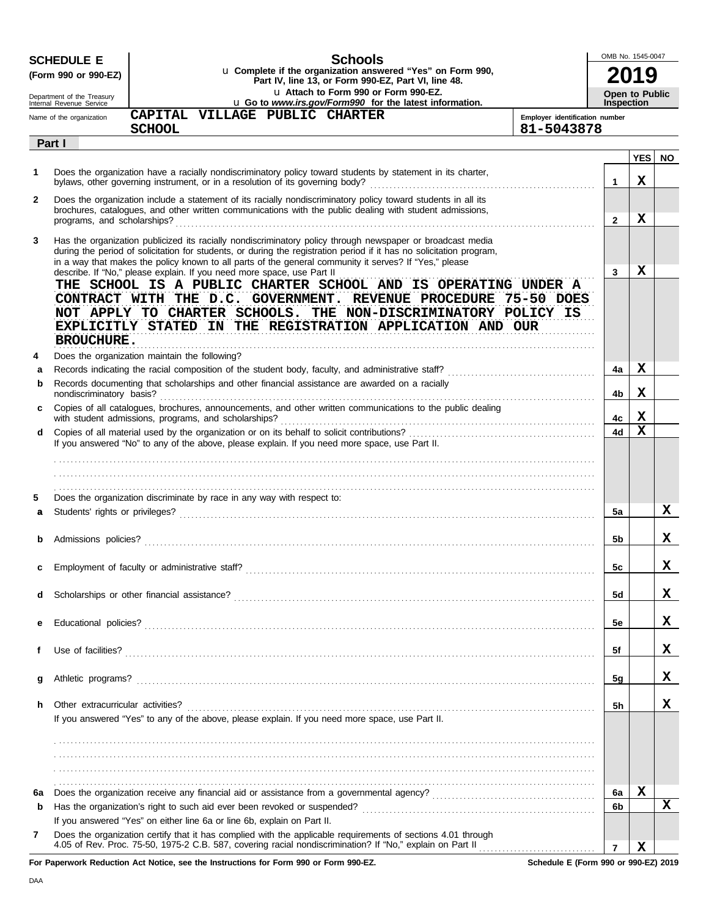|              | <b>SCHEDULE E</b>                                      | <b>Schools</b>                                                                                                                                                                                                                                                                                                                                                                                                                                                                                                                                                                                                                |                                | OMB No. 1545-0047                          |     |
|--------------|--------------------------------------------------------|-------------------------------------------------------------------------------------------------------------------------------------------------------------------------------------------------------------------------------------------------------------------------------------------------------------------------------------------------------------------------------------------------------------------------------------------------------------------------------------------------------------------------------------------------------------------------------------------------------------------------------|--------------------------------|--------------------------------------------|-----|
|              | (Form 990 or 990-EZ)                                   | u Complete if the organization answered "Yes" on Form 990,<br>Part IV, line 13, or Form 990-EZ, Part VI, line 48.                                                                                                                                                                                                                                                                                                                                                                                                                                                                                                             |                                |                                            |     |
|              | Department of the Treasury<br>Internal Revenue Service | u Attach to Form 990 or Form 990-EZ.<br>u Go to www.irs.gov/Form990 for the latest information.                                                                                                                                                                                                                                                                                                                                                                                                                                                                                                                               |                                | <b>Open to Public</b><br><b>Inspection</b> |     |
|              | Name of the organization                               | CAPITAL VILLAGE PUBLIC CHARTER                                                                                                                                                                                                                                                                                                                                                                                                                                                                                                                                                                                                | Employer identification number |                                            |     |
|              |                                                        | <b>SCHOOL</b>                                                                                                                                                                                                                                                                                                                                                                                                                                                                                                                                                                                                                 | 81-5043878                     |                                            |     |
|              | Part I                                                 |                                                                                                                                                                                                                                                                                                                                                                                                                                                                                                                                                                                                                               |                                |                                            |     |
| 1            |                                                        | Does the organization have a racially nondiscriminatory policy toward students by statement in its charter,                                                                                                                                                                                                                                                                                                                                                                                                                                                                                                                   | $\mathbf{1}$                   | <b>YES</b><br>X                            | NO. |
| $\mathbf{2}$ |                                                        | Does the organization include a statement of its racially nondiscriminatory policy toward students in all its<br>brochures, catalogues, and other written communications with the public dealing with student admissions,                                                                                                                                                                                                                                                                                                                                                                                                     | $\mathbf{2}$                   | X                                          |     |
| 3            |                                                        | Has the organization publicized its racially nondiscriminatory policy through newspaper or broadcast media<br>during the period of solicitation for students, or during the registration period if it has no solicitation program,<br>in a way that makes the policy known to all parts of the general community it serves? If "Yes," please<br>describe. If "No," please explain. If you need more space, use Part II<br>THE SCHOOL IS A PUBLIC CHARTER SCHOOL AND IS OPERATING UNDER A<br>CONTRACT WITH THE D.C. GOVERNMENT. REVENUE PROCEDURE 75-50 DOES<br>NOT APPLY TO CHARTER SCHOOLS. THE NON-DISCRIMINATORY POLICY IS | 3                              | X                                          |     |
|              | <b>BROUCHURE.</b>                                      | EXPLICITLY STATED IN THE REGISTRATION APPLICATION AND OUR                                                                                                                                                                                                                                                                                                                                                                                                                                                                                                                                                                     |                                |                                            |     |
| 4            |                                                        | Does the organization maintain the following?                                                                                                                                                                                                                                                                                                                                                                                                                                                                                                                                                                                 |                                |                                            |     |
| а            |                                                        | Records documenting that scholarships and other financial assistance are awarded on a racially                                                                                                                                                                                                                                                                                                                                                                                                                                                                                                                                | 4a                             | X                                          |     |
| b            | nondiscriminatory basis?                               |                                                                                                                                                                                                                                                                                                                                                                                                                                                                                                                                                                                                                               | 4b                             | X                                          |     |
| c            |                                                        | Copies of all catalogues, brochures, announcements, and other written communications to the public dealing<br>with student admissions, programs, and scholarships?                                                                                                                                                                                                                                                                                                                                                                                                                                                            | 4с                             | X                                          |     |
| d            |                                                        | If you answered "No" to any of the above, please explain. If you need more space, use Part II.                                                                                                                                                                                                                                                                                                                                                                                                                                                                                                                                | 4d                             | $\mathbf x$                                |     |
| 5            |                                                        | Does the organization discriminate by race in any way with respect to:                                                                                                                                                                                                                                                                                                                                                                                                                                                                                                                                                        |                                |                                            |     |
| a            |                                                        |                                                                                                                                                                                                                                                                                                                                                                                                                                                                                                                                                                                                                               | 5a                             |                                            | x   |
| b            |                                                        |                                                                                                                                                                                                                                                                                                                                                                                                                                                                                                                                                                                                                               | 5b                             |                                            | x   |
| c            |                                                        |                                                                                                                                                                                                                                                                                                                                                                                                                                                                                                                                                                                                                               | 5c                             |                                            | X   |
| d            |                                                        |                                                                                                                                                                                                                                                                                                                                                                                                                                                                                                                                                                                                                               | 5d                             |                                            | X   |
| е            |                                                        |                                                                                                                                                                                                                                                                                                                                                                                                                                                                                                                                                                                                                               | 5e                             |                                            | X   |
| f            |                                                        |                                                                                                                                                                                                                                                                                                                                                                                                                                                                                                                                                                                                                               | 5f                             |                                            | x   |
| g            |                                                        |                                                                                                                                                                                                                                                                                                                                                                                                                                                                                                                                                                                                                               | 5g                             |                                            | x   |
| h            | Other extracurricular activities?                      |                                                                                                                                                                                                                                                                                                                                                                                                                                                                                                                                                                                                                               | 5h                             |                                            | х   |
|              |                                                        | If you answered "Yes" to any of the above, please explain. If you need more space, use Part II.                                                                                                                                                                                                                                                                                                                                                                                                                                                                                                                               |                                |                                            |     |
|              |                                                        |                                                                                                                                                                                                                                                                                                                                                                                                                                                                                                                                                                                                                               |                                |                                            |     |
|              |                                                        |                                                                                                                                                                                                                                                                                                                                                                                                                                                                                                                                                                                                                               |                                |                                            |     |
|              |                                                        |                                                                                                                                                                                                                                                                                                                                                                                                                                                                                                                                                                                                                               |                                |                                            |     |
| 6а           |                                                        |                                                                                                                                                                                                                                                                                                                                                                                                                                                                                                                                                                                                                               | 6а                             | X                                          |     |
| b            |                                                        |                                                                                                                                                                                                                                                                                                                                                                                                                                                                                                                                                                                                                               | 6b                             |                                            | x   |
| 7            |                                                        | If you answered "Yes" on either line 6a or line 6b, explain on Part II.<br>Does the organization certify that it has complied with the applicable requirements of sections 4.01 through                                                                                                                                                                                                                                                                                                                                                                                                                                       |                                |                                            |     |
|              |                                                        |                                                                                                                                                                                                                                                                                                                                                                                                                                                                                                                                                                                                                               | $\overline{7}$                 | X                                          |     |

**For Paperwork Reduction Act Notice, see the Instructions for Form 990 or Form 990-EZ.**

**Schedule E (Form 990 or 990-EZ) 2019**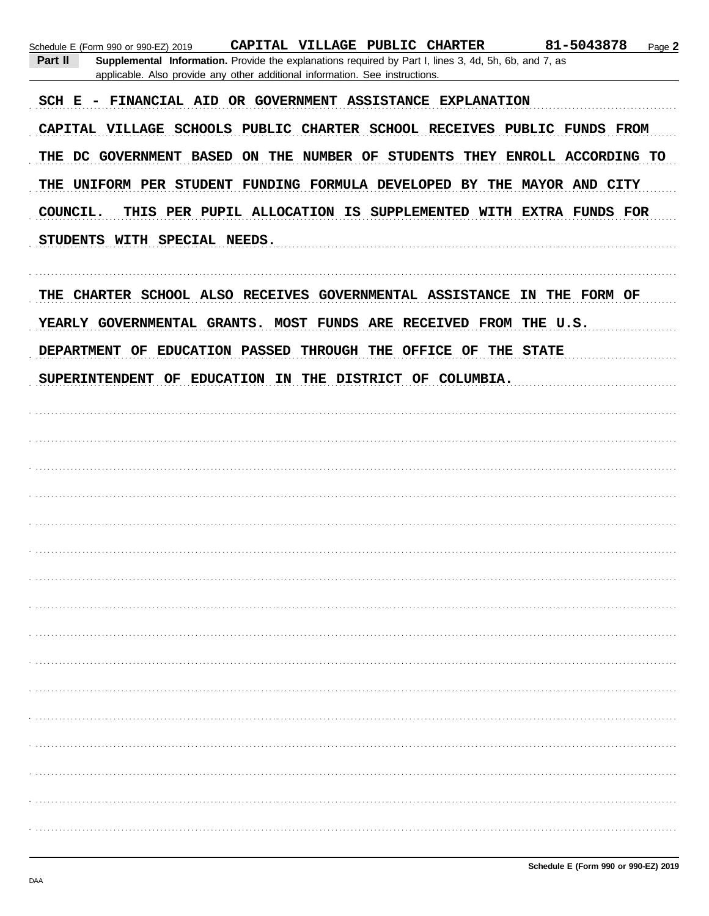| 81-5043878<br>CAPITAL VILLAGE PUBLIC CHARTER<br>Page 2<br>Schedule E (Form 990 or 990-EZ) 2019<br>Part II<br>Supplemental Information. Provide the explanations required by Part I, lines 3, 4d, 5h, 6b, and 7, as<br>applicable. Also provide any other additional information. See instructions. |
|----------------------------------------------------------------------------------------------------------------------------------------------------------------------------------------------------------------------------------------------------------------------------------------------------|
| FINANCIAL AID OR GOVERNMENT ASSISTANCE EXPLANATION<br>$SCH E -$                                                                                                                                                                                                                                    |
| CAPITAL VILLAGE SCHOOLS PUBLIC CHARTER SCHOOL RECEIVES PUBLIC FUNDS FROM                                                                                                                                                                                                                           |
| THE DC GOVERNMENT BASED ON THE NUMBER OF STUDENTS THEY ENROLL ACCORDING TO                                                                                                                                                                                                                         |
| THE UNIFORM PER STUDENT FUNDING FORMULA DEVELOPED BY THE MAYOR AND CITY                                                                                                                                                                                                                            |
| COUNCIL.<br>THIS PER PUPIL ALLOCATION IS SUPPLEMENTED WITH EXTRA FUNDS FOR                                                                                                                                                                                                                         |
| STUDENTS WITH SPECIAL NEEDS.                                                                                                                                                                                                                                                                       |
| THE CHARTER SCHOOL ALSO RECEIVES GOVERNMENTAL ASSISTANCE IN THE FORM OF                                                                                                                                                                                                                            |
| YEARLY GOVERNMENTAL GRANTS. MOST FUNDS ARE RECEIVED FROM THE U.S.                                                                                                                                                                                                                                  |
| DEPARTMENT OF EDUCATION PASSED<br>THROUGH THE OFFICE OF THE STATE                                                                                                                                                                                                                                  |
| SUPERINTENDENT OF EDUCATION IN THE DISTRICT OF COLUMBIA.                                                                                                                                                                                                                                           |
|                                                                                                                                                                                                                                                                                                    |
|                                                                                                                                                                                                                                                                                                    |
|                                                                                                                                                                                                                                                                                                    |
|                                                                                                                                                                                                                                                                                                    |
|                                                                                                                                                                                                                                                                                                    |
|                                                                                                                                                                                                                                                                                                    |
|                                                                                                                                                                                                                                                                                                    |
|                                                                                                                                                                                                                                                                                                    |
|                                                                                                                                                                                                                                                                                                    |
|                                                                                                                                                                                                                                                                                                    |
|                                                                                                                                                                                                                                                                                                    |
|                                                                                                                                                                                                                                                                                                    |
|                                                                                                                                                                                                                                                                                                    |
|                                                                                                                                                                                                                                                                                                    |
|                                                                                                                                                                                                                                                                                                    |
|                                                                                                                                                                                                                                                                                                    |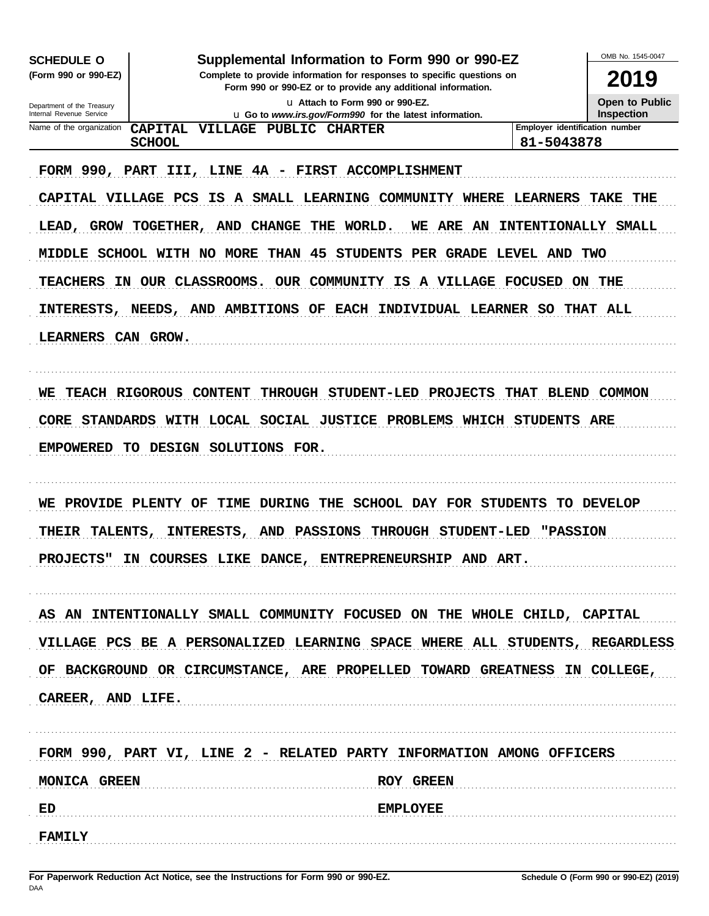| <b>SCHEDULE O</b><br>(Form 990 or 990-EZ)              | Supplemental Information to Form 990 or 990-EZ                                                                                                                                                                                        | OMB No. 1545-0047<br>2019      |                |  |  |
|--------------------------------------------------------|---------------------------------------------------------------------------------------------------------------------------------------------------------------------------------------------------------------------------------------|--------------------------------|----------------|--|--|
|                                                        | Complete to provide information for responses to specific questions on<br>Form 990 or 990-EZ or to provide any additional information.<br>11 Attach to Form 990 or 990-EZ.<br>u Go to www.irs.gov/Form990 for the latest information. |                                |                |  |  |
| Department of the Treasury<br>Internal Revenue Service |                                                                                                                                                                                                                                       |                                |                |  |  |
| Name of the organization                               | <b>CAPITAL</b><br>VILLAGE<br>PUBLIC CHARTER                                                                                                                                                                                           | Employer identification number |                |  |  |
|                                                        | <b>SCHOOL</b>                                                                                                                                                                                                                         | 81-5043878                     |                |  |  |
| FORM 990, PART                                         | <b>FIRST ACCOMPLISHMENT</b><br>III,<br>LINE<br>4A<br>$\overline{\phantom{m}}$                                                                                                                                                         |                                |                |  |  |
| CAPITAL VILLAGE PCS                                    | IS.<br>A SMALL LEARNING COMMUNITY WHERE                                                                                                                                                                                               | <b>LEARNERS</b>                | THE<br>TAKE    |  |  |
| GROW<br>LEAD,                                          | TOGETHER,<br><b>CHANGE</b><br>THE<br>WORLD.<br>AND<br>WE.<br>ARE AN                                                                                                                                                                   | <b>INTENTIONALLY</b>           | <b>SMALL</b>   |  |  |
|                                                        | MIDDLE SCHOOL WITH NO MORE<br><b>THAN</b><br>45<br><b>STUDENTS</b><br>PER                                                                                                                                                             | <b>GRADE LEVEL AND TWO</b>     |                |  |  |
| <b>TEACHERS</b><br>IN.                                 | OUR CLASSROOMS.<br>OUR COMMUNITY IS A VILLAGE FOCUSED                                                                                                                                                                                 | ON                             | THE            |  |  |
|                                                        |                                                                                                                                                                                                                                       |                                |                |  |  |
| INTERESTS,                                             | AND AMBITIONS<br><b>EACH</b><br>INDIVIDUAL LEARNER<br>NEEDS,<br>OF                                                                                                                                                                    | SO.                            | THAT ALL       |  |  |
| LEARNERS CAN GROW.                                     |                                                                                                                                                                                                                                       |                                |                |  |  |
|                                                        |                                                                                                                                                                                                                                       |                                |                |  |  |
| <b>TEACH RIGOROUS</b><br>WЕ                            | THROUGH<br>STUDENT-LED PROJECTS<br><b>CONTENT</b>                                                                                                                                                                                     | <b>THAT</b><br><b>BLEND</b>    | <b>COMMON</b>  |  |  |
| CORE STANDARDS                                         | LOCAL SOCIAL JUSTICE<br><b>PROBLEMS</b><br><b>WHICH</b><br>WITH                                                                                                                                                                       | STUDENTS                       | ARE            |  |  |
| <b>EMPOWERED</b>                                       | <b>TO</b><br><b>DESIGN</b><br>SOLUTIONS FOR.                                                                                                                                                                                          |                                |                |  |  |
|                                                        |                                                                                                                                                                                                                                       |                                |                |  |  |
| PROVIDE PLENTY<br>WЕ                                   | <b>DURING</b><br>THE<br>SCHOOL DAY FOR STUDENTS<br>TIME<br>OF                                                                                                                                                                         | TO.                            | <b>DEVELOP</b> |  |  |
| THEIR<br><b>TALENTS</b>                                | AND PASSIONS<br><b>THROUGH</b><br>INTERESTS,<br><b>STUDENT-LED</b>                                                                                                                                                                    | <b>"PASSION</b>                |                |  |  |
|                                                        |                                                                                                                                                                                                                                       |                                |                |  |  |
|                                                        | PROJECTS" IN COURSES LIKE DANCE, ENTREPRENEURSHIP AND ART.                                                                                                                                                                            |                                |                |  |  |
|                                                        |                                                                                                                                                                                                                                       |                                |                |  |  |
|                                                        | AS AN INTENTIONALLY SMALL COMMUNITY FOCUSED ON THE WHOLE CHILD, CAPITAL                                                                                                                                                               |                                |                |  |  |
|                                                        | VILLAGE PCS BE A PERSONALIZED LEARNING SPACE WHERE ALL STUDENTS, REGARDLESS                                                                                                                                                           |                                |                |  |  |
|                                                        | OF BACKGROUND OR CIRCUMSTANCE, ARE PROPELLED TOWARD GREATNESS IN COLLEGE,                                                                                                                                                             |                                |                |  |  |
| CAREER, AND LIFE.                                      |                                                                                                                                                                                                                                       |                                |                |  |  |
|                                                        |                                                                                                                                                                                                                                       |                                |                |  |  |
|                                                        | FORM 990, PART VI, LINE 2 - RELATED PARTY INFORMATION AMONG OFFICERS                                                                                                                                                                  |                                |                |  |  |
|                                                        | <b>ROY GREEN</b>                                                                                                                                                                                                                      |                                |                |  |  |
| MONICA GREEN                                           |                                                                                                                                                                                                                                       |                                |                |  |  |
| ED                                                     | EMPLOYEE                                                                                                                                                                                                                              |                                |                |  |  |
| <b>FAMILY</b>                                          |                                                                                                                                                                                                                                       |                                |                |  |  |

DAA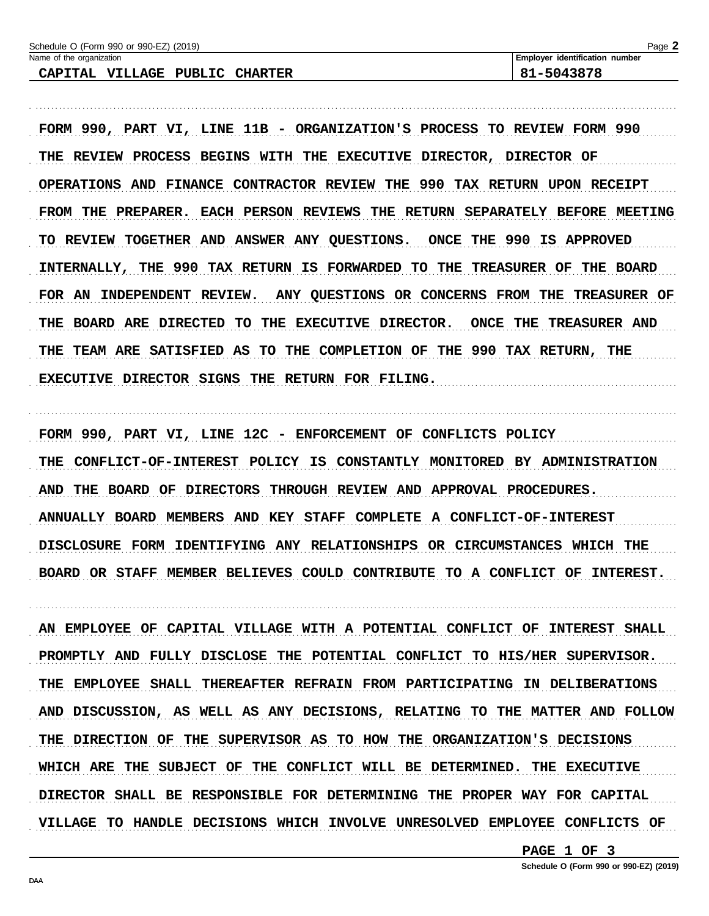| Schedule O (Form 990 or 990-EZ) (2019)                | Page                                  |
|-------------------------------------------------------|---------------------------------------|
| Name of the organization                              | <b>Employer identification number</b> |
| <b>VILLAGE</b><br>PUBLIC<br>CAPITAL<br><b>CHARTER</b> | 81-5043878                            |

FORM 990, PART VI, LINE 11B - ORGANIZATION'S PROCESS TO REVIEW FORM 990 THE REVIEW PROCESS BEGINS WITH THE EXECUTIVE DIRECTOR, DIRECTOR OF OPERATIONS AND FINANCE CONTRACTOR REVIEW THE 990 TAX RETURN UPON RECEIPT FROM THE PREPARER. EACH PERSON REVIEWS THE RETURN SEPARATELY BEFORE MEETING TO REVIEW TOGETHER AND ANSWER ANY QUESTIONS. ONCE THE 990 IS APPROVED INTERNALLY, THE 990 TAX RETURN IS FORWARDED TO THE TREASURER OF THE BOARD FOR AN INDEPENDENT REVIEW. ANY QUESTIONS OR CONCERNS FROM THE TREASURER OF THE BOARD ARE DIRECTED TO THE EXECUTIVE DIRECTOR. ONCE THE TREASURER AND THE TEAM ARE SATISFIED AS TO THE COMPLETION OF THE 990 TAX RETURN, THE EXECUTIVE DIRECTOR SIGNS THE RETURN FOR FILING.

FORM 990, PART VI, LINE 12C - ENFORCEMENT OF CONFLICTS POLICY THE CONFLICT-OF-INTEREST POLICY IS CONSTANTLY MONITORED BY ADMINISTRATION AND THE BOARD OF DIRECTORS THROUGH REVIEW AND APPROVAL PROCEDURES. ANNUALLY BOARD MEMBERS AND KEY STAFF COMPLETE A CONFLICT-OF-INTEREST DISCLOSURE FORM IDENTIFYING ANY RELATIONSHIPS OR CIRCUMSTANCES WHICH THE BOARD OR STAFF MEMBER BELIEVES COULD CONTRIBUTE TO A CONFLICT OF INTEREST.

AN EMPLOYEE OF CAPITAL VILLAGE WITH A POTENTIAL CONFLICT OF INTEREST SHALL PROMPTLY AND FULLY DISCLOSE THE POTENTIAL CONFLICT TO HIS/HER SUPERVISOR. THE EMPLOYEE SHALL THEREAFTER REFRAIN FROM PARTICIPATING IN DELIBERATIONS AND DISCUSSION, AS WELL AS ANY DECISIONS, RELATING TO THE MATTER AND FOLLOW THE DIRECTION OF THE SUPERVISOR AS TO HOW THE ORGANIZATION'S DECISIONS WHICH ARE THE SUBJECT OF THE CONFLICT WILL BE DETERMINED. THE EXECUTIVE DIRECTOR SHALL BE RESPONSIBLE FOR DETERMINING THE PROPER WAY FOR CAPITAL VILLAGE TO HANDLE DECISIONS WHICH INVOLVE UNRESOLVED EMPLOYEE CONFLICTS OF

PAGE 1 OF 3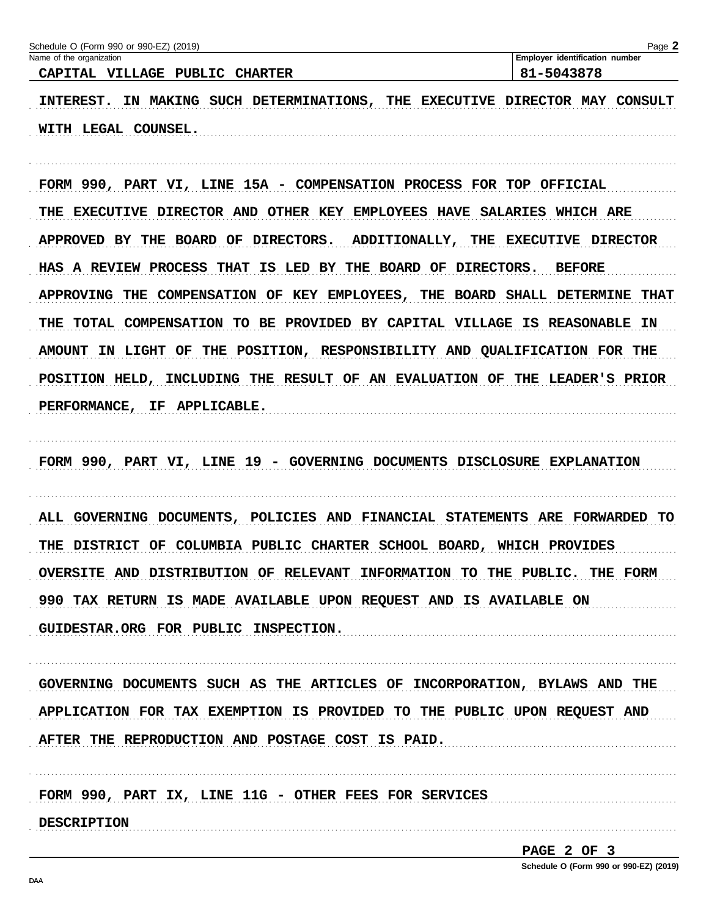| Schedule O (Form 990 or 990-EZ) (2019)                                      | Page 2                                       |
|-----------------------------------------------------------------------------|----------------------------------------------|
| Name of the organization<br>CAPITAL VILLAGE PUBLIC CHARTER                  | Employer identification number<br>81-5043878 |
| INTEREST. IN MAKING SUCH DETERMINATIONS, THE EXECUTIVE DIRECTOR MAY CONSULT |                                              |
| WITH LEGAL COUNSEL.                                                         |                                              |
|                                                                             |                                              |
| FORM 990, PART VI, LINE 15A - COMPENSATION PROCESS FOR TOP OFFICIAL         |                                              |
| THE EXECUTIVE DIRECTOR AND OTHER KEY EMPLOYEES HAVE SALARIES WHICH ARE      |                                              |
| APPROVED BY THE BOARD OF DIRECTORS. ADDITIONALLY, THE EXECUTIVE DIRECTOR    |                                              |
| HAS A REVIEW PROCESS THAT IS LED BY THE BOARD OF DIRECTORS. BEFORE          |                                              |
| APPROVING THE COMPENSATION OF KEY EMPLOYEES, THE BOARD SHALL DETERMINE THAT |                                              |
| THE TOTAL COMPENSATION TO BE PROVIDED BY CAPITAL VILLAGE IS REASONABLE IN   |                                              |
| AMOUNT IN LIGHT OF THE POSITION, RESPONSIBILITY AND QUALIFICATION FOR THE   |                                              |
| POSITION HELD, INCLUDING THE RESULT OF AN EVALUATION OF THE LEADER'S PRIOR  |                                              |
| PERFORMANCE, IF APPLICABLE.                                                 |                                              |
|                                                                             |                                              |
| FORM 990, PART VI, LINE 19 - GOVERNING DOCUMENTS DISCLOSURE EXPLANATION     |                                              |
|                                                                             |                                              |
| ALL GOVERNING DOCUMENTS, POLICIES AND FINANCIAL STATEMENTS ARE FORWARDED TO |                                              |
| THE DISTRICT OF COLUMBIA PUBLIC CHARTER SCHOOL BOARD, WHICH PROVIDES        |                                              |
| OVERSITE AND DISTRIBUTION OF RELEVANT INFORMATION TO THE PUBLIC. THE FORM   |                                              |
| 990 TAX RETURN IS MADE AVAILABLE UPON REQUEST AND IS AVAILABLE ON           |                                              |
| GUIDESTAR.ORG FOR PUBLIC INSPECTION.                                        |                                              |
|                                                                             |                                              |
| GOVERNING DOCUMENTS SUCH AS THE ARTICLES OF INCORPORATION, BYLAWS AND THE   |                                              |
| APPLICATION FOR TAX EXEMPTION IS PROVIDED TO THE PUBLIC UPON REQUEST AND    |                                              |
| AFTER THE REPRODUCTION AND POSTAGE COST IS PAID.                            |                                              |
|                                                                             |                                              |
| FORM 990, PART IX, LINE 11G - OTHER FEES FOR SERVICES                       |                                              |
| <b>DESCRIPTION</b>                                                          |                                              |
|                                                                             | PAGE 2 OF 3                                  |

Schedule O (Form 990 or 990-EZ) (2019)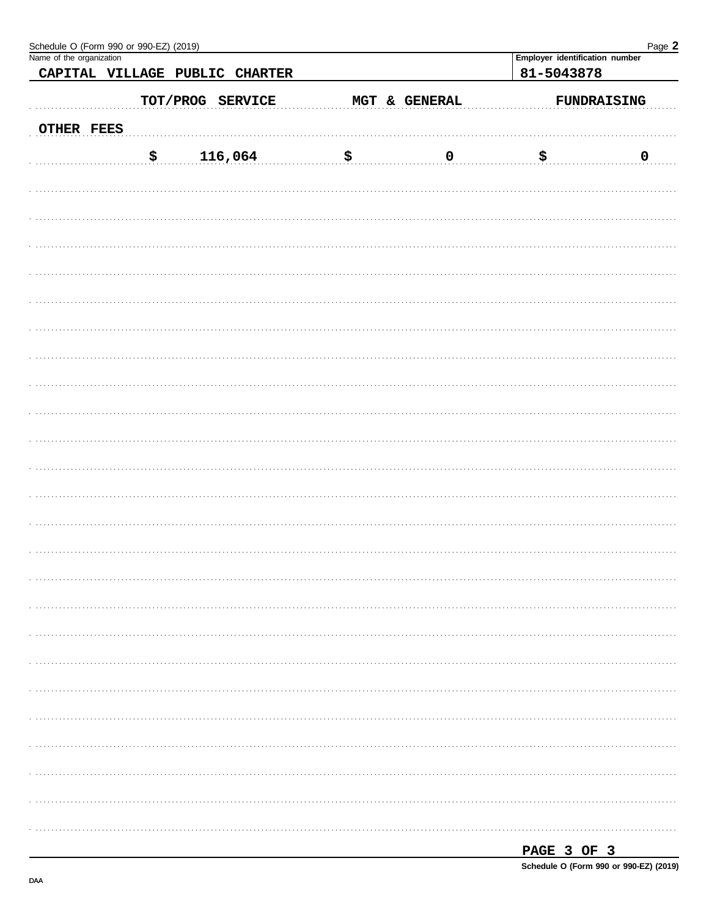|            | Schedule O (Form 990 or 990-EZ) (2019)<br>Name of the organization |            |                         |              | Page 2                                       |
|------------|--------------------------------------------------------------------|------------|-------------------------|--------------|----------------------------------------------|
|            | CAPITAL VILLAGE PUBLIC CHARTER                                     |            |                         |              | Employer identification number<br>81-5043878 |
|            |                                                                    |            |                         |              |                                              |
|            | TOT/PROG SERVICE                                                   |            | MGT & GENERAL           |              | FUNDRAISING                                  |
| OTHER FEES |                                                                    |            |                         |              |                                              |
|            | $\boldsymbol{\mathsf{S}}$ .<br>116,064                             | <u>.\$</u> | $\overline{\mathbf{0}}$ | <u>୍ମ\$୍</u> | $\overline{\mathbf{0}}$                      |
|            |                                                                    |            |                         |              |                                              |
|            |                                                                    |            |                         |              |                                              |
|            |                                                                    |            |                         |              |                                              |
|            |                                                                    |            |                         |              |                                              |
|            |                                                                    |            |                         |              |                                              |
|            |                                                                    |            |                         |              |                                              |
|            |                                                                    |            |                         |              |                                              |
|            |                                                                    |            |                         |              |                                              |
|            |                                                                    |            |                         |              |                                              |
|            |                                                                    |            |                         |              |                                              |
|            |                                                                    |            |                         |              |                                              |
|            |                                                                    |            |                         |              |                                              |
|            |                                                                    |            |                         |              |                                              |
|            |                                                                    |            |                         |              |                                              |
|            |                                                                    |            |                         |              |                                              |
|            |                                                                    |            |                         |              |                                              |
|            |                                                                    |            |                         |              |                                              |
|            |                                                                    |            |                         |              |                                              |
|            |                                                                    |            |                         |              |                                              |
|            |                                                                    |            |                         |              |                                              |
|            |                                                                    |            |                         |              |                                              |
|            |                                                                    |            |                         |              |                                              |
|            |                                                                    |            |                         |              |                                              |
|            |                                                                    |            |                         |              |                                              |

| . . |  |  |
|-----|--|--|
|     |  |  |

Schedule O (Form 990 or 990-EZ) (2019)